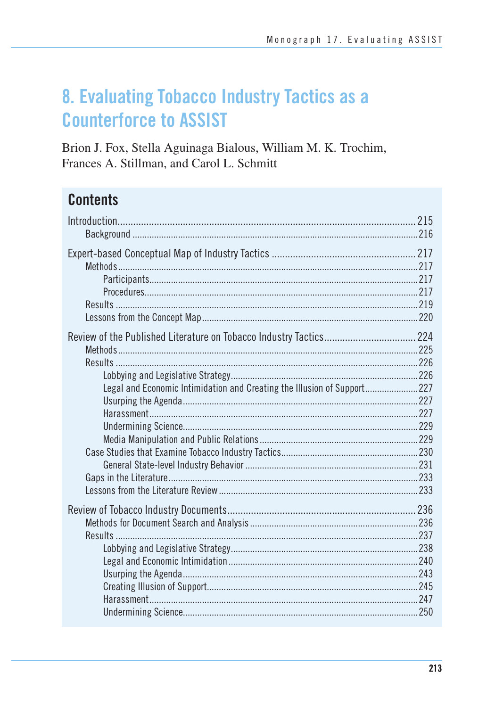# 8. Evaluating Tobacco Industry Tactics as a **Counterforce to ASSIST**

Brion J. Fox, Stella Aguinaga Bialous, William M. K. Trochim, Frances A. Stillman, and Carol L. Schmitt

# **Contents**

| Legal and Economic Intimidation and Creating the Illusion of Support 227 |  |
|--------------------------------------------------------------------------|--|
|                                                                          |  |
|                                                                          |  |
|                                                                          |  |
|                                                                          |  |
|                                                                          |  |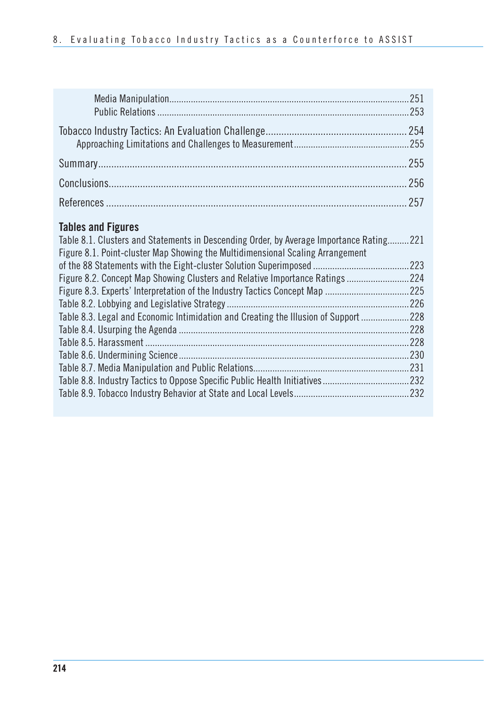| 251 |
|-----|
|     |
|     |
|     |
| 255 |
| 256 |
|     |

## **Tables and Figures**

| Table 8.1. Clusters and Statements in Descending Order, by Average Importance Rating221 |      |
|-----------------------------------------------------------------------------------------|------|
| Figure 8.1. Point-cluster Map Showing the Multidimensional Scaling Arrangement          |      |
|                                                                                         |      |
| Figure 8.2. Concept Map Showing Clusters and Relative Importance Ratings224             |      |
|                                                                                         |      |
|                                                                                         | 226  |
| Table 8.3. Legal and Economic Intimidation and Creating the Illusion of Support         | .228 |
|                                                                                         | .228 |
|                                                                                         | ??8  |
|                                                                                         | .230 |
|                                                                                         |      |
|                                                                                         |      |
|                                                                                         |      |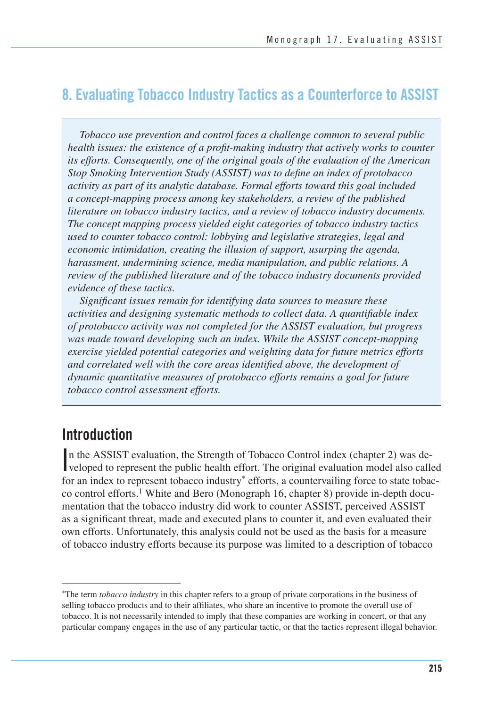## **8. Evaluating Tobacco Industry Tactics as a Counterforce to ASSIST**

*Tobacco use prevention and control faces a challenge common to several public health issues: the existence of a profit-making industry that actively works to counter its efforts. Consequently, one of the original goals of the evaluation of the American Stop Smoking Intervention Study (ASSIST) was to define an index of protobacco activity as part of its analytic database. Formal efforts toward this goal included a concept-mapping process among key stakeholders, a review of the published literature on tobacco industry tactics, and a review of tobacco industry documents. The concept mapping process yielded eight categories of tobacco industry tactics used to counter tobacco control: lobbying and legislative strategies, legal and economic intimidation, creating the illusion of support, usurping the agenda, harassment, undermining science, media manipulation, and public relations. A review of the published literature and of the tobacco industry documents provided evidence of these tactics.* 

 *Significant issues remain for identifying data sources to measure these activities and designing systematic methods to collect data. A quantifiable index of protobacco activity was not completed for the ASSIST evaluation, but progress*  was made toward developing such an index. While the ASSIST concept-mapping  *exercise yielded potential categories and weighting data for future metrics efforts and correlated well with the core areas identified above, the development of dynamic quantitative measures of protobacco efforts remains a goal for future tobacco control assessment efforts.* 

## **Introduction**

In the ASSIST evaluation, the Strength of Tobacco Control index (chapter 2) was developed to represent the public health effort. The original evaluation model also called n the ASSIST evaluation, the Strength of Tobacco Control index (chapter 2) was defor an index to represent tobacco industry<sup>\*</sup> efforts, a countervailing force to state tobacco control efforts.<sup>1</sup> White and Bero (Monograph 16, chapter 8) provide in-depth documentation that the tobacco industry did work to counter ASSIST, perceived ASSIST as a significant threat, made and executed plans to counter it, and even evaluated their own efforts. Unfortunately, this analysis could not be used as the basis for a measure of tobacco industry efforts because its purpose was limited to a description of tobacco

The term *tobacco industry* in this chapter refers to a group of private corporations in the business of selling tobacco products and to their affiliates, who share an incentive to promote the overall use of tobacco. It is not necessarily intended to imply that these companies are working in concert, or that any particular company engages in the use of any particular tactic, or that the tactics represent illegal behavior.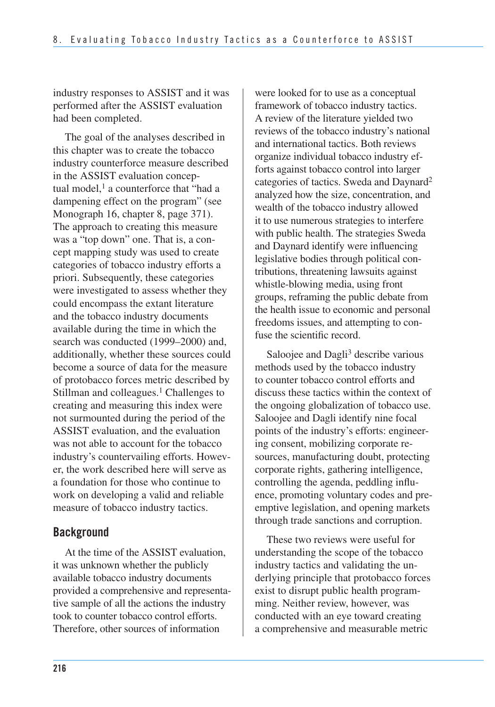industry responses to ASSIST and it was performed after the ASSIST evaluation had been completed.

The goal of the analyses described in this chapter was to create the tobacco industry counterforce measure described in the ASSIST evaluation conceptual model, $<sup>1</sup>$  a counterforce that "had a</sup> dampening effect on the program" (see Monograph 16, chapter 8, page 371). The approach to creating this measure was a "top down" one. That is, a concept mapping study was used to create categories of tobacco industry efforts a priori. Subsequently, these categories were investigated to assess whether they could encompass the extant literature and the tobacco industry documents available during the time in which the search was conducted (1999–2000) and, additionally, whether these sources could become a source of data for the measure of protobacco forces metric described by Stillman and colleagues.<sup>1</sup> Challenges to creating and measuring this index were not surmounted during the period of the ASSIST evaluation, and the evaluation was not able to account for the tobacco industry's countervailing efforts. However, the work described here will serve as a foundation for those who continue to work on developing a valid and reliable measure of tobacco industry tactics.

## **Background**

 At the time of the ASSIST evaluation, it was unknown whether the publicly available tobacco industry documents provided a comprehensive and representa- tive sample of all the actions the industry took to counter tobacco control efforts. Therefore, other sources of information

 were looked for to use as a conceptual framework of tobacco industry tactics. A review of the literature yielded two reviews of the tobacco industry's national and international tactics. Both reviews organize individual tobacco industry ef- forts against tobacco control into larger categories of tactics. Sweda and Daynard<sup>2</sup> analyzed how the size, concentration, and wealth of the tobacco industry allowed it to use numerous strategies to interfere with public health. The strategies Sweda and Daynard identify were influencing legislative bodies through political con- tributions, threatening lawsuits against whistle-blowing media, using front groups, reframing the public debate from the health issue to economic and personal freedoms issues, and attempting to con-fuse the scientific record.

Saloojee and Dagli<sup>3</sup> describe various methods used by the tobacco industry to counter tobacco control efforts and discuss these tactics within the context of the ongoing globalization of tobacco use. Saloojee and Dagli identify nine focal points of the industry's efforts: engineer- ing consent, mobilizing corporate re- sources, manufacturing doubt, protecting corporate rights, gathering intelligence, controlling the agenda, peddling influ- ence, promoting voluntary codes and pre- emptive legislation, and opening markets through trade sanctions and corruption.

These two reviews were useful for understanding the scope of the tobacco industry tactics and validating the underlying principle that protobacco forces exist to disrupt public health programming. Neither review, however, was conducted with an eye toward creating a comprehensive and measurable metric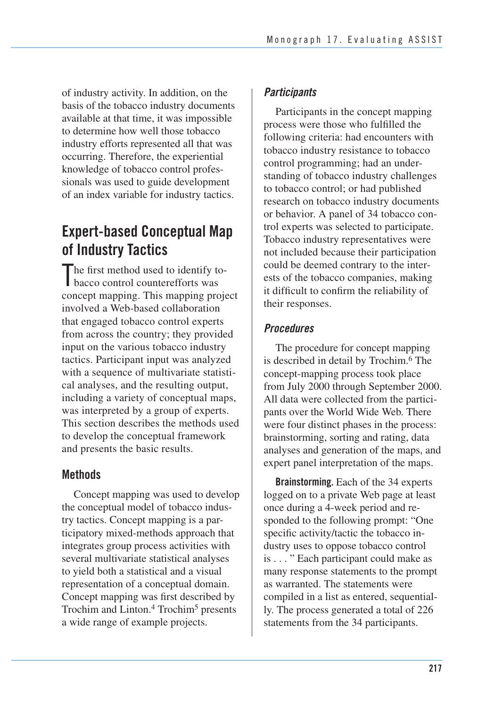of industry activity. In addition, on the basis of the tobacco industry documents available at that time, it was impossible to determine how well those tobacco industry efforts represented all that was occurring. Therefore, the experiential knowledge of tobacco control professionals was used to guide development of an index variable for industry tactics.

## **Expert-based Conceptual Map of Industry Tactics**

The first method used to identify to<br>bacco control counterefforts was bacco control counterefforts was concept mapping. This mapping project involved a Web-based collaboration that engaged tobacco control experts from across the country; they provided input on the various tobacco industry tactics. Participant input was analyzed with a sequence of multivariate statisti- cal analyses, and the resulting output, including a variety of conceptual maps, was interpreted by a group of experts. This section describes the methods used to develop the conceptual framework and presents the basic results.

## **Methods**

Concept mapping was used to develop the conceptual model of tobacco industry tactics. Concept mapping is a participatory mixed-methods approach that integrates group process activities with several multivariate statistical analyses to yield both a statistical and a visual representation of a conceptual domain. Concept mapping was first described by Trochim and Linton.<sup>4</sup> Trochim<sup>5</sup> presents a wide range of example projects.

## *Participants*

 Participants in the concept mapping process were those who fulfilled the following criteria: had encounters with tobacco industry resistance to tobacco control programming; had an under- standing of tobacco industry challenges to tobacco control; or had published research on tobacco industry documents or behavior. A panel of 34 tobacco con- trol experts was selected to participate. Tobacco industry representatives were not included because their participation could be deemed contrary to the inter- ests of the tobacco companies, making it difficult to confirm the reliability of their responses.

## *Procedures*

The procedure for concept mapping is described in detail by Trochim.6 The concept-mapping process took place from July 2000 through September 2000. All data were collected from the participants over the World Wide Web. There were four distinct phases in the process: brainstorming, sorting and rating, data analyses and generation of the maps, and expert panel interpretation of the maps.

**Brainstorming.** Each of the 34 experts logged on to a private Web page at least once during a 4-week period and responded to the following prompt: "One specific activity/tactic the tobacco industry uses to oppose tobacco control is . . . " Each participant could make as many response statements to the prompt as warranted. The statements were compiled in a list as entered, sequentially. The process generated a total of 226 statements from the 34 participants.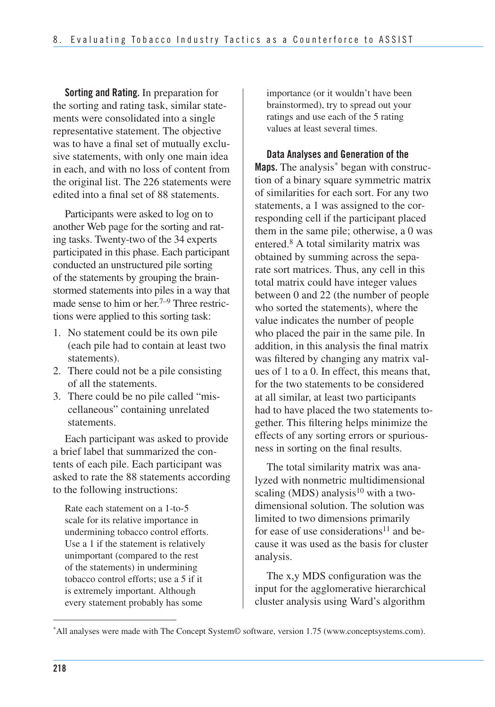**Sorting and Rating.** In preparation for the sorting and rating task, similar statements were consolidated into a single representative statement. The objective was to have a final set of mutually exclusive statements, with only one main idea in each, and with no loss of content from the original list. The 226 statements were edited into a final set of 88 statements.

 Participants were asked to log on to another Web page for the sorting and rat- ing tasks. Twenty-two of the 34 experts participated in this phase. Each participant conducted an unstructured pile sorting of the statements by grouping the brain- stormed statements into piles in a way that made sense to him or her.<sup>7–9</sup> Three restric tions were applied to this sorting task:

- 1. No statement could be its own pile (each pile had to contain at least two statements).
- 2. There could not be a pile consisting of all the statements.
- 3. There could be no pile called "miscellaneous" containing unrelated statements.

Each participant was asked to provide a brief label that summarized the contents of each pile. Each participant was asked to rate the 88 statements according to the following instructions:

Rate each statement on a 1-to-5 scale for its relative importance in undermining tobacco control efforts. Use a 1 if the statement is relatively unimportant (compared to the rest of the statements) in undermining tobacco control efforts; use a 5 if it is extremely important. Although every statement probably has some

importance (or it wouldn't have been brainstormed), try to spread out your ratings and use each of the 5 rating values at least several times.

**Data Analyses and Generation of the**  Maps. The analysis<sup>\*</sup> began with construction of a binary square symmetric matrix of similarities for each sort. For any two statements, a 1 was assigned to the corresponding cell if the participant placed them in the same pile; otherwise, a 0 was entered.8 A total similarity matrix was obtained by summing across the separate sort matrices. Thus, any cell in this total matrix could have integer values between 0 and 22 (the number of people who sorted the statements), where the value indicates the number of people who placed the pair in the same pile. In addition, in this analysis the final matrix was filtered by changing any matrix values of 1 to a 0. In effect, this means that, for the two statements to be considered at all similar, at least two participants had to have placed the two statements together. This filtering helps minimize the effects of any sorting errors or spuriousness in sorting on the final results.

The total similarity matrix was analyzed with nonmetric multidimensional scaling (MDS) analysis<sup>10</sup> with a twodimensional solution. The solution was limited to two dimensions primarily for ease of use considerations<sup>11</sup> and because it was used as the basis for cluster analysis.

The x,y MDS configuration was the input for the agglomerative hierarchical cluster analysis using Ward's algorithm

All analyses were made with The Concept System© software, version 1.75 (www.conceptsystems.com).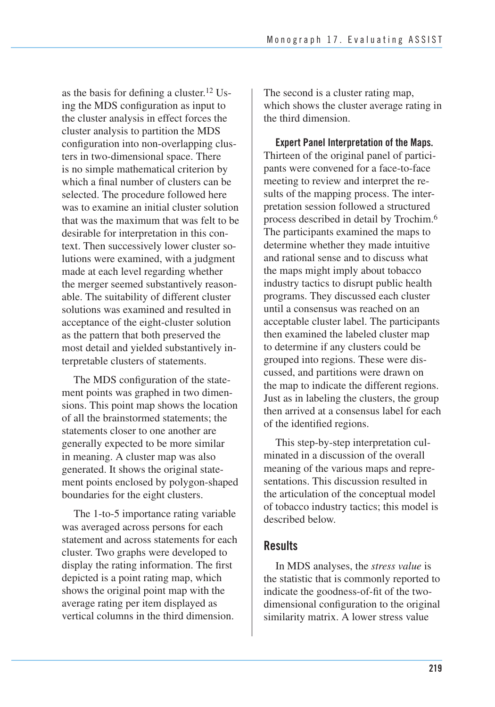as the basis for defining a cluster.12 Using the MDS configuration as input to the cluster analysis in effect forces the cluster analysis to partition the MDS configuration into non-overlapping clusters in two-dimensional space. There is no simple mathematical criterion by which a final number of clusters can be selected. The procedure followed here was to examine an initial cluster solution that was the maximum that was felt to be desirable for interpretation in this context. Then successively lower cluster solutions were examined, with a judgment made at each level regarding whether the merger seemed substantively reasonable. The suitability of different cluster solutions was examined and resulted in acceptance of the eight-cluster solution as the pattern that both preserved the most detail and yielded substantively interpretable clusters of statements.

The MDS configuration of the statement points was graphed in two dimensions. This point map shows the location of all the brainstormed statements; the statements closer to one another are generally expected to be more similar in meaning. A cluster map was also generated. It shows the original statement points enclosed by polygon-shaped boundaries for the eight clusters.

The 1-to-5 importance rating variable was averaged across persons for each statement and across statements for each cluster. Two graphs were developed to display the rating information. The first depicted is a point rating map, which shows the original point map with the average rating per item displayed as vertical columns in the third dimension.

The second is a cluster rating map, which shows the cluster average rating in the third dimension.

**Expert Panel Interpretation of the Maps.**  Thirteen of the original panel of participants were convened for a face-to-face meeting to review and interpret the results of the mapping process. The interpretation session followed a structured process described in detail by Trochim.6 The participants examined the maps to determine whether they made intuitive and rational sense and to discuss what the maps might imply about tobacco industry tactics to disrupt public health programs. They discussed each cluster until a consensus was reached on an acceptable cluster label. The participants then examined the labeled cluster map to determine if any clusters could be grouped into regions. These were discussed, and partitions were drawn on the map to indicate the different regions. Just as in labeling the clusters, the group then arrived at a consensus label for each of the identified regions.

This step-by-step interpretation culminated in a discussion of the overall meaning of the various maps and representations. This discussion resulted in the articulation of the conceptual model of tobacco industry tactics; this model is described below.

## **Results**

In MDS analyses, the *stress value* is the statistic that is commonly reported to indicate the goodness-of-fit of the twodimensional configuration to the original similarity matrix. A lower stress value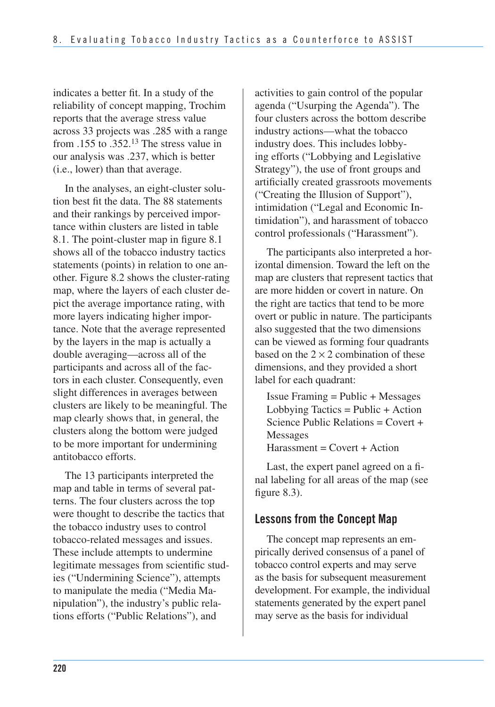indicates a better fit. In a study of the reliability of concept mapping, Trochim reports that the average stress value across 33 projects was .285 with a range from  $.155$  to  $.352<sup>13</sup>$  The stress value in our analysis was .237, which is better (i.e., lower) than that average.

In the analyses, an eight-cluster solution best fit the data. The 88 statements and their rankings by perceived importance within clusters are listed in table 8.1. The point-cluster map in figure 8.1 shows all of the tobacco industry tactics statements (points) in relation to one another. Figure 8.2 shows the cluster-rating map, where the layers of each cluster depict the average importance rating, with more layers indicating higher importance. Note that the average represented by the layers in the map is actually a double averaging—across all of the participants and across all of the factors in each cluster. Consequently, even slight differences in averages between clusters are likely to be meaningful. The map clearly shows that, in general, the clusters along the bottom were judged to be more important for undermining antitobacco efforts.

The 13 participants interpreted the map and table in terms of several patterns. The four clusters across the top were thought to describe the tactics that the tobacco industry uses to control tobacco-related messages and issues. These include attempts to undermine legitimate messages from scientific studies ("Undermining Science"), attempts to manipulate the media ("Media Manipulation"), the industry's public relations efforts ("Public Relations"), and

activities to gain control of the popular agenda ("Usurping the Agenda"). The four clusters across the bottom describe industry actions—what the tobacco industry does. This includes lobbying efforts ("Lobbying and Legislative Strategy"), the use of front groups and artificially created grassroots movements ("Creating the Illusion of Support"), intimidation ("Legal and Economic Intimidation"), and harassment of tobacco control professionals ("Harassment").

 The participants also interpreted a hor- izontal dimension. Toward the left on the map are clusters that represent tactics that are more hidden or covert in nature. On the right are tactics that tend to be more overt or public in nature. The participants also suggested that the two dimensions can be viewed as forming four quadrants based on the  $2 \times 2$  combination of these dimensions, and they provided a short label for each quadrant:

Issue Framing = Public + Messages Lobbying Tactics =  $Public + Action$ Science Public Relations = Covert + Messages  $Harassment = Covert + Action$ 

Last, the expert panel agreed on a final labeling for all areas of the map (see figure 8.3).

## **Lessons from the Concept Map**

The concept map represents an em- pirically derived consensus of a panel of tobacco control experts and may serve as the basis for subsequent measurement development. For example, the individual statements generated by the expert panel may serve as the basis for individual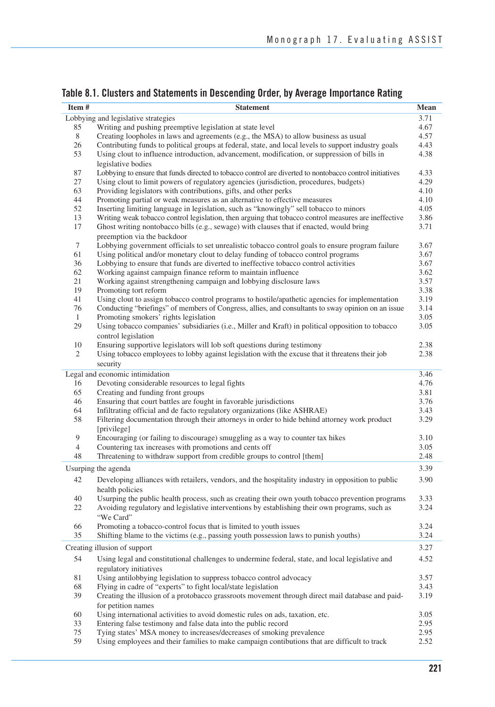| Table 8.1. Clusters and Statements in Descending Order, by Average Importance Rating |  |  |  |
|--------------------------------------------------------------------------------------|--|--|--|
|--------------------------------------------------------------------------------------|--|--|--|

| Item# | <b>Statement</b>                                                                                         | Mean |
|-------|----------------------------------------------------------------------------------------------------------|------|
|       | Lobbying and legislative strategies                                                                      | 3.71 |
| 85    | Writing and pushing preemptive legislation at state level                                                | 4.67 |
| 8     | Creating loopholes in laws and agreements (e.g., the MSA) to allow business as usual                     | 4.57 |
| 26    | Contributing funds to political groups at federal, state, and local levels to support industry goals     | 4.43 |
| 53    | Using clout to influence introduction, advancement, modification, or suppression of bills in             | 4.38 |
|       | legislative bodies                                                                                       |      |
| 87    | Lobbying to ensure that funds directed to tobacco control are diverted to nontobacco control initiatives | 4.33 |
| 27    | Using clout to limit powers of regulatory agencies (jurisdiction, procedures, budgets)                   | 4.29 |
| 63    | Providing legislators with contributions, gifts, and other perks                                         | 4.10 |
| 44    | Promoting partial or weak measures as an alternative to effective measures                               | 4.10 |
| 52    | Inserting limiting language in legislation, such as "knowingly" sell tobacco to minors                   | 4.05 |
| 13    | Writing weak tobacco control legislation, then arguing that tobacco control measures are ineffective     | 3.86 |
| 17    | Ghost writing nontobacco bills (e.g., sewage) with clauses that if enacted, would bring                  | 3.71 |
|       | preemption via the backdoor                                                                              |      |
|       |                                                                                                          |      |
| 7     | Lobbying government officials to set unrealistic tobacco control goals to ensure program failure         | 3.67 |
| 61    | Using political and/or monetary clout to delay funding of tobacco control programs                       | 3.67 |
| 36    | Lobbying to ensure that funds are diverted to ineffective tobacco control activities                     | 3.67 |
| 62    | Working against campaign finance reform to maintain influence                                            | 3.62 |
| 21    | Working against strengthening campaign and lobbying disclosure laws                                      | 3.57 |
| 19    | Promoting tort reform                                                                                    | 3.38 |
| 41    | Using clout to assign tobacco control programs to hostile/apathetic agencies for implementation          | 3.19 |
| 76    | Conducting "briefings" of members of Congress, allies, and consultants to sway opinion on an issue       | 3.14 |
| 1     | Promoting smokers' rights legislation                                                                    | 3.05 |
| 29    | Using tobacco companies' subsidiaries (i.e., Miller and Kraft) in political opposition to tobacco        | 3.05 |
|       | control legislation                                                                                      |      |
| 10    | Ensuring supportive legislators will lob soft questions during testimony                                 | 2.38 |
| 2     | Using tobacco employees to lobby against legislation with the excuse that it threatens their job         | 2.38 |
|       | security                                                                                                 |      |
|       |                                                                                                          |      |
|       | Legal and economic intimidation                                                                          | 3.46 |
| 16    | Devoting considerable resources to legal fights                                                          | 4.76 |
| 65    | Creating and funding front groups                                                                        | 3.81 |
| 46    | Ensuring that court battles are fought in favorable jurisdictions                                        | 3.76 |
| 64    | Infiltrating official and de facto regulatory organizations (like ASHRAE)                                | 3.43 |
| 58    | Filtering documentation through their attorneys in order to hide behind attorney work product            | 3.29 |
|       | [privilege]                                                                                              |      |
| 9     | Encouraging (or failing to discourage) smuggling as a way to counter tax hikes                           | 3.10 |
| 4     | Countering tax increases with promotions and cents off                                                   | 3.05 |
| 48    | Threatening to withdraw support from credible groups to control [them]                                   | 2.48 |
|       |                                                                                                          |      |
|       | Usurping the agenda                                                                                      | 3.39 |
| 42    | Developing alliances with retailers, vendors, and the hospitality industry in opposition to public       | 3.90 |
|       | health policies                                                                                          |      |
| 40    | Usurping the public health process, such as creating their own youth tobacco prevention programs         | 3.33 |
| 22    | Avoiding regulatory and legislative interventions by establishing their own programs, such as            | 3.24 |
|       | "We Card"                                                                                                |      |
| 66    | Promoting a tobacco-control focus that is limited to youth issues                                        | 3.24 |
| 35    | Shifting blame to the victims (e.g., passing youth possession laws to punish youths)                     | 3.24 |
|       |                                                                                                          |      |
|       | Creating illusion of support                                                                             | 3.27 |
| 54    | Using legal and constitutional challenges to undermine federal, state, and local legislative and         | 4.52 |
|       | regulatory initiatives                                                                                   |      |
| 81    | Using antilobbying legislation to suppress tobacco control advocacy                                      | 3.57 |
| 68    | Flying in cadre of "experts" to fight local/state legislation                                            | 3.43 |
| 39    | Creating the illusion of a protobacco grassroots movement through direct mail database and paid-         | 3.19 |
|       | for petition names                                                                                       |      |
|       |                                                                                                          |      |
| 60    | Using international activities to avoid domestic rules on ads, taxation, etc.                            | 3.05 |
| 33    | Entering false testimony and false data into the public record                                           | 2.95 |
| 75    | Tying states' MSA money to increases/decreases of smoking prevalence                                     | 2.95 |
| 59    | Using employees and their families to make campaign contibutions that are difficult to track             | 2.52 |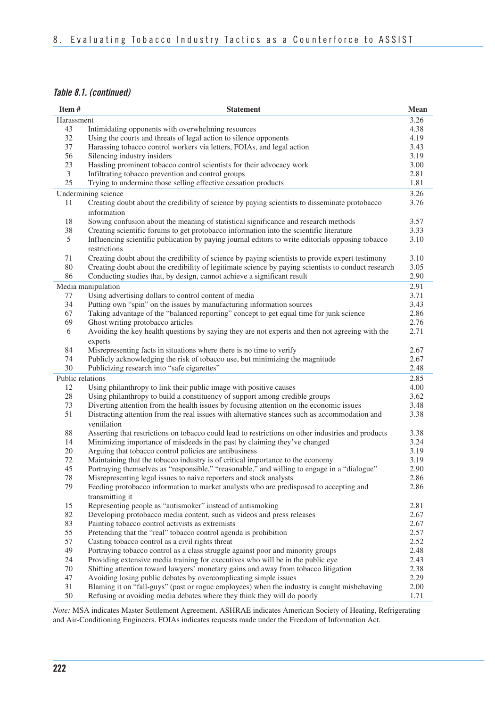#### *Table 8.1. (continued)*

| 3.26<br>Harassment<br>4.38<br>43<br>Intimidating opponents with overwhelming resources<br>32<br>Using the courts and threats of legal action to silence opponents<br>4.19<br>37<br>Harassing tobacco control workers via letters, FOIAs, and legal action<br>3.43<br>56<br>Silencing industry insiders<br>3.19<br>23<br>Hassling prominent tobacco control scientists for their advocacy work<br>3.00<br>2.81<br>3<br>Infiltrating tobacco prevention and control groups<br>25<br>Trying to undermine those selling effective cessation products<br>1.81<br>Undermining science<br>3.26<br>Creating doubt about the credibility of science by paying scientists to disseminate protobacco<br>3.76<br>11<br>information<br>Sowing confusion about the meaning of statistical significance and research methods<br>3.57<br>18<br>38<br>Creating scientific forums to get protobacco information into the scientific literature<br>3.33<br>Influencing scientific publication by paying journal editors to write editorials opposing tobacco<br>5<br>3.10<br>restrictions<br>Creating doubt about the credibility of science by paying scientists to provide expert testimony<br>71<br>3.10<br>80<br>Creating doubt about the credibility of legitimate science by paying scientists to conduct research<br>3.05<br>Conducting studies that, by design, cannot achieve a significant result<br>2.90<br>86<br>2.91<br>Media manipulation<br>3.71<br>77<br>Using advertising dollars to control content of media<br>34<br>Putting own "spin" on the issues by manufacturing information sources<br>3.43<br>67<br>Taking advantage of the "balanced reporting" concept to get equal time for junk science<br>2.86<br>69<br>Ghost writing protobacco articles<br>2.76<br>6<br>2.71<br>Avoiding the key health questions by saying they are not experts and then not agreeing with the<br>experts<br>Misrepresenting facts in situations where there is no time to verify<br>84<br>2.67<br>74<br>Publicly acknowledging the risk of tobacco use, but minimizing the magnitude<br>2.67<br>30<br>Publicizing research into "safe cigarettes"<br>2.48<br>Public relations<br>2.85<br>12<br>Using philanthropy to link their public image with positive causes<br>4.00<br>28<br>Using philanthropy to build a constituency of support among credible groups<br>3.62<br>73<br>Diverting attention from the health issues by focusing attention on the economic issues<br>3.48<br>51<br>Distracting attention from the real issues with alternative stances such as accommodation and<br>3.38<br>ventilation<br>88<br>Asserting that restrictions on tobacco could lead to restrictions on other industries and products<br>3.38<br>Minimizing importance of misdeeds in the past by claiming they've changed<br>3.24<br>14<br>20<br>Arguing that tobacco control policies are antibusiness<br>3.19<br>Maintaining that the tobacco industry is of critical importance to the economy<br>72<br>3.19<br>Portraying themselves as "responsible," "reasonable," and willing to engage in a "dialogue"<br>45<br>2.90<br>78<br>Misrepresenting legal issues to naive reporters and stock analysts<br>2.86<br>79<br>Feeding protobacco information to market analysts who are predisposed to accepting and<br>2.86<br>transmitting it<br>15<br>Representing people as "antismoker" instead of antismoking<br>2.81<br>82<br>Developing protobacco media content, such as videos and press releases<br>2.67<br>Painting tobacco control activists as extremists<br>83<br>2.67<br>2.57<br>55<br>Pretending that the "real" tobacco control agenda is prohibition<br>57<br>Casting tobacco control as a civil rights threat<br>2.52<br>49<br>Portraying tobacco control as a class struggle against poor and minority groups<br>2.48<br>24<br>Providing extensive media training for executives who will be in the public eye<br>2.43<br>Shifting attention toward lawyers' monetary gains and away from tobacco litigation<br>2.38<br>70<br>47<br>Avoiding losing public debates by overcomplicating simple issues<br>2.29<br>31<br>Blaming it on "fall-guys" (past or rogue employees) when the industry is caught misbehaving<br>2.00 | Item# | <b>Statement</b>                                                        | Mean |
|------------------------------------------------------------------------------------------------------------------------------------------------------------------------------------------------------------------------------------------------------------------------------------------------------------------------------------------------------------------------------------------------------------------------------------------------------------------------------------------------------------------------------------------------------------------------------------------------------------------------------------------------------------------------------------------------------------------------------------------------------------------------------------------------------------------------------------------------------------------------------------------------------------------------------------------------------------------------------------------------------------------------------------------------------------------------------------------------------------------------------------------------------------------------------------------------------------------------------------------------------------------------------------------------------------------------------------------------------------------------------------------------------------------------------------------------------------------------------------------------------------------------------------------------------------------------------------------------------------------------------------------------------------------------------------------------------------------------------------------------------------------------------------------------------------------------------------------------------------------------------------------------------------------------------------------------------------------------------------------------------------------------------------------------------------------------------------------------------------------------------------------------------------------------------------------------------------------------------------------------------------------------------------------------------------------------------------------------------------------------------------------------------------------------------------------------------------------------------------------------------------------------------------------------------------------------------------------------------------------------------------------------------------------------------------------------------------------------------------------------------------------------------------------------------------------------------------------------------------------------------------------------------------------------------------------------------------------------------------------------------------------------------------------------------------------------------------------------------------------------------------------------------------------------------------------------------------------------------------------------------------------------------------------------------------------------------------------------------------------------------------------------------------------------------------------------------------------------------------------------------------------------------------------------------------------------------------------------------------------------------------------------------------------------------------------------------------------------------------------------------------------------------------------------------------------------------------------------------------------------------------------------------------------------------------------------------------------------------------------------------------------------------------------------------------------------------------------------------------------------------------------------------------------------------------------------------------------|-------|-------------------------------------------------------------------------|------|
|                                                                                                                                                                                                                                                                                                                                                                                                                                                                                                                                                                                                                                                                                                                                                                                                                                                                                                                                                                                                                                                                                                                                                                                                                                                                                                                                                                                                                                                                                                                                                                                                                                                                                                                                                                                                                                                                                                                                                                                                                                                                                                                                                                                                                                                                                                                                                                                                                                                                                                                                                                                                                                                                                                                                                                                                                                                                                                                                                                                                                                                                                                                                                                                                                                                                                                                                                                                                                                                                                                                                                                                                                                                                                                                                                                                                                                                                                                                                                                                                                                                                                                                                                                                                                  |       |                                                                         |      |
|                                                                                                                                                                                                                                                                                                                                                                                                                                                                                                                                                                                                                                                                                                                                                                                                                                                                                                                                                                                                                                                                                                                                                                                                                                                                                                                                                                                                                                                                                                                                                                                                                                                                                                                                                                                                                                                                                                                                                                                                                                                                                                                                                                                                                                                                                                                                                                                                                                                                                                                                                                                                                                                                                                                                                                                                                                                                                                                                                                                                                                                                                                                                                                                                                                                                                                                                                                                                                                                                                                                                                                                                                                                                                                                                                                                                                                                                                                                                                                                                                                                                                                                                                                                                                  |       |                                                                         |      |
|                                                                                                                                                                                                                                                                                                                                                                                                                                                                                                                                                                                                                                                                                                                                                                                                                                                                                                                                                                                                                                                                                                                                                                                                                                                                                                                                                                                                                                                                                                                                                                                                                                                                                                                                                                                                                                                                                                                                                                                                                                                                                                                                                                                                                                                                                                                                                                                                                                                                                                                                                                                                                                                                                                                                                                                                                                                                                                                                                                                                                                                                                                                                                                                                                                                                                                                                                                                                                                                                                                                                                                                                                                                                                                                                                                                                                                                                                                                                                                                                                                                                                                                                                                                                                  |       |                                                                         |      |
|                                                                                                                                                                                                                                                                                                                                                                                                                                                                                                                                                                                                                                                                                                                                                                                                                                                                                                                                                                                                                                                                                                                                                                                                                                                                                                                                                                                                                                                                                                                                                                                                                                                                                                                                                                                                                                                                                                                                                                                                                                                                                                                                                                                                                                                                                                                                                                                                                                                                                                                                                                                                                                                                                                                                                                                                                                                                                                                                                                                                                                                                                                                                                                                                                                                                                                                                                                                                                                                                                                                                                                                                                                                                                                                                                                                                                                                                                                                                                                                                                                                                                                                                                                                                                  |       |                                                                         |      |
|                                                                                                                                                                                                                                                                                                                                                                                                                                                                                                                                                                                                                                                                                                                                                                                                                                                                                                                                                                                                                                                                                                                                                                                                                                                                                                                                                                                                                                                                                                                                                                                                                                                                                                                                                                                                                                                                                                                                                                                                                                                                                                                                                                                                                                                                                                                                                                                                                                                                                                                                                                                                                                                                                                                                                                                                                                                                                                                                                                                                                                                                                                                                                                                                                                                                                                                                                                                                                                                                                                                                                                                                                                                                                                                                                                                                                                                                                                                                                                                                                                                                                                                                                                                                                  |       |                                                                         |      |
|                                                                                                                                                                                                                                                                                                                                                                                                                                                                                                                                                                                                                                                                                                                                                                                                                                                                                                                                                                                                                                                                                                                                                                                                                                                                                                                                                                                                                                                                                                                                                                                                                                                                                                                                                                                                                                                                                                                                                                                                                                                                                                                                                                                                                                                                                                                                                                                                                                                                                                                                                                                                                                                                                                                                                                                                                                                                                                                                                                                                                                                                                                                                                                                                                                                                                                                                                                                                                                                                                                                                                                                                                                                                                                                                                                                                                                                                                                                                                                                                                                                                                                                                                                                                                  |       |                                                                         |      |
|                                                                                                                                                                                                                                                                                                                                                                                                                                                                                                                                                                                                                                                                                                                                                                                                                                                                                                                                                                                                                                                                                                                                                                                                                                                                                                                                                                                                                                                                                                                                                                                                                                                                                                                                                                                                                                                                                                                                                                                                                                                                                                                                                                                                                                                                                                                                                                                                                                                                                                                                                                                                                                                                                                                                                                                                                                                                                                                                                                                                                                                                                                                                                                                                                                                                                                                                                                                                                                                                                                                                                                                                                                                                                                                                                                                                                                                                                                                                                                                                                                                                                                                                                                                                                  |       |                                                                         |      |
|                                                                                                                                                                                                                                                                                                                                                                                                                                                                                                                                                                                                                                                                                                                                                                                                                                                                                                                                                                                                                                                                                                                                                                                                                                                                                                                                                                                                                                                                                                                                                                                                                                                                                                                                                                                                                                                                                                                                                                                                                                                                                                                                                                                                                                                                                                                                                                                                                                                                                                                                                                                                                                                                                                                                                                                                                                                                                                                                                                                                                                                                                                                                                                                                                                                                                                                                                                                                                                                                                                                                                                                                                                                                                                                                                                                                                                                                                                                                                                                                                                                                                                                                                                                                                  |       |                                                                         |      |
|                                                                                                                                                                                                                                                                                                                                                                                                                                                                                                                                                                                                                                                                                                                                                                                                                                                                                                                                                                                                                                                                                                                                                                                                                                                                                                                                                                                                                                                                                                                                                                                                                                                                                                                                                                                                                                                                                                                                                                                                                                                                                                                                                                                                                                                                                                                                                                                                                                                                                                                                                                                                                                                                                                                                                                                                                                                                                                                                                                                                                                                                                                                                                                                                                                                                                                                                                                                                                                                                                                                                                                                                                                                                                                                                                                                                                                                                                                                                                                                                                                                                                                                                                                                                                  |       |                                                                         |      |
|                                                                                                                                                                                                                                                                                                                                                                                                                                                                                                                                                                                                                                                                                                                                                                                                                                                                                                                                                                                                                                                                                                                                                                                                                                                                                                                                                                                                                                                                                                                                                                                                                                                                                                                                                                                                                                                                                                                                                                                                                                                                                                                                                                                                                                                                                                                                                                                                                                                                                                                                                                                                                                                                                                                                                                                                                                                                                                                                                                                                                                                                                                                                                                                                                                                                                                                                                                                                                                                                                                                                                                                                                                                                                                                                                                                                                                                                                                                                                                                                                                                                                                                                                                                                                  |       |                                                                         |      |
|                                                                                                                                                                                                                                                                                                                                                                                                                                                                                                                                                                                                                                                                                                                                                                                                                                                                                                                                                                                                                                                                                                                                                                                                                                                                                                                                                                                                                                                                                                                                                                                                                                                                                                                                                                                                                                                                                                                                                                                                                                                                                                                                                                                                                                                                                                                                                                                                                                                                                                                                                                                                                                                                                                                                                                                                                                                                                                                                                                                                                                                                                                                                                                                                                                                                                                                                                                                                                                                                                                                                                                                                                                                                                                                                                                                                                                                                                                                                                                                                                                                                                                                                                                                                                  |       |                                                                         |      |
|                                                                                                                                                                                                                                                                                                                                                                                                                                                                                                                                                                                                                                                                                                                                                                                                                                                                                                                                                                                                                                                                                                                                                                                                                                                                                                                                                                                                                                                                                                                                                                                                                                                                                                                                                                                                                                                                                                                                                                                                                                                                                                                                                                                                                                                                                                                                                                                                                                                                                                                                                                                                                                                                                                                                                                                                                                                                                                                                                                                                                                                                                                                                                                                                                                                                                                                                                                                                                                                                                                                                                                                                                                                                                                                                                                                                                                                                                                                                                                                                                                                                                                                                                                                                                  |       |                                                                         |      |
|                                                                                                                                                                                                                                                                                                                                                                                                                                                                                                                                                                                                                                                                                                                                                                                                                                                                                                                                                                                                                                                                                                                                                                                                                                                                                                                                                                                                                                                                                                                                                                                                                                                                                                                                                                                                                                                                                                                                                                                                                                                                                                                                                                                                                                                                                                                                                                                                                                                                                                                                                                                                                                                                                                                                                                                                                                                                                                                                                                                                                                                                                                                                                                                                                                                                                                                                                                                                                                                                                                                                                                                                                                                                                                                                                                                                                                                                                                                                                                                                                                                                                                                                                                                                                  |       |                                                                         |      |
|                                                                                                                                                                                                                                                                                                                                                                                                                                                                                                                                                                                                                                                                                                                                                                                                                                                                                                                                                                                                                                                                                                                                                                                                                                                                                                                                                                                                                                                                                                                                                                                                                                                                                                                                                                                                                                                                                                                                                                                                                                                                                                                                                                                                                                                                                                                                                                                                                                                                                                                                                                                                                                                                                                                                                                                                                                                                                                                                                                                                                                                                                                                                                                                                                                                                                                                                                                                                                                                                                                                                                                                                                                                                                                                                                                                                                                                                                                                                                                                                                                                                                                                                                                                                                  |       |                                                                         |      |
|                                                                                                                                                                                                                                                                                                                                                                                                                                                                                                                                                                                                                                                                                                                                                                                                                                                                                                                                                                                                                                                                                                                                                                                                                                                                                                                                                                                                                                                                                                                                                                                                                                                                                                                                                                                                                                                                                                                                                                                                                                                                                                                                                                                                                                                                                                                                                                                                                                                                                                                                                                                                                                                                                                                                                                                                                                                                                                                                                                                                                                                                                                                                                                                                                                                                                                                                                                                                                                                                                                                                                                                                                                                                                                                                                                                                                                                                                                                                                                                                                                                                                                                                                                                                                  |       |                                                                         |      |
|                                                                                                                                                                                                                                                                                                                                                                                                                                                                                                                                                                                                                                                                                                                                                                                                                                                                                                                                                                                                                                                                                                                                                                                                                                                                                                                                                                                                                                                                                                                                                                                                                                                                                                                                                                                                                                                                                                                                                                                                                                                                                                                                                                                                                                                                                                                                                                                                                                                                                                                                                                                                                                                                                                                                                                                                                                                                                                                                                                                                                                                                                                                                                                                                                                                                                                                                                                                                                                                                                                                                                                                                                                                                                                                                                                                                                                                                                                                                                                                                                                                                                                                                                                                                                  |       |                                                                         |      |
|                                                                                                                                                                                                                                                                                                                                                                                                                                                                                                                                                                                                                                                                                                                                                                                                                                                                                                                                                                                                                                                                                                                                                                                                                                                                                                                                                                                                                                                                                                                                                                                                                                                                                                                                                                                                                                                                                                                                                                                                                                                                                                                                                                                                                                                                                                                                                                                                                                                                                                                                                                                                                                                                                                                                                                                                                                                                                                                                                                                                                                                                                                                                                                                                                                                                                                                                                                                                                                                                                                                                                                                                                                                                                                                                                                                                                                                                                                                                                                                                                                                                                                                                                                                                                  |       |                                                                         |      |
|                                                                                                                                                                                                                                                                                                                                                                                                                                                                                                                                                                                                                                                                                                                                                                                                                                                                                                                                                                                                                                                                                                                                                                                                                                                                                                                                                                                                                                                                                                                                                                                                                                                                                                                                                                                                                                                                                                                                                                                                                                                                                                                                                                                                                                                                                                                                                                                                                                                                                                                                                                                                                                                                                                                                                                                                                                                                                                                                                                                                                                                                                                                                                                                                                                                                                                                                                                                                                                                                                                                                                                                                                                                                                                                                                                                                                                                                                                                                                                                                                                                                                                                                                                                                                  |       |                                                                         |      |
|                                                                                                                                                                                                                                                                                                                                                                                                                                                                                                                                                                                                                                                                                                                                                                                                                                                                                                                                                                                                                                                                                                                                                                                                                                                                                                                                                                                                                                                                                                                                                                                                                                                                                                                                                                                                                                                                                                                                                                                                                                                                                                                                                                                                                                                                                                                                                                                                                                                                                                                                                                                                                                                                                                                                                                                                                                                                                                                                                                                                                                                                                                                                                                                                                                                                                                                                                                                                                                                                                                                                                                                                                                                                                                                                                                                                                                                                                                                                                                                                                                                                                                                                                                                                                  |       |                                                                         |      |
|                                                                                                                                                                                                                                                                                                                                                                                                                                                                                                                                                                                                                                                                                                                                                                                                                                                                                                                                                                                                                                                                                                                                                                                                                                                                                                                                                                                                                                                                                                                                                                                                                                                                                                                                                                                                                                                                                                                                                                                                                                                                                                                                                                                                                                                                                                                                                                                                                                                                                                                                                                                                                                                                                                                                                                                                                                                                                                                                                                                                                                                                                                                                                                                                                                                                                                                                                                                                                                                                                                                                                                                                                                                                                                                                                                                                                                                                                                                                                                                                                                                                                                                                                                                                                  |       |                                                                         |      |
|                                                                                                                                                                                                                                                                                                                                                                                                                                                                                                                                                                                                                                                                                                                                                                                                                                                                                                                                                                                                                                                                                                                                                                                                                                                                                                                                                                                                                                                                                                                                                                                                                                                                                                                                                                                                                                                                                                                                                                                                                                                                                                                                                                                                                                                                                                                                                                                                                                                                                                                                                                                                                                                                                                                                                                                                                                                                                                                                                                                                                                                                                                                                                                                                                                                                                                                                                                                                                                                                                                                                                                                                                                                                                                                                                                                                                                                                                                                                                                                                                                                                                                                                                                                                                  |       |                                                                         |      |
|                                                                                                                                                                                                                                                                                                                                                                                                                                                                                                                                                                                                                                                                                                                                                                                                                                                                                                                                                                                                                                                                                                                                                                                                                                                                                                                                                                                                                                                                                                                                                                                                                                                                                                                                                                                                                                                                                                                                                                                                                                                                                                                                                                                                                                                                                                                                                                                                                                                                                                                                                                                                                                                                                                                                                                                                                                                                                                                                                                                                                                                                                                                                                                                                                                                                                                                                                                                                                                                                                                                                                                                                                                                                                                                                                                                                                                                                                                                                                                                                                                                                                                                                                                                                                  |       |                                                                         |      |
|                                                                                                                                                                                                                                                                                                                                                                                                                                                                                                                                                                                                                                                                                                                                                                                                                                                                                                                                                                                                                                                                                                                                                                                                                                                                                                                                                                                                                                                                                                                                                                                                                                                                                                                                                                                                                                                                                                                                                                                                                                                                                                                                                                                                                                                                                                                                                                                                                                                                                                                                                                                                                                                                                                                                                                                                                                                                                                                                                                                                                                                                                                                                                                                                                                                                                                                                                                                                                                                                                                                                                                                                                                                                                                                                                                                                                                                                                                                                                                                                                                                                                                                                                                                                                  |       |                                                                         |      |
|                                                                                                                                                                                                                                                                                                                                                                                                                                                                                                                                                                                                                                                                                                                                                                                                                                                                                                                                                                                                                                                                                                                                                                                                                                                                                                                                                                                                                                                                                                                                                                                                                                                                                                                                                                                                                                                                                                                                                                                                                                                                                                                                                                                                                                                                                                                                                                                                                                                                                                                                                                                                                                                                                                                                                                                                                                                                                                                                                                                                                                                                                                                                                                                                                                                                                                                                                                                                                                                                                                                                                                                                                                                                                                                                                                                                                                                                                                                                                                                                                                                                                                                                                                                                                  |       |                                                                         |      |
|                                                                                                                                                                                                                                                                                                                                                                                                                                                                                                                                                                                                                                                                                                                                                                                                                                                                                                                                                                                                                                                                                                                                                                                                                                                                                                                                                                                                                                                                                                                                                                                                                                                                                                                                                                                                                                                                                                                                                                                                                                                                                                                                                                                                                                                                                                                                                                                                                                                                                                                                                                                                                                                                                                                                                                                                                                                                                                                                                                                                                                                                                                                                                                                                                                                                                                                                                                                                                                                                                                                                                                                                                                                                                                                                                                                                                                                                                                                                                                                                                                                                                                                                                                                                                  |       |                                                                         |      |
|                                                                                                                                                                                                                                                                                                                                                                                                                                                                                                                                                                                                                                                                                                                                                                                                                                                                                                                                                                                                                                                                                                                                                                                                                                                                                                                                                                                                                                                                                                                                                                                                                                                                                                                                                                                                                                                                                                                                                                                                                                                                                                                                                                                                                                                                                                                                                                                                                                                                                                                                                                                                                                                                                                                                                                                                                                                                                                                                                                                                                                                                                                                                                                                                                                                                                                                                                                                                                                                                                                                                                                                                                                                                                                                                                                                                                                                                                                                                                                                                                                                                                                                                                                                                                  |       |                                                                         |      |
|                                                                                                                                                                                                                                                                                                                                                                                                                                                                                                                                                                                                                                                                                                                                                                                                                                                                                                                                                                                                                                                                                                                                                                                                                                                                                                                                                                                                                                                                                                                                                                                                                                                                                                                                                                                                                                                                                                                                                                                                                                                                                                                                                                                                                                                                                                                                                                                                                                                                                                                                                                                                                                                                                                                                                                                                                                                                                                                                                                                                                                                                                                                                                                                                                                                                                                                                                                                                                                                                                                                                                                                                                                                                                                                                                                                                                                                                                                                                                                                                                                                                                                                                                                                                                  |       |                                                                         |      |
|                                                                                                                                                                                                                                                                                                                                                                                                                                                                                                                                                                                                                                                                                                                                                                                                                                                                                                                                                                                                                                                                                                                                                                                                                                                                                                                                                                                                                                                                                                                                                                                                                                                                                                                                                                                                                                                                                                                                                                                                                                                                                                                                                                                                                                                                                                                                                                                                                                                                                                                                                                                                                                                                                                                                                                                                                                                                                                                                                                                                                                                                                                                                                                                                                                                                                                                                                                                                                                                                                                                                                                                                                                                                                                                                                                                                                                                                                                                                                                                                                                                                                                                                                                                                                  |       |                                                                         |      |
|                                                                                                                                                                                                                                                                                                                                                                                                                                                                                                                                                                                                                                                                                                                                                                                                                                                                                                                                                                                                                                                                                                                                                                                                                                                                                                                                                                                                                                                                                                                                                                                                                                                                                                                                                                                                                                                                                                                                                                                                                                                                                                                                                                                                                                                                                                                                                                                                                                                                                                                                                                                                                                                                                                                                                                                                                                                                                                                                                                                                                                                                                                                                                                                                                                                                                                                                                                                                                                                                                                                                                                                                                                                                                                                                                                                                                                                                                                                                                                                                                                                                                                                                                                                                                  |       |                                                                         |      |
|                                                                                                                                                                                                                                                                                                                                                                                                                                                                                                                                                                                                                                                                                                                                                                                                                                                                                                                                                                                                                                                                                                                                                                                                                                                                                                                                                                                                                                                                                                                                                                                                                                                                                                                                                                                                                                                                                                                                                                                                                                                                                                                                                                                                                                                                                                                                                                                                                                                                                                                                                                                                                                                                                                                                                                                                                                                                                                                                                                                                                                                                                                                                                                                                                                                                                                                                                                                                                                                                                                                                                                                                                                                                                                                                                                                                                                                                                                                                                                                                                                                                                                                                                                                                                  |       |                                                                         |      |
|                                                                                                                                                                                                                                                                                                                                                                                                                                                                                                                                                                                                                                                                                                                                                                                                                                                                                                                                                                                                                                                                                                                                                                                                                                                                                                                                                                                                                                                                                                                                                                                                                                                                                                                                                                                                                                                                                                                                                                                                                                                                                                                                                                                                                                                                                                                                                                                                                                                                                                                                                                                                                                                                                                                                                                                                                                                                                                                                                                                                                                                                                                                                                                                                                                                                                                                                                                                                                                                                                                                                                                                                                                                                                                                                                                                                                                                                                                                                                                                                                                                                                                                                                                                                                  |       |                                                                         |      |
|                                                                                                                                                                                                                                                                                                                                                                                                                                                                                                                                                                                                                                                                                                                                                                                                                                                                                                                                                                                                                                                                                                                                                                                                                                                                                                                                                                                                                                                                                                                                                                                                                                                                                                                                                                                                                                                                                                                                                                                                                                                                                                                                                                                                                                                                                                                                                                                                                                                                                                                                                                                                                                                                                                                                                                                                                                                                                                                                                                                                                                                                                                                                                                                                                                                                                                                                                                                                                                                                                                                                                                                                                                                                                                                                                                                                                                                                                                                                                                                                                                                                                                                                                                                                                  |       |                                                                         |      |
|                                                                                                                                                                                                                                                                                                                                                                                                                                                                                                                                                                                                                                                                                                                                                                                                                                                                                                                                                                                                                                                                                                                                                                                                                                                                                                                                                                                                                                                                                                                                                                                                                                                                                                                                                                                                                                                                                                                                                                                                                                                                                                                                                                                                                                                                                                                                                                                                                                                                                                                                                                                                                                                                                                                                                                                                                                                                                                                                                                                                                                                                                                                                                                                                                                                                                                                                                                                                                                                                                                                                                                                                                                                                                                                                                                                                                                                                                                                                                                                                                                                                                                                                                                                                                  |       |                                                                         |      |
|                                                                                                                                                                                                                                                                                                                                                                                                                                                                                                                                                                                                                                                                                                                                                                                                                                                                                                                                                                                                                                                                                                                                                                                                                                                                                                                                                                                                                                                                                                                                                                                                                                                                                                                                                                                                                                                                                                                                                                                                                                                                                                                                                                                                                                                                                                                                                                                                                                                                                                                                                                                                                                                                                                                                                                                                                                                                                                                                                                                                                                                                                                                                                                                                                                                                                                                                                                                                                                                                                                                                                                                                                                                                                                                                                                                                                                                                                                                                                                                                                                                                                                                                                                                                                  |       |                                                                         |      |
|                                                                                                                                                                                                                                                                                                                                                                                                                                                                                                                                                                                                                                                                                                                                                                                                                                                                                                                                                                                                                                                                                                                                                                                                                                                                                                                                                                                                                                                                                                                                                                                                                                                                                                                                                                                                                                                                                                                                                                                                                                                                                                                                                                                                                                                                                                                                                                                                                                                                                                                                                                                                                                                                                                                                                                                                                                                                                                                                                                                                                                                                                                                                                                                                                                                                                                                                                                                                                                                                                                                                                                                                                                                                                                                                                                                                                                                                                                                                                                                                                                                                                                                                                                                                                  |       |                                                                         |      |
|                                                                                                                                                                                                                                                                                                                                                                                                                                                                                                                                                                                                                                                                                                                                                                                                                                                                                                                                                                                                                                                                                                                                                                                                                                                                                                                                                                                                                                                                                                                                                                                                                                                                                                                                                                                                                                                                                                                                                                                                                                                                                                                                                                                                                                                                                                                                                                                                                                                                                                                                                                                                                                                                                                                                                                                                                                                                                                                                                                                                                                                                                                                                                                                                                                                                                                                                                                                                                                                                                                                                                                                                                                                                                                                                                                                                                                                                                                                                                                                                                                                                                                                                                                                                                  |       |                                                                         |      |
|                                                                                                                                                                                                                                                                                                                                                                                                                                                                                                                                                                                                                                                                                                                                                                                                                                                                                                                                                                                                                                                                                                                                                                                                                                                                                                                                                                                                                                                                                                                                                                                                                                                                                                                                                                                                                                                                                                                                                                                                                                                                                                                                                                                                                                                                                                                                                                                                                                                                                                                                                                                                                                                                                                                                                                                                                                                                                                                                                                                                                                                                                                                                                                                                                                                                                                                                                                                                                                                                                                                                                                                                                                                                                                                                                                                                                                                                                                                                                                                                                                                                                                                                                                                                                  |       |                                                                         |      |
|                                                                                                                                                                                                                                                                                                                                                                                                                                                                                                                                                                                                                                                                                                                                                                                                                                                                                                                                                                                                                                                                                                                                                                                                                                                                                                                                                                                                                                                                                                                                                                                                                                                                                                                                                                                                                                                                                                                                                                                                                                                                                                                                                                                                                                                                                                                                                                                                                                                                                                                                                                                                                                                                                                                                                                                                                                                                                                                                                                                                                                                                                                                                                                                                                                                                                                                                                                                                                                                                                                                                                                                                                                                                                                                                                                                                                                                                                                                                                                                                                                                                                                                                                                                                                  |       |                                                                         |      |
|                                                                                                                                                                                                                                                                                                                                                                                                                                                                                                                                                                                                                                                                                                                                                                                                                                                                                                                                                                                                                                                                                                                                                                                                                                                                                                                                                                                                                                                                                                                                                                                                                                                                                                                                                                                                                                                                                                                                                                                                                                                                                                                                                                                                                                                                                                                                                                                                                                                                                                                                                                                                                                                                                                                                                                                                                                                                                                                                                                                                                                                                                                                                                                                                                                                                                                                                                                                                                                                                                                                                                                                                                                                                                                                                                                                                                                                                                                                                                                                                                                                                                                                                                                                                                  |       |                                                                         |      |
|                                                                                                                                                                                                                                                                                                                                                                                                                                                                                                                                                                                                                                                                                                                                                                                                                                                                                                                                                                                                                                                                                                                                                                                                                                                                                                                                                                                                                                                                                                                                                                                                                                                                                                                                                                                                                                                                                                                                                                                                                                                                                                                                                                                                                                                                                                                                                                                                                                                                                                                                                                                                                                                                                                                                                                                                                                                                                                                                                                                                                                                                                                                                                                                                                                                                                                                                                                                                                                                                                                                                                                                                                                                                                                                                                                                                                                                                                                                                                                                                                                                                                                                                                                                                                  |       |                                                                         |      |
|                                                                                                                                                                                                                                                                                                                                                                                                                                                                                                                                                                                                                                                                                                                                                                                                                                                                                                                                                                                                                                                                                                                                                                                                                                                                                                                                                                                                                                                                                                                                                                                                                                                                                                                                                                                                                                                                                                                                                                                                                                                                                                                                                                                                                                                                                                                                                                                                                                                                                                                                                                                                                                                                                                                                                                                                                                                                                                                                                                                                                                                                                                                                                                                                                                                                                                                                                                                                                                                                                                                                                                                                                                                                                                                                                                                                                                                                                                                                                                                                                                                                                                                                                                                                                  |       |                                                                         |      |
|                                                                                                                                                                                                                                                                                                                                                                                                                                                                                                                                                                                                                                                                                                                                                                                                                                                                                                                                                                                                                                                                                                                                                                                                                                                                                                                                                                                                                                                                                                                                                                                                                                                                                                                                                                                                                                                                                                                                                                                                                                                                                                                                                                                                                                                                                                                                                                                                                                                                                                                                                                                                                                                                                                                                                                                                                                                                                                                                                                                                                                                                                                                                                                                                                                                                                                                                                                                                                                                                                                                                                                                                                                                                                                                                                                                                                                                                                                                                                                                                                                                                                                                                                                                                                  |       |                                                                         |      |
|                                                                                                                                                                                                                                                                                                                                                                                                                                                                                                                                                                                                                                                                                                                                                                                                                                                                                                                                                                                                                                                                                                                                                                                                                                                                                                                                                                                                                                                                                                                                                                                                                                                                                                                                                                                                                                                                                                                                                                                                                                                                                                                                                                                                                                                                                                                                                                                                                                                                                                                                                                                                                                                                                                                                                                                                                                                                                                                                                                                                                                                                                                                                                                                                                                                                                                                                                                                                                                                                                                                                                                                                                                                                                                                                                                                                                                                                                                                                                                                                                                                                                                                                                                                                                  |       |                                                                         |      |
|                                                                                                                                                                                                                                                                                                                                                                                                                                                                                                                                                                                                                                                                                                                                                                                                                                                                                                                                                                                                                                                                                                                                                                                                                                                                                                                                                                                                                                                                                                                                                                                                                                                                                                                                                                                                                                                                                                                                                                                                                                                                                                                                                                                                                                                                                                                                                                                                                                                                                                                                                                                                                                                                                                                                                                                                                                                                                                                                                                                                                                                                                                                                                                                                                                                                                                                                                                                                                                                                                                                                                                                                                                                                                                                                                                                                                                                                                                                                                                                                                                                                                                                                                                                                                  |       |                                                                         |      |
|                                                                                                                                                                                                                                                                                                                                                                                                                                                                                                                                                                                                                                                                                                                                                                                                                                                                                                                                                                                                                                                                                                                                                                                                                                                                                                                                                                                                                                                                                                                                                                                                                                                                                                                                                                                                                                                                                                                                                                                                                                                                                                                                                                                                                                                                                                                                                                                                                                                                                                                                                                                                                                                                                                                                                                                                                                                                                                                                                                                                                                                                                                                                                                                                                                                                                                                                                                                                                                                                                                                                                                                                                                                                                                                                                                                                                                                                                                                                                                                                                                                                                                                                                                                                                  |       |                                                                         |      |
|                                                                                                                                                                                                                                                                                                                                                                                                                                                                                                                                                                                                                                                                                                                                                                                                                                                                                                                                                                                                                                                                                                                                                                                                                                                                                                                                                                                                                                                                                                                                                                                                                                                                                                                                                                                                                                                                                                                                                                                                                                                                                                                                                                                                                                                                                                                                                                                                                                                                                                                                                                                                                                                                                                                                                                                                                                                                                                                                                                                                                                                                                                                                                                                                                                                                                                                                                                                                                                                                                                                                                                                                                                                                                                                                                                                                                                                                                                                                                                                                                                                                                                                                                                                                                  |       |                                                                         |      |
|                                                                                                                                                                                                                                                                                                                                                                                                                                                                                                                                                                                                                                                                                                                                                                                                                                                                                                                                                                                                                                                                                                                                                                                                                                                                                                                                                                                                                                                                                                                                                                                                                                                                                                                                                                                                                                                                                                                                                                                                                                                                                                                                                                                                                                                                                                                                                                                                                                                                                                                                                                                                                                                                                                                                                                                                                                                                                                                                                                                                                                                                                                                                                                                                                                                                                                                                                                                                                                                                                                                                                                                                                                                                                                                                                                                                                                                                                                                                                                                                                                                                                                                                                                                                                  |       |                                                                         |      |
|                                                                                                                                                                                                                                                                                                                                                                                                                                                                                                                                                                                                                                                                                                                                                                                                                                                                                                                                                                                                                                                                                                                                                                                                                                                                                                                                                                                                                                                                                                                                                                                                                                                                                                                                                                                                                                                                                                                                                                                                                                                                                                                                                                                                                                                                                                                                                                                                                                                                                                                                                                                                                                                                                                                                                                                                                                                                                                                                                                                                                                                                                                                                                                                                                                                                                                                                                                                                                                                                                                                                                                                                                                                                                                                                                                                                                                                                                                                                                                                                                                                                                                                                                                                                                  |       |                                                                         |      |
|                                                                                                                                                                                                                                                                                                                                                                                                                                                                                                                                                                                                                                                                                                                                                                                                                                                                                                                                                                                                                                                                                                                                                                                                                                                                                                                                                                                                                                                                                                                                                                                                                                                                                                                                                                                                                                                                                                                                                                                                                                                                                                                                                                                                                                                                                                                                                                                                                                                                                                                                                                                                                                                                                                                                                                                                                                                                                                                                                                                                                                                                                                                                                                                                                                                                                                                                                                                                                                                                                                                                                                                                                                                                                                                                                                                                                                                                                                                                                                                                                                                                                                                                                                                                                  |       |                                                                         |      |
|                                                                                                                                                                                                                                                                                                                                                                                                                                                                                                                                                                                                                                                                                                                                                                                                                                                                                                                                                                                                                                                                                                                                                                                                                                                                                                                                                                                                                                                                                                                                                                                                                                                                                                                                                                                                                                                                                                                                                                                                                                                                                                                                                                                                                                                                                                                                                                                                                                                                                                                                                                                                                                                                                                                                                                                                                                                                                                                                                                                                                                                                                                                                                                                                                                                                                                                                                                                                                                                                                                                                                                                                                                                                                                                                                                                                                                                                                                                                                                                                                                                                                                                                                                                                                  |       |                                                                         |      |
|                                                                                                                                                                                                                                                                                                                                                                                                                                                                                                                                                                                                                                                                                                                                                                                                                                                                                                                                                                                                                                                                                                                                                                                                                                                                                                                                                                                                                                                                                                                                                                                                                                                                                                                                                                                                                                                                                                                                                                                                                                                                                                                                                                                                                                                                                                                                                                                                                                                                                                                                                                                                                                                                                                                                                                                                                                                                                                                                                                                                                                                                                                                                                                                                                                                                                                                                                                                                                                                                                                                                                                                                                                                                                                                                                                                                                                                                                                                                                                                                                                                                                                                                                                                                                  | 50    | Refusing or avoiding media debates where they think they will do poorly | 1.71 |

*Note:* MSA indicates Master Settlement Agreement. ASHRAE indicates American Society of Heating, Refrigerating and Air-Conditioning Engineers. FOIAs indicates requests made under the Freedom of Information Act.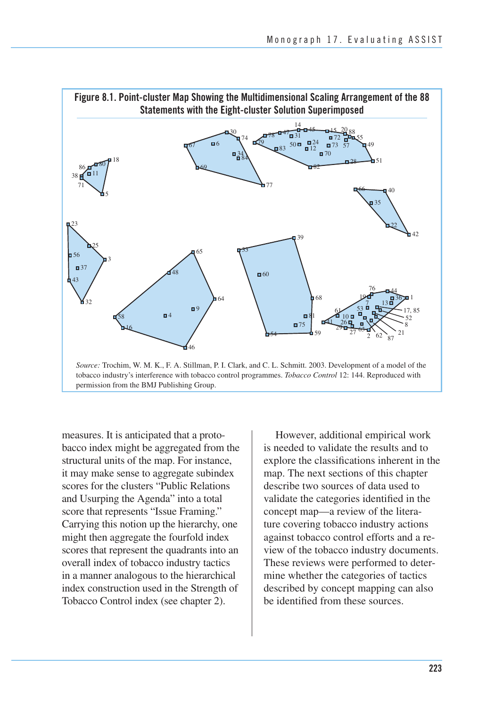

permission from the BMJ Publishing Group.

 measures. It is anticipated that a proto- bacco index might be aggregated from the structural units of the map. For instance, it may make sense to aggregate subindex scores for the clusters "Public Relations and Usurping the Agenda" into a total score that represents "Issue Framing." Carrying this notion up the hierarchy, one might then aggregate the fourfold index scores that represent the quadrants into an overall index of tobacco industry tactics in a manner analogous to the hierarchical index construction used in the Strength of Tobacco Control index (see chapter 2).

However, additional empirical work is needed to validate the results and to explore the classifications inherent in the map. The next sections of this chapter describe two sources of data used to validate the categories identified in the concept map—a review of the literature covering tobacco industry actions against tobacco control efforts and a review of the tobacco industry documents. These reviews were performed to determine whether the categories of tactics described by concept mapping can also be identified from these sources.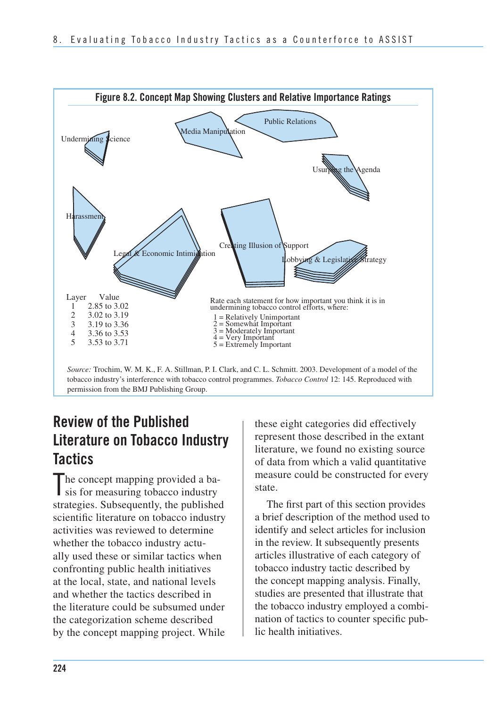

tobacco industry's interference with tobacco control programmes. *Tobacco Control* 12: 145. Reproduced with permission from the BMJ Publishing Group.

## **Review of the Published Literature on Tobacco Industry Tactics**

 he concept mapping provided a ba-The concept mapping provided a ba-<br>sis for measuring tobacco industry strategies. Subsequently, the published scientific literature on tobacco industry activities was reviewed to determine whether the tobacco industry actu- ally used these or similar tactics when confronting public health initiatives at the local, state, and national levels and whether the tactics described in the literature could be subsumed under the categorization scheme described by the concept mapping project. While

 these eight categories did effectively represent those described in the extant literature, we found no existing source of data from which a valid quantitative measure could be constructed for every state.

The first part of this section provides a brief description of the method used to identify and select articles for inclusion in the review. It subsequently presents articles illustrative of each category of tobacco industry tactic described by the concept mapping analysis. Finally, studies are presented that illustrate that the tobacco industry employed a combination of tactics to counter specific public health initiatives.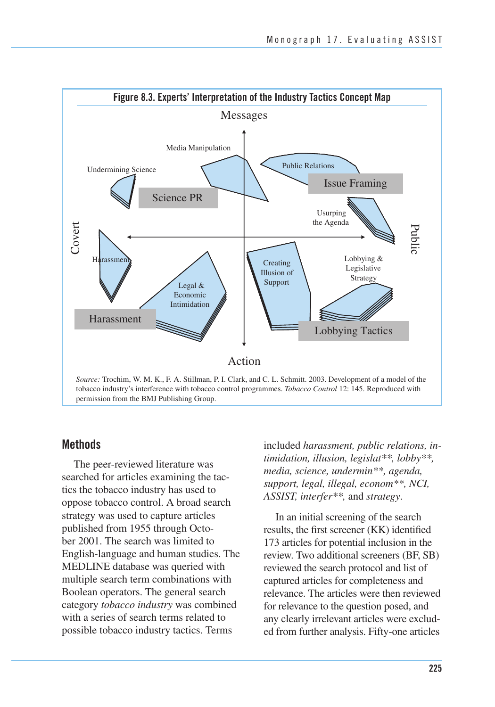

#### **Methods**

 The peer-reviewed literature was searched for articles examining the tac- tics the tobacco industry has used to oppose tobacco control. A broad search strategy was used to capture articles published from 1955 through Octo- ber 2001. The search was limited to English-language and human studies. The MEDLINE database was queried with multiple search term combinations with Boolean operators. The general search  category *tobacco industry* was combined with a series of search terms related to possible tobacco industry tactics. Terms

 included *harassment, public relations, in- timidation, illusion, legislat\*\*, lobby\*\*, media, science, undermin\*\*, agenda, support, legal, illegal, econom\*\*, NCI, ASSIST, interfer\*\*,* and *strategy*.

 In an initial screening of the search results, the first screener (KK) identified 173 articles for potential inclusion in the review. Two additional screeners (BF, SB) reviewed the search protocol and list of captured articles for completeness and relevance. The articles were then reviewed for relevance to the question posed, and any clearly irrelevant articles were exclud-ed from further analysis. Fifty-one articles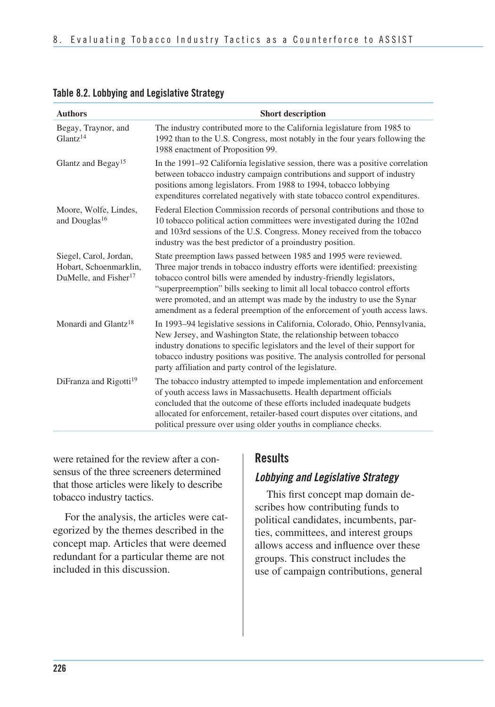| <b>Authors</b>                                                                        | <b>Short description</b>                                                                                                                                                                                                                                                                                                                                                                                                                                        |
|---------------------------------------------------------------------------------------|-----------------------------------------------------------------------------------------------------------------------------------------------------------------------------------------------------------------------------------------------------------------------------------------------------------------------------------------------------------------------------------------------------------------------------------------------------------------|
| Begay, Traynor, and<br>Glantz <sup>14</sup>                                           | The industry contributed more to the California legislature from 1985 to<br>1992 than to the U.S. Congress, most notably in the four years following the<br>1988 enactment of Proposition 99.                                                                                                                                                                                                                                                                   |
| Glantz and Begay <sup>15</sup>                                                        | In the 1991–92 California legislative session, there was a positive correlation<br>between tobacco industry campaign contributions and support of industry<br>positions among legislators. From 1988 to 1994, tobacco lobbying<br>expenditures correlated negatively with state tobacco control expenditures.                                                                                                                                                   |
| Moore, Wolfe, Lindes,<br>and Douglas <sup>16</sup>                                    | Federal Election Commission records of personal contributions and those to<br>10 tobacco political action committees were investigated during the 102nd<br>and 103rd sessions of the U.S. Congress. Money received from the tobacco<br>industry was the best predictor of a proindustry position.                                                                                                                                                               |
| Siegel, Carol, Jordan,<br>Hobart, Schoenmarklin,<br>DuMelle, and Fisher <sup>17</sup> | State preemption laws passed between 1985 and 1995 were reviewed.<br>Three major trends in tobacco industry efforts were identified: preexisting<br>tobacco control bills were amended by industry-friendly legislators,<br>"superpreemption" bills seeking to limit all local tobacco control efforts<br>were promoted, and an attempt was made by the industry to use the Synar<br>amendment as a federal preemption of the enforcement of youth access laws. |
| Monardi and Glantz <sup>18</sup>                                                      | In 1993-94 legislative sessions in California, Colorado, Ohio, Pennsylvania,<br>New Jersey, and Washington State, the relationship between tobacco<br>industry donations to specific legislators and the level of their support for<br>tobacco industry positions was positive. The analysis controlled for personal<br>party affiliation and party control of the legislature.                                                                                 |
| DiFranza and Rigotti <sup>19</sup>                                                    | The tobacco industry attempted to impede implementation and enforcement<br>of youth access laws in Massachusetts. Health department officials<br>concluded that the outcome of these efforts included inadequate budgets<br>allocated for enforcement, retailer-based court disputes over citations, and<br>political pressure over using older youths in compliance checks.                                                                                    |

#### **Table 8.2. Lobbying and Legislative Strategy**

 were retained for the review after a con- sensus of the three screeners determined that those articles were likely to describe tobacco industry tactics.

For the analysis, the articles were categorized by the themes described in the concept map. Articles that were deemed redundant for a particular theme are not included in this discussion.

### **Results**

### *Lobbying and Legislative Strategy*

This first concept map domain describes how contributing funds to political candidates, incumbents, parties, committees, and interest groups allows access and influence over these groups. This construct includes the use of campaign contributions, general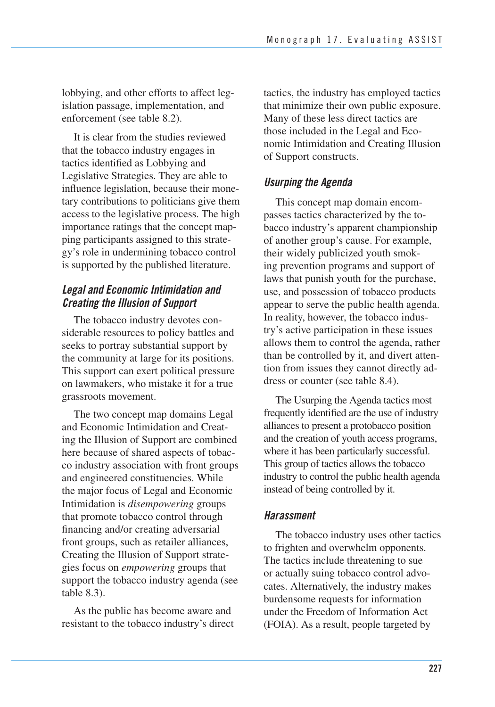lobbying, and other efforts to affect legislation passage, implementation, and enforcement (see table 8.2).

 It is clear from the studies reviewed that the tobacco industry engages in tactics identified as Lobbying and Legislative Strategies. They are able to influence legislation, because their mone- tary contributions to politicians give them access to the legislative process. The high importance ratings that the concept map- ping participants assigned to this strate- gy's role in undermining tobacco control is supported by the published literature.

## *Legal and Economic Intimidation and Creating the Illusion of Support*

The tobacco industry devotes considerable resources to policy battles and seeks to portray substantial support by the community at large for its positions. This support can exert political pressure on lawmakers, who mistake it for a true grassroots movement.

The two concept map domains Legal and Economic Intimidation and Creating the Illusion of Support are combined here because of shared aspects of tobacco industry association with front groups and engineered constituencies. While the major focus of Legal and Economic Intimidation is *disempowering* groups that promote tobacco control through financing and/or creating adversarial front groups, such as retailer alliances, Creating the Illusion of Support strategies focus on *empowering* groups that support the tobacco industry agenda (see table 8.3).

As the public has become aware and resistant to the tobacco industry's direct tactics, the industry has employed tactics that minimize their own public exposure. Many of these less direct tactics are those included in the Legal and Economic Intimidation and Creating Illusion of Support constructs.

## *Usurping the Agenda*

This concept map domain encompasses tactics characterized by the tobacco industry's apparent championship of another group's cause. For example, their widely publicized youth smoking prevention programs and support of laws that punish youth for the purchase, use, and possession of tobacco products appear to serve the public health agenda. In reality, however, the tobacco industry's active participation in these issues allows them to control the agenda, rather than be controlled by it, and divert attention from issues they cannot directly address or counter (see table 8.4).

 The Usurping the Agenda tactics most frequently identified are the use of industry alliances to present a protobacco position and the creation of youth access programs, where it has been particularly successful. This group of tactics allows the tobacco industry to control the public health agenda instead of being controlled by it.

### *Harassment*

 The tobacco industry uses other tactics to frighten and overwhelm opponents. The tactics include threatening to sue or actually suing tobacco control advo- cates. Alternatively, the industry makes burdensome requests for information under the Freedom of Information Act (FOIA). As a result, people targeted by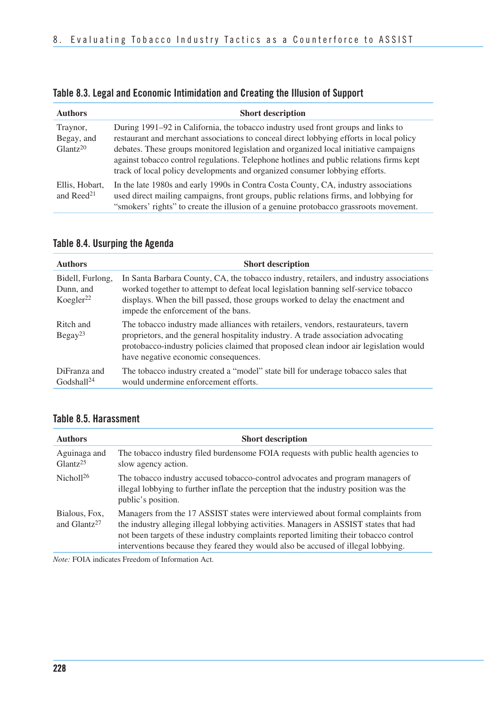| Table 8.3. Legal and Economic Intimidation and Creating the Illusion of Support |  |
|---------------------------------------------------------------------------------|--|
|---------------------------------------------------------------------------------|--|

| <b>Authors</b>                                 | <b>Short description</b>                                                                                                                                                                                                                                                                                                                                                                                                                       |
|------------------------------------------------|------------------------------------------------------------------------------------------------------------------------------------------------------------------------------------------------------------------------------------------------------------------------------------------------------------------------------------------------------------------------------------------------------------------------------------------------|
| Traynor,<br>Begay, and<br>Glantz <sup>20</sup> | During 1991–92 in California, the tobacco industry used front groups and links to<br>restaurant and merchant associations to conceal direct lobbying efforts in local policy<br>debates. These groups monitored legislation and organized local initiative campaigns<br>against tobacco control regulations. Telephone hotlines and public relations firms kept<br>track of local policy developments and organized consumer lobbying efforts. |
| Ellis, Hobart,<br>and $\text{Reed}^{21}$       | In the late 1980s and early 1990s in Contra Costa County, CA, industry associations<br>used direct mailing campaigns, front groups, public relations firms, and lobbying for<br>"smokers' rights" to create the illusion of a genuine protobacco grassroots movement.                                                                                                                                                                          |

| <b>Authors</b>                                         | <b>Short description</b>                                                                                                                                                                                                                                                                                 |
|--------------------------------------------------------|----------------------------------------------------------------------------------------------------------------------------------------------------------------------------------------------------------------------------------------------------------------------------------------------------------|
| Bidell, Furlong,<br>Dunn, and<br>Koegler <sup>22</sup> | In Santa Barbara County, CA, the tobacco industry, retailers, and industry associations<br>worked together to attempt to defeat local legislation banning self-service tobacco<br>displays. When the bill passed, those groups worked to delay the enactment and<br>impede the enforcement of the bans.  |
| Ritch and<br>Begay <sup>23</sup>                       | The tobacco industry made alliances with retailers, vendors, restaurateurs, tavern<br>proprietors, and the general hospitality industry. A trade association advocating<br>protobacco-industry policies claimed that proposed clean indoor air legislation would<br>have negative economic consequences. |
| DiFranza and<br>$G \cdot \text{dshall}^{24}$           | The tobacco industry created a "model" state bill for underage tobacco sales that<br>would undermine enforcement efforts.                                                                                                                                                                                |

## **Table 8.4. Usurping the Agenda**

## **Table 8.5. Harassment**

| <b>Authors</b>                            | <b>Short description</b>                                                                                                                                                                                                                                                                                                                                |
|-------------------------------------------|---------------------------------------------------------------------------------------------------------------------------------------------------------------------------------------------------------------------------------------------------------------------------------------------------------------------------------------------------------|
| Aguinaga and<br>Glantz <sup>25</sup>      | The tobacco industry filed burdensome FOIA requests with public health agencies to<br>slow agency action.                                                                                                                                                                                                                                               |
| Nichol <sup>126</sup>                     | The tobacco industry accused tobacco-control advocates and program managers of<br>illegal lobbying to further inflate the perception that the industry position was the<br>public's position.                                                                                                                                                           |
| Bialous, Fox.<br>and Glantz <sup>27</sup> | Managers from the 17 ASSIST states were interviewed about formal complaints from<br>the industry alleging illegal lobbying activities. Managers in ASSIST states that had<br>not been targets of these industry complaints reported limiting their tobacco control<br>interventions because they feared they would also be accused of illegal lobbying. |

*Note:* FOIA indicates Freedom of Information Act.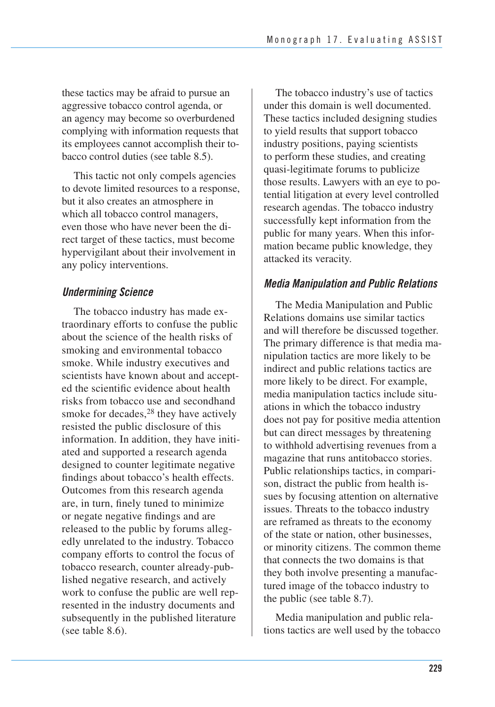these tactics may be afraid to pursue an aggressive tobacco control agenda, or an agency may become so overburdened complying with information requests that its employees cannot accomplish their to-bacco control duties (see table 8.5).

This tactic not only compels agencies to devote limited resources to a response, but it also creates an atmosphere in which all tobacco control managers, even those who have never been the direct target of these tactics, must become hypervigilant about their involvement in any policy interventions.

### *Undermining Science*

 The tobacco industry has made ex- traordinary efforts to confuse the public about the science of the health risks of smoking and environmental tobacco smoke. While industry executives and scientists have known about and accept- ed the scientific evidence about health risks from tobacco use and secondhand smoke for decades,<sup>28</sup> they have actively resisted the public disclosure of this information. In addition, they have initi- ated and supported a research agenda designed to counter legitimate negative findings about tobacco's health effects. Outcomes from this research agenda are, in turn, finely tuned to minimize or negate negative findings and are released to the public by forums alleg- edly unrelated to the industry. Tobacco company efforts to control the focus of tobacco research, counter already-pub- lished negative research, and actively work to confuse the public are well rep- resented in the industry documents and subsequently in the published literature (see table 8.6).

The tobacco industry's use of tactics under this domain is well documented. These tactics included designing studies to yield results that support tobacco industry positions, paying scientists to perform these studies, and creating quasi-legitimate forums to publicize those results. Lawyers with an eye to potential litigation at every level controlled research agendas. The tobacco industry successfully kept information from the public for many years. When this information became public knowledge, they attacked its veracity.

## *Media Manipulation and Public Relations*

 The Media Manipulation and Public Relations domains use similar tactics and will therefore be discussed together. The primary difference is that media ma- nipulation tactics are more likely to be indirect and public relations tactics are more likely to be direct. For example, media manipulation tactics include situ- ations in which the tobacco industry does not pay for positive media attention but can direct messages by threatening to withhold advertising revenues from a magazine that runs antitobacco stories. Public relationships tactics, in compari- son, distract the public from health is- sues by focusing attention on alternative issues. Threats to the tobacco industry are reframed as threats to the economy of the state or nation, other businesses, or minority citizens. The common theme that connects the two domains is that they both involve presenting a manufac- tured image of the tobacco industry to the public (see table 8.7).

Media manipulation and public relations tactics are well used by the tobacco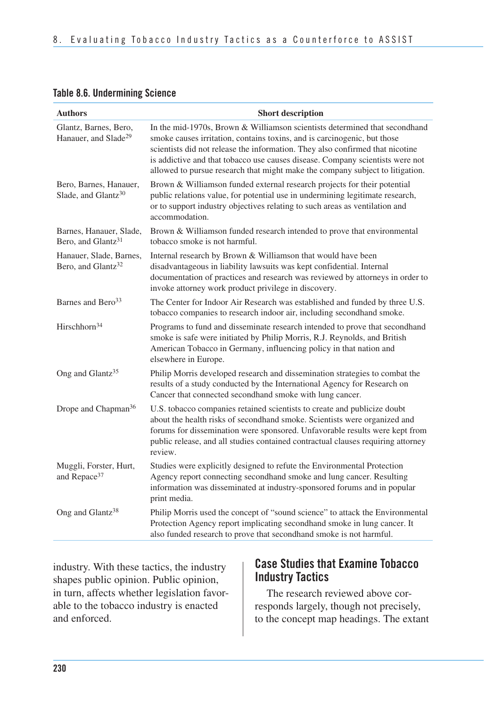#### **Table 8.6. Undermining Science**

| <b>Authors</b>                                            | <b>Short description</b>                                                                                                                                                                                                                                                                                                                                                                                  |
|-----------------------------------------------------------|-----------------------------------------------------------------------------------------------------------------------------------------------------------------------------------------------------------------------------------------------------------------------------------------------------------------------------------------------------------------------------------------------------------|
| Glantz, Barnes, Bero,<br>Hanauer, and Slade <sup>29</sup> | In the mid-1970s, Brown & Williamson scientists determined that secondhand<br>smoke causes irritation, contains toxins, and is carcinogenic, but those<br>scientists did not release the information. They also confirmed that nicotine<br>is addictive and that tobacco use causes disease. Company scientists were not<br>allowed to pursue research that might make the company subject to litigation. |
| Bero, Barnes, Hanauer,<br>Slade, and Glantz <sup>30</sup> | Brown & Williamson funded external research projects for their potential<br>public relations value, for potential use in undermining legitimate research,<br>or to support industry objectives relating to such areas as ventilation and<br>accommodation.                                                                                                                                                |
| Barnes, Hanauer, Slade,<br>Bero, and Glantz <sup>31</sup> | Brown & Williamson funded research intended to prove that environmental<br>tobacco smoke is not harmful.                                                                                                                                                                                                                                                                                                  |
| Hanauer, Slade, Barnes,<br>Bero, and Glantz <sup>32</sup> | Internal research by Brown & Williamson that would have been<br>disadvantageous in liability lawsuits was kept confidential. Internal<br>documentation of practices and research was reviewed by attorneys in order to<br>invoke attorney work product privilege in discovery.                                                                                                                            |
| Barnes and Bero <sup>33</sup>                             | The Center for Indoor Air Research was established and funded by three U.S.<br>tobacco companies to research indoor air, including secondhand smoke.                                                                                                                                                                                                                                                      |
| Hirschhorn <sup>34</sup>                                  | Programs to fund and disseminate research intended to prove that secondhand<br>smoke is safe were initiated by Philip Morris, R.J. Reynolds, and British<br>American Tobacco in Germany, influencing policy in that nation and<br>elsewhere in Europe.                                                                                                                                                    |
| Ong and Glantz <sup>35</sup>                              | Philip Morris developed research and dissemination strategies to combat the<br>results of a study conducted by the International Agency for Research on<br>Cancer that connected secondhand smoke with lung cancer.                                                                                                                                                                                       |
| Drope and Chapman <sup>36</sup>                           | U.S. tobacco companies retained scientists to create and publicize doubt<br>about the health risks of secondhand smoke. Scientists were organized and<br>forums for dissemination were sponsored. Unfavorable results were kept from<br>public release, and all studies contained contractual clauses requiring attorney<br>review.                                                                       |
| Muggli, Forster, Hurt,<br>and Repace <sup>37</sup>        | Studies were explicitly designed to refute the Environmental Protection<br>Agency report connecting secondhand smoke and lung cancer. Resulting<br>information was disseminated at industry-sponsored forums and in popular<br>print media.                                                                                                                                                               |
| Ong and Glantz <sup>38</sup>                              | Philip Morris used the concept of "sound science" to attack the Environmental<br>Protection Agency report implicating secondhand smoke in lung cancer. It<br>also funded research to prove that secondhand smoke is not harmful.                                                                                                                                                                          |

industry. With these tactics, the industry shapes public opinion. Public opinion, in turn, affects whether legislation favorable to the tobacco industry is enacted and enforced.

## **Case Studies that Examine Tobacco Industry Tactics**

The research reviewed above corresponds largely, though not precisely, to the concept map headings. The extant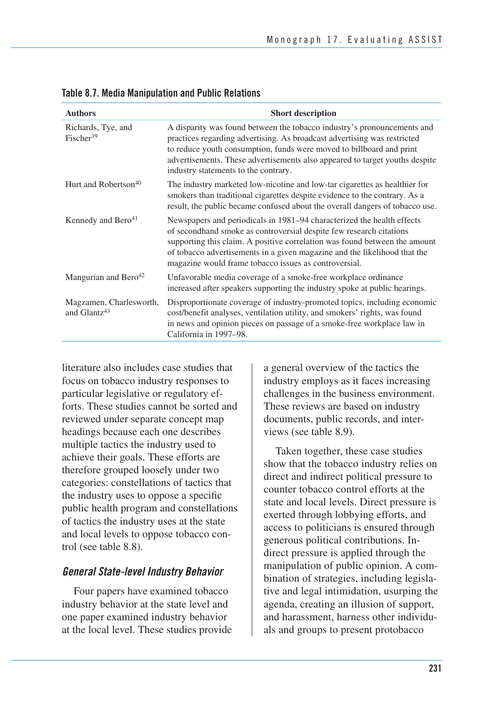| <b>Authors</b>                                      | <b>Short description</b>                                                                                                                                                                                                                                                                                                                                          |
|-----------------------------------------------------|-------------------------------------------------------------------------------------------------------------------------------------------------------------------------------------------------------------------------------------------------------------------------------------------------------------------------------------------------------------------|
| Richards, Tye, and<br>Fischer <sup>39</sup>         | A disparity was found between the tobacco industry's pronouncements and<br>practices regarding advertising. As broadcast advertising was restricted<br>to reduce youth consumption, funds were moved to billboard and print<br>advertisements. These advertisements also appeared to target youths despite<br>industry statements to the contrary.                |
| Hurt and Robertson <sup>40</sup>                    | The industry marketed low-nicotine and low-tar cigarettes as healthier for<br>smokers than traditional cigarettes despite evidence to the contrary. As a<br>result, the public became confused about the overall dangers of tobacco use.                                                                                                                          |
| Kennedy and Bero <sup>41</sup>                      | Newspapers and periodicals in 1981–94 characterized the health effects<br>of secondhand smoke as controversial despite few research citations<br>supporting this claim. A positive correlation was found between the amount<br>of tobacco advertisements in a given magazine and the likelihood that the<br>magazine would frame tobacco issues as controversial. |
| Mangurian and Bero <sup>42</sup>                    | Unfavorable media coverage of a smoke-free workplace ordinance<br>increased after speakers supporting the industry spoke at public hearings.                                                                                                                                                                                                                      |
| Magzamen, Charlesworth,<br>and Glantz <sup>43</sup> | Disproportionate coverage of industry-promoted topics, including economic<br>cost/benefit analyses, ventilation utility, and smokers' rights, was found<br>in news and opinion pieces on passage of a smoke-free workplace law in<br>California in 1997–98.                                                                                                       |

**Table 8.7. Media Manipulation and Public Relations** 

literature also includes case studies that focus on tobacco industry responses to particular legislative or regulatory efforts. These studies cannot be sorted and reviewed under separate concept map headings because each one describes multiple tactics the industry used to achieve their goals. These efforts are therefore grouped loosely under two categories: constellations of tactics that the industry uses to oppose a specific public health program and constellations of tactics the industry uses at the state and local levels to oppose tobacco control (see table 8.8).

#### *General State-level Industry Behavior*

Four papers have examined tobacco industry behavior at the state level and one paper examined industry behavior at the local level. These studies provide a general overview of the tactics the industry employs as it faces increasing challenges in the business environment. These reviews are based on industry documents, public records, and interviews (see table 8.9).

 Taken together, these case studies show that the tobacco industry relies on direct and indirect political pressure to counter tobacco control efforts at the state and local levels. Direct pressure is exerted through lobbying efforts, and access to politicians is ensured through generous political contributions. In- direct pressure is applied through the manipulation of public opinion. A com- bination of strategies, including legisla- tive and legal intimidation, usurping the agenda, creating an illusion of support, and harassment, harness other individu-als and groups to present protobacco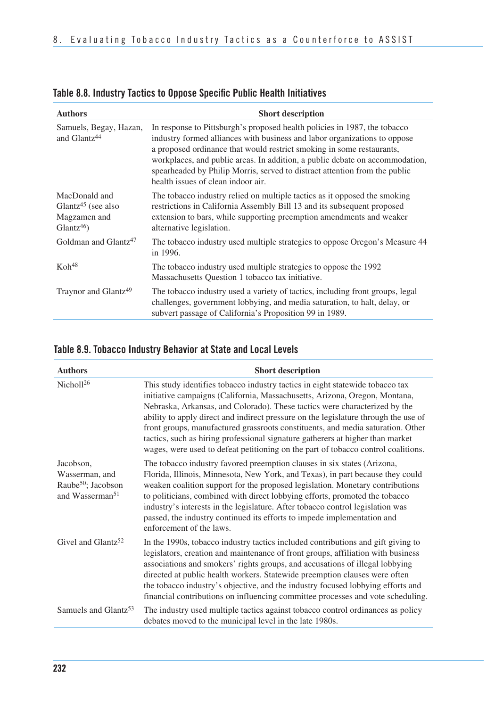| <b>Authors</b>                                                                   | <b>Short description</b>                                                                                                                                                                                                                                                                                                                                                                                                            |
|----------------------------------------------------------------------------------|-------------------------------------------------------------------------------------------------------------------------------------------------------------------------------------------------------------------------------------------------------------------------------------------------------------------------------------------------------------------------------------------------------------------------------------|
| Samuels, Begay, Hazan,<br>and Glantz <sup>44</sup>                               | In response to Pittsburgh's proposed health policies in 1987, the tobacco<br>industry formed alliances with business and labor organizations to oppose<br>a proposed ordinance that would restrict smoking in some restaurants,<br>workplaces, and public areas. In addition, a public debate on accommodation,<br>spearheaded by Philip Morris, served to distract attention from the public<br>health issues of clean indoor air. |
| MacDonald and<br>Glantz <sup>45</sup> (see also<br>Magzamen and<br>$Glantz^{46}$ | The tobacco industry relied on multiple tactics as it opposed the smoking<br>restrictions in California Assembly Bill 13 and its subsequent proposed<br>extension to bars, while supporting preemption amendments and weaker<br>alternative legislation.                                                                                                                                                                            |
| Goldman and Glantz <sup>47</sup>                                                 | The tobacco industry used multiple strategies to oppose Oregon's Measure 44<br>in 1996.                                                                                                                                                                                                                                                                                                                                             |
| $K$ oh <sup>48</sup>                                                             | The tobacco industry used multiple strategies to oppose the 1992<br>Massachusetts Question 1 tobacco tax initiative.                                                                                                                                                                                                                                                                                                                |
| Traynor and Glantz <sup>49</sup>                                                 | The tobacco industry used a variety of tactics, including front groups, legal<br>challenges, government lobbying, and media saturation, to halt, delay, or<br>subvert passage of California's Proposition 99 in 1989.                                                                                                                                                                                                               |

## **Table 8.8. Industry Tactics to Oppose Specific Public Health Initiatives**

### **Table 8.9. Tobacco Industry Behavior at State and Local Levels**

| <b>Authors</b>                                                                               | <b>Short description</b>                                                                                                                                                                                                                                                                                                                                                                                                                                                                                                                                                                   |
|----------------------------------------------------------------------------------------------|--------------------------------------------------------------------------------------------------------------------------------------------------------------------------------------------------------------------------------------------------------------------------------------------------------------------------------------------------------------------------------------------------------------------------------------------------------------------------------------------------------------------------------------------------------------------------------------------|
| Nichol $126$                                                                                 | This study identifies tobacco industry tactics in eight statewide tobacco tax<br>initiative campaigns (California, Massachusetts, Arizona, Oregon, Montana,<br>Nebraska, Arkansas, and Colorado). These tactics were characterized by the<br>ability to apply direct and indirect pressure on the legislature through the use of<br>front groups, manufactured grassroots constituents, and media saturation. Other<br>tactics, such as hiring professional signature gatherers at higher than market<br>wages, were used to defeat petitioning on the part of tobacco control coalitions. |
| Jacobson,<br>Wasserman, and<br>Raube <sup>50</sup> ; Jacobson<br>and Wasserman <sup>51</sup> | The tobacco industry favored preemption clauses in six states (Arizona,<br>Florida, Illinois, Minnesota, New York, and Texas), in part because they could<br>weaken coalition support for the proposed legislation. Monetary contributions<br>to politicians, combined with direct lobbying efforts, promoted the tobacco<br>industry's interests in the legislature. After tobacco control legislation was<br>passed, the industry continued its efforts to impede implementation and<br>enforcement of the laws.                                                                         |
| Givel and Glantz <sup>52</sup>                                                               | In the 1990s, tobacco industry tactics included contributions and gift giving to<br>legislators, creation and maintenance of front groups, affiliation with business<br>associations and smokers' rights groups, and accusations of illegal lobbying<br>directed at public health workers. Statewide preemption clauses were often<br>the tobacco industry's objective, and the industry focused lobbying efforts and<br>financial contributions on influencing committee processes and vote scheduling.                                                                                   |
| Samuels and Glantz <sup>53</sup>                                                             | The industry used multiple tactics against tobacco control ordinances as policy<br>debates moved to the municipal level in the late 1980s.                                                                                                                                                                                                                                                                                                                                                                                                                                                 |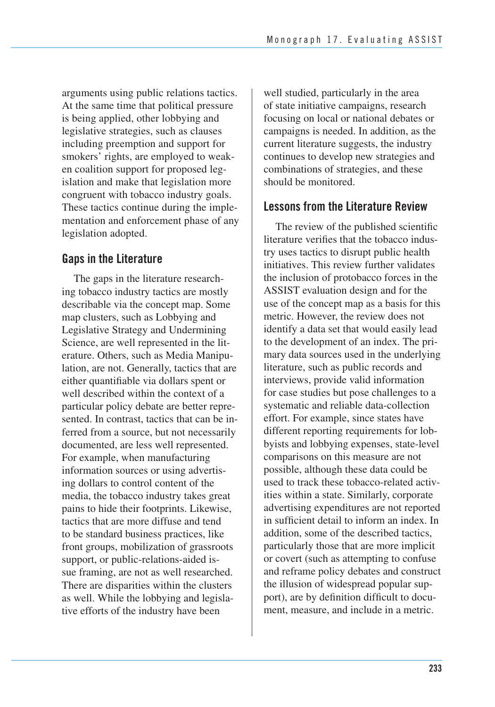arguments using public relations tactics. At the same time that political pressure is being applied, other lobbying and legislative strategies, such as clauses including preemption and support for smokers' rights, are employed to weak- en coalition support for proposed leg- islation and make that legislation more congruent with tobacco industry goals. These tactics continue during the imple- mentation and enforcement phase of any legislation adopted.

## **Gaps in the Literature**

The gaps in the literature researching tobacco industry tactics are mostly describable via the concept map. Some map clusters, such as Lobbying and Legislative Strategy and Undermining Science, are well represented in the literature. Others, such as Media Manipulation, are not. Generally, tactics that are either quantifiable via dollars spent or well described within the context of a particular policy debate are better represented. In contrast, tactics that can be inferred from a source, but not necessarily documented, are less well represented. For example, when manufacturing information sources or using advertising dollars to control content of the media, the tobacco industry takes great pains to hide their footprints. Likewise, tactics that are more diffuse and tend to be standard business practices, like front groups, mobilization of grassroots support, or public-relations-aided issue framing, are not as well researched. There are disparities within the clusters as well. While the lobbying and legislative efforts of the industry have been

well studied, particularly in the area of state initiative campaigns, research focusing on local or national debates or campaigns is needed. In addition, as the current literature suggests, the industry continues to develop new strategies and combinations of strategies, and these should be monitored.

## **Lessons from the Literature Review**

The review of the published scientific literature verifies that the tobacco industry uses tactics to disrupt public health initiatives. This review further validates the inclusion of protobacco forces in the ASSIST evaluation design and for the use of the concept map as a basis for this metric. However, the review does not identify a data set that would easily lead to the development of an index. The primary data sources used in the underlying literature, such as public records and interviews, provide valid information for case studies but pose challenges to a systematic and reliable data-collection effort. For example, since states have different reporting requirements for lobbyists and lobbying expenses, state-level comparisons on this measure are not possible, although these data could be used to track these tobacco-related activities within a state. Similarly, corporate advertising expenditures are not reported in sufficient detail to inform an index. In addition, some of the described tactics, particularly those that are more implicit or covert (such as attempting to confuse and reframe policy debates and construct the illusion of widespread popular support), are by definition difficult to document, measure, and include in a metric.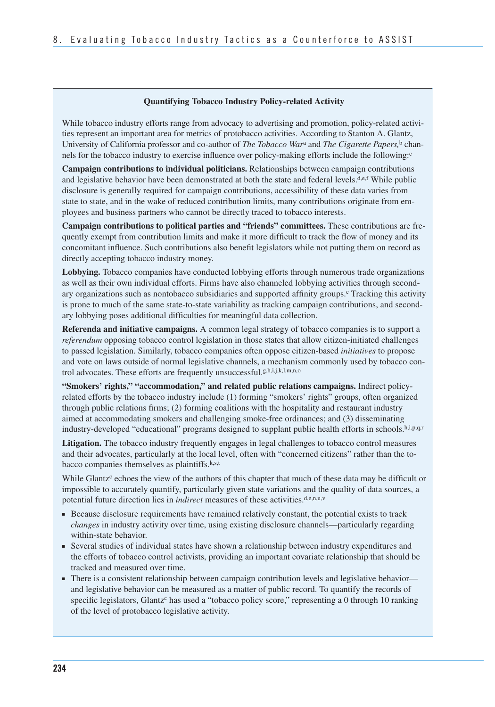#### **Quantifying Tobacco Industry Policy-related Activity**

 While tobacco industry efforts range from advocacy to advertising and promotion, policy-related activi- ties represent an important area for metrics of protobacco activities. According to Stanton A. Glantz, University of California professor and co-author of *The Tobacco War*a and *The Cigarette Papers,*b channels for the tobacco industry to exercise influence over policy-making efforts include the following:<sup>c</sup>

**Campaign contributions to individual politicians.** Relationships between campaign contributions and legislative behavior have been demonstrated at both the state and federal levels.d,e,f While public disclosure is generally required for campaign contributions, accessibility of these data varies from state to state, and in the wake of reduced contribution limits, many contributions originate from employees and business partners who cannot be directly traced to tobacco interests.

**Campaign contributions to political parties and "friends" committees.** These contributions are frequently exempt from contribution limits and make it more difficult to track the flow of money and its concomitant influence. Such contributions also benefit legislators while not putting them on record as directly accepting tobacco industry money.

**Lobbying.** Tobacco companies have conducted lobbying efforts through numerous trade organizations as well as their own individual efforts. Firms have also channeled lobbying activities through secondary organizations such as nontobacco subsidiaries and supported affinity groups.<sup>e</sup> Tracking this activity is prone to much of the same state-to-state variability as tracking campaign contributions, and secondary lobbying poses additional difficulties for meaningful data collection.

**Referenda and initiative campaigns.** A common legal strategy of tobacco companies is to support a *referendum* opposing tobacco control legislation in those states that allow citizen-initiated challenges to passed legislation. Similarly, tobacco companies often oppose citizen-based *initiatives* to propose and vote on laws outside of normal legislative channels, a mechanism commonly used by tobacco control advocates. These efforts are frequently unsuccessful.g,h,i,j,k,l,m,n,o

**"Smokers' rights," "accommodation," and related public relations campaigns.** Indirect policyrelated efforts by the tobacco industry include (1) forming "smokers' rights" groups, often organized through public relations firms; (2) forming coalitions with the hospitality and restaurant industry aimed at accommodating smokers and challenging smoke-free ordinances; and (3) disseminating industry-developed "educational" programs designed to supplant public health efforts in schools.h,i,p,q,r

**Litigation.** The tobacco industry frequently engages in legal challenges to tobacco control measures and their advocates, particularly at the local level, often with "concerned citizens" rather than the tobacco companies themselves as plaintiffs.<sup>k,s,t</sup>

While Glantz<sup>c</sup> echoes the view of the authors of this chapter that much of these data may be difficult or impossible to accurately quantify, particularly given state variations and the quality of data sources, a potential future direction lies in *indirect* measures of these activities.<sup>d,e,n,u,v</sup>

- ■ Because disclosure requirements have remained relatively constant, the potential exists to track *changes* in industry activity over time, using existing disclosure channels—particularly regarding within-state behavior.
- Several studies of individual states have shown a relationship between industry expenditures and the efforts of tobacco control activists, providing an important covariate relationship that should be tracked and measured over time.
- There is a consistent relationship between campaign contribution levels and legislative behavior and legislative behavior can be measured as a matter of public record. To quantify the records of specific legislators, Glantz<sup>c</sup> has used a "tobacco policy score," representing a 0 through 10 ranking of the level of protobacco legislative activity.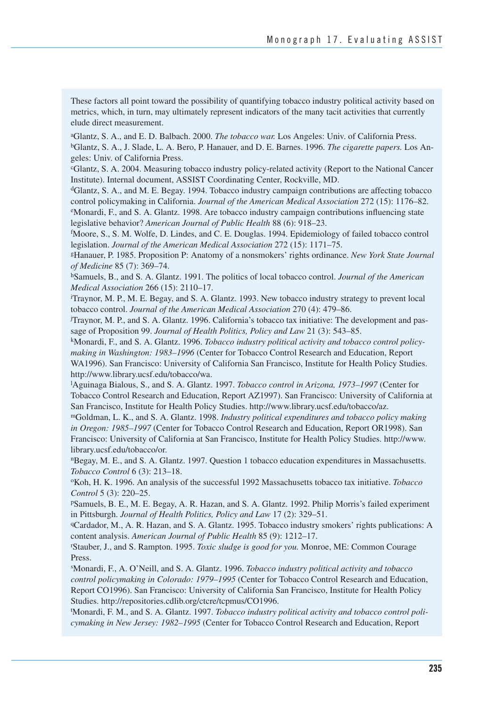These factors all point toward the possibility of quantifying tobacco industry political activity based on metrics, which, in turn, may ultimately represent indicators of the many tacit activities that currently elude direct measurement.

aGlantz, S. A., and E. D. Balbach. 2000. *The tobacco war.* Los Angeles: Univ. of California Press. bGlantz, S. A., J. Slade, L. A. Bero, P. Hanauer, and D. E. Barnes. 1996. *The cigarette papers.* Los Angeles: Univ. of California Press.

cGlantz, S. A. 2004. Measuring tobacco industry policy-related activity (Report to the National Cancer Institute). Internal document, ASSIST Coordinating Center, Rockville, MD.

dGlantz, S. A., and M. E. Begay. 1994. Tobacco industry campaign contributions are affecting tobacco

control policymaking in California. *Journal of the American Medical Association* 272 (15): 1176–82.<br><sup>e</sup>Monardi, F., and S. A. Glantz. 1998. Are tobacco industry campaign contributions influencing state legislative behavior? *American Journal of Public Health* 88 (6): 918–23. f

Moore, S., S. M. Wolfe, D. Lindes, and C. E. Douglas. 1994. Epidemiology of failed tobacco control legislation. *Journal of the American Medical Association* 272 (15): 1171–75. legislation. *Journal of the American Medical Association* 272 (15): 1171–75.<br><sup>g</sup>Hanauer, P. 1985. Proposition P: Anatomy of a nonsmokers' rights ordinance. *New York State Journal* 

*of Medicine* 85 (7): 369–74.

 hSamuels, B., and S. A. Glantz. 1991. The politics of local tobacco control. *Journal of the American Medical Association* 266 (15): 2110–17.<br><sup>i</sup>Travnor M P M E Begay and S A G

<sup>i</sup>Traynor, M. P., M. E. Begay, and S. A. Glantz. 1993. New tobacco industry strategy to prevent local tobacco control. *Journal of the American Medical Association* 270 (4): 479–86.

j Traynor, M. P., and S. A. Glantz. 1996. California's tobacco tax initiative: The development and passage of Proposition 99. *Journal of Health Politics, Policy and Law* 21 (3): 543–85.

 kMonardi, F., and S. A. Glantz. 1996. *Tobacco industry political activity and tobacco control policymaking in Washington: 1983–1996* (Center for Tobacco Control Research and Education, Report WA1996). San Francisco: University of California San Francisco, Institute for Health Policy Studies. http://www.library.ucsf.edu/tobacco/wa.

l Aguinaga Bialous, S., and S. A. Glantz. 1997. *Tobacco control in Arizona, 1973–1997* (Center for Tobacco Control Research and Education, Report AZ1997). San Francisco: University of California at San Francisco, Institute for Health Policy Studies. http://www.library.ucsf.edu/tobacco/az.

mGoldman, L. K., and S. A. Glantz. 1998. *Industry political expenditures and tobacco policy making in Oregon: 1985–1997* (Center for Tobacco Control Research and Education, Report OR1998). San Francisco: University of California at San Francisco, Institute for Health Policy Studies. http://www. library.ucsf.edu/tobacco/or.

nBegay, M. E., and S. A. Glantz. 1997. Question 1 tobacco education expenditures in Massachusetts. *Tobacco Control* 6 (3): 213–18.

 oKoh, H. K. 1996. An analysis of the successful 1992 Massachusetts tobacco tax initiative. *Tobacco Control* 5 (3): 220–25.

 pSamuels, B. E., M. E. Begay, A. R. Hazan, and S. A. Glantz. 1992. Philip Morris's failed experiment in Pittsburgh. *Journal of Health Politics, Policy and Law* 17 (2): 329–51.

 qCardador, M., A. R. Hazan, and S. A. Glantz. 1995. Tobacco industry smokers' rights publications: A content analysis. *American Journal of Public Health* 85 (9): 1212–17.<br>Stauber J. and S. Rampton, 1995. *Toxic sludge is good for you*. Monre

Stauber, J., and S. Rampton. 1995. *Toxic sludge is good for you.* Monroe, ME: Common Courage Press.

s Monardi, F., A. O'Neill, and S. A. Glantz. 1996. *Tobacco industry political activity and tobacco control policymaking in Colorado: 1979–1995* (Center for Tobacco Control Research and Education, Report CO1996). San Francisco: University of California San Francisco, Institute for Health Policy Studies. http://repositories.cdlib.org/ctcre/tcpmus/CO1996.

t Monardi, F. M., and S. A. Glantz. 1997. *Tobacco industry political activity and tobacco control policymaking in New Jersey: 1982–1995* (Center for Tobacco Control Research and Education, Report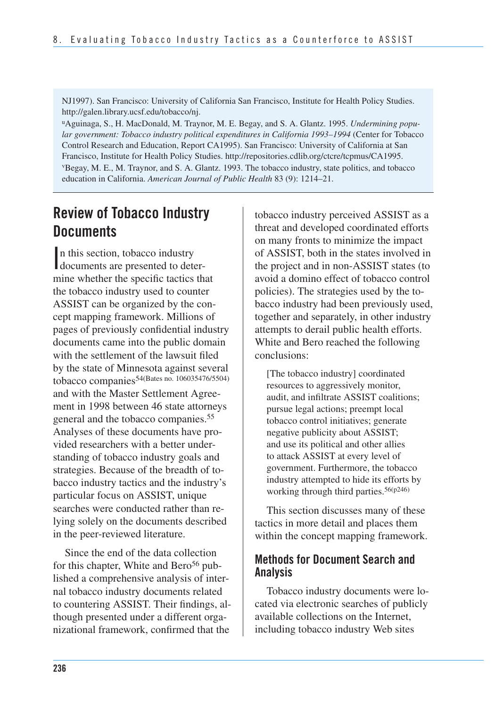NJ1997). San Francisco: University of California San Francisco, Institute for Health Policy Studies. http://galen.library.ucsf.edu/tobacco/nj.

<sup>u</sup>Aguinaga, S., H. MacDonald, M. Traynor, M. E. Begay, and S. A. Glantz. 1995. *Undermining popular government: Tobacco industry political expenditures in California 1993–1994* (Center for Tobacco Control Research and Education, Report CA1995). San Francisco: University of California at San Francisco, Institute for Health Policy Studies. http://repositories.cdlib.org/ctcre/tcpmus/CA1995. vBegay, M. E., M. Traynor, and S. A. Glantz. 1993. The tobacco industry, state politics, and tobacco education in California. *American Journal of Public Health* 83 (9): 1214–21.

# **Review of Tobacco Industry Documents**

n this section, tobacco industry<br>documents are presented to detern this section, tobacco industry mine whether the specific tactics that the tobacco industry used to counter ASSIST can be organized by the concept mapping framework. Millions of pages of previously confidential industry documents came into the public domain with the settlement of the lawsuit filed by the state of Minnesota against several tobacco companies54(Bates no. 106035476/5504) and with the Master Settlement Agreement in 1998 between 46 state attorneys general and the tobacco companies.55 Analyses of these documents have provided researchers with a better understanding of tobacco industry goals and strategies. Because of the breadth of tobacco industry tactics and the industry's particular focus on ASSIST, unique searches were conducted rather than relying solely on the documents described in the peer-reviewed literature.

Since the end of the data collection for this chapter, White and Bero<sup>56</sup> published a comprehensive analysis of internal tobacco industry documents related to countering ASSIST. Their findings, although presented under a different organizational framework, confirmed that the

tobacco industry perceived ASSIST as a threat and developed coordinated efforts on many fronts to minimize the impact of ASSIST, both in the states involved in the project and in non-ASSIST states (to avoid a domino effect of tobacco control policies). The strategies used by the tobacco industry had been previously used, together and separately, in other industry attempts to derail public health efforts. White and Bero reached the following conclusions:

[The tobacco industry] coordinated resources to aggressively monitor, audit, and infiltrate ASSIST coalitions; pursue legal actions; preempt local tobacco control initiatives; generate negative publicity about ASSIST; and use its political and other allies to attack ASSIST at every level of government. Furthermore, the tobacco industry attempted to hide its efforts by working through third parties.56(p246)

This section discusses many of these tactics in more detail and places them within the concept mapping framework.

### **Methods for Document Search and Analysis**

Tobacco industry documents were located via electronic searches of publicly available collections on the Internet, including tobacco industry Web sites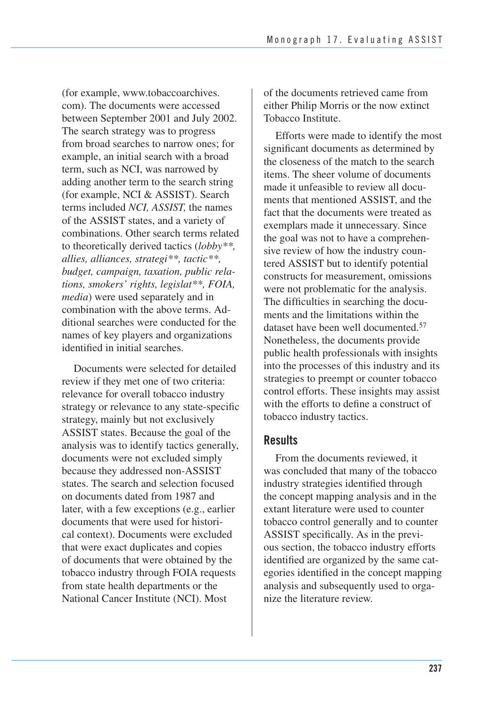(for example, www.tobaccoarchives. com). The documents were accessed between September 2001 and July 2002. The search strategy was to progress from broad searches to narrow ones; for example, an initial search with a broad term, such as NCI, was narrowed by adding another term to the search string (for example, NCI & ASSIST). Search terms included *NCI, ASSIST,* the names of the ASSIST states, and a variety of combinations. Other search terms related to theoretically derived tactics (*lobby\*\*, allies, alliances, strategi\*\*, tactic\*\*, budget, campaign, taxation, public relations, smokers' rights, legislat\*\*, FOIA, media*) were used separately and in combination with the above terms. Additional searches were conducted for the names of key players and organizations identified in initial searches.

Documents were selected for detailed review if they met one of two criteria: relevance for overall tobacco industry strategy or relevance to any state-specific strategy, mainly but not exclusively ASSIST states. Because the goal of the analysis was to identify tactics generally, documents were not excluded simply because they addressed non-ASSIST states. The search and selection focused on documents dated from 1987 and later, with a few exceptions (e.g., earlier documents that were used for historical context). Documents were excluded that were exact duplicates and copies of documents that were obtained by the tobacco industry through FOIA requests from state health departments or the National Cancer Institute (NCI). Most

of the documents retrieved came from either Philip Morris or the now extinct Tobacco Institute.

Efforts were made to identify the most significant documents as determined by the closeness of the match to the search items. The sheer volume of documents made it unfeasible to review all documents that mentioned ASSIST, and the fact that the documents were treated as exemplars made it unnecessary. Since the goal was not to have a comprehensive review of how the industry countered ASSIST but to identify potential constructs for measurement, omissions were not problematic for the analysis. The difficulties in searching the documents and the limitations within the dataset have been well documented <sup>57</sup> Nonetheless, the documents provide public health professionals with insights into the processes of this industry and its strategies to preempt or counter tobacco control efforts. These insights may assist with the efforts to define a construct of tobacco industry tactics.

## **Results**

From the documents reviewed, it was concluded that many of the tobacco industry strategies identified through the concept mapping analysis and in the extant literature were used to counter tobacco control generally and to counter ASSIST specifically. As in the previous section, the tobacco industry efforts identified are organized by the same categories identified in the concept mapping analysis and subsequently used to organize the literature review.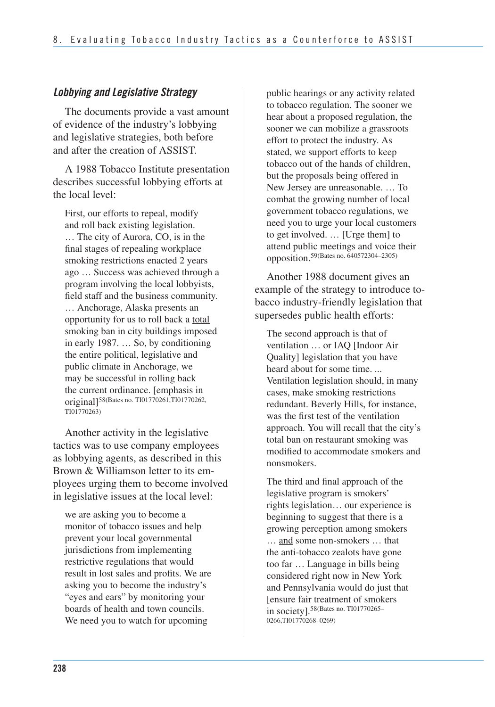### *Lobbying and Legislative Strategy*

The documents provide a vast amount of evidence of the industry's lobbying and legislative strategies, both before and after the creation of ASSIST.

A 1988 Tobacco Institute presentation describes successful lobbying efforts at the local level:

First, our efforts to repeal, modify and roll back existing legislation. … The city of Aurora, CO, is in the final stages of repealing workplace smoking restrictions enacted 2 years ago … Success was achieved through a program involving the local lobbyists, field staff and the business community. … Anchorage, Alaska presents an opportunity for us to roll back a total smoking ban in city buildings imposed in early 1987. … So, by conditioning the entire political, legislative and public climate in Anchorage, we may be successful in rolling back the current ordinance. [emphasis in original]58(Bates no. TI01770261,TI01770262, TI01770263)

Another activity in the legislative tactics was to use company employees as lobbying agents, as described in this Brown & Williamson letter to its employees urging them to become involved in legislative issues at the local level:

we are asking you to become a monitor of tobacco issues and help prevent your local governmental jurisdictions from implementing restrictive regulations that would result in lost sales and profits. We are asking you to become the industry's "eyes and ears" by monitoring your boards of health and town councils. We need you to watch for upcoming

public hearings or any activity related to tobacco regulation. The sooner we hear about a proposed regulation, the sooner we can mobilize a grassroots effort to protect the industry. As stated, we support efforts to keep tobacco out of the hands of children, but the proposals being offered in New Jersey are unreasonable. … To combat the growing number of local government tobacco regulations, we need you to urge your local customers to get involved. … [Urge them] to attend public meetings and voice their opposition.59(Bates no. 640572304–2305)

Another 1988 document gives an example of the strategy to introduce tobacco industry-friendly legislation that supersedes public health efforts:

The second approach is that of ventilation … or IAQ [Indoor Air Quality] legislation that you have heard about for some time. ... Ventilation legislation should, in many cases, make smoking restrictions redundant. Beverly Hills, for instance, was the first test of the ventilation approach. You will recall that the city's total ban on restaurant smoking was modified to accommodate smokers and nonsmokers.

The third and final approach of the legislative program is smokers' rights legislation… our experience is beginning to suggest that there is a growing perception among smokers … and some non-smokers … that the anti-tobacco zealots have gone too far … Language in bills being considered right now in New York and Pennsylvania would do just that [ensure fair treatment of smokers in society].58(Bates no. TI01770265– 0266,TI01770268–0269)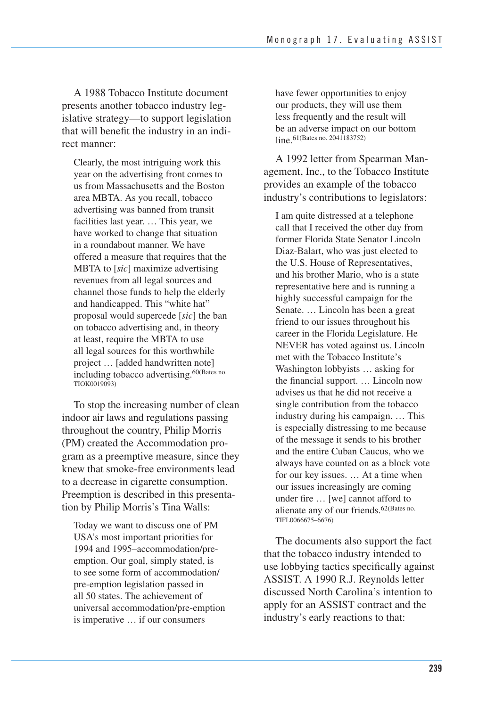A 1988 Tobacco Institute document presents another tobacco industry legislative strategy—to support legislation that will benefit the industry in an indirect manner:

Clearly, the most intriguing work this year on the advertising front comes to us from Massachusetts and the Boston area MBTA. As you recall, tobacco advertising was banned from transit facilities last year. … This year, we have worked to change that situation in a roundabout manner. We have offered a measure that requires that the MBTA to [*sic*] maximize advertising revenues from all legal sources and channel those funds to help the elderly and handicapped. This "white hat" proposal would supercede [*sic*] the ban on tobacco advertising and, in theory at least, require the MBTA to use all legal sources for this worthwhile project … [added handwritten note] including tobacco advertising.60(Bates no. TIOK0019093)

 To stop the increasing number of clean indoor air laws and regulations passing throughout the country, Philip Morris (PM) created the Accommodation pro- gram as a preemptive measure, since they knew that smoke-free environments lead to a decrease in cigarette consumption. Preemption is described in this presenta-tion by Philip Morris's Tina Walls:

Today we want to discuss one of PM USA's most important priorities for 1994 and 1995–accommodation/preemption. Our goal, simply stated, is to see some form of accommodation/ pre-emption legislation passed in all 50 states. The achievement of universal accommodation/pre-emption is imperative … if our consumers

have fewer opportunities to enjoy our products, they will use them less frequently and the result will be an adverse impact on our bottom line. 61(Bates no. 2041183752)

A 1992 letter from Spearman Management, Inc., to the Tobacco Institute provides an example of the tobacco industry's contributions to legislators:

I am quite distressed at a telephone call that I received the other day from former Florida State Senator Lincoln Diaz-Balart, who was just elected to the U.S. House of Representatives, and his brother Mario, who is a state representative here and is running a highly successful campaign for the Senate. … Lincoln has been a great friend to our issues throughout his career in the Florida Legislature. He NEVER has voted against us. Lincoln met with the Tobacco Institute's Washington lobbyists … asking for the financial support. … Lincoln now advises us that he did not receive a single contribution from the tobacco industry during his campaign. … This is especially distressing to me because of the message it sends to his brother and the entire Cuban Caucus, who we always have counted on as a block vote for our key issues. … At a time when our issues increasingly are coming under fire … [we] cannot afford to alienate any of our friends.62(Bates no. TIFL0066675–6676)

The documents also support the fact that the tobacco industry intended to use lobbying tactics specifically against ASSIST. A 1990 R.J. Reynolds letter discussed North Carolina's intention to apply for an ASSIST contract and the industry's early reactions to that: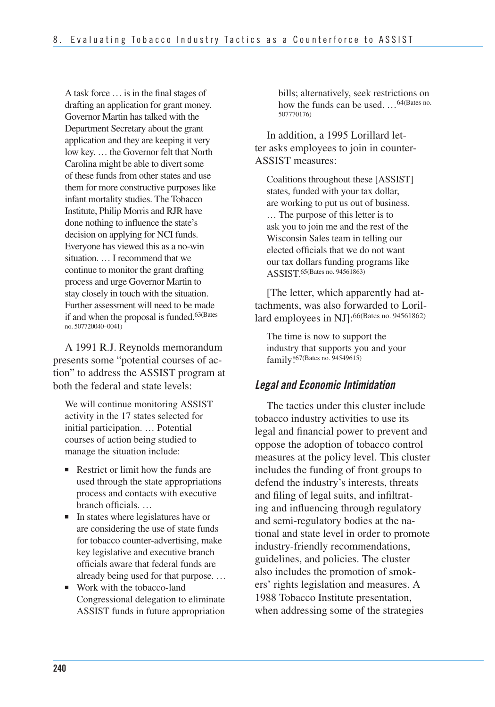A task force … is in the final stages of drafting an application for grant money. Governor Martin has talked with the Department Secretary about the grant application and they are keeping it very low key. … the Governor felt that North Carolina might be able to divert some of these funds from other states and use them for more constructive purposes like infant mortality studies. The Tobacco Institute, Philip Morris and RJR have done nothing to influence the state's decision on applying for NCI funds. Everyone has viewed this as a no-win situation. … I recommend that we continue to monitor the grant drafting process and urge Governor Martin to stay closely in touch with the situation. Further assessment will need to be made if and when the proposal is funded.<sup>63(Bates</sup> no. 507720040–0041)

A 1991 R.J. Reynolds memorandum presents some "potential courses of action" to address the ASSIST program at both the federal and state levels:

We will continue monitoring ASSIST activity in the 17 states selected for initial participation. … Potential courses of action being studied to manage the situation include:

- Restrict or limit how the funds are used through the state appropriations process and contacts with executive branch officials. …
- In states where legislatures have or are considering the use of state funds for tobacco counter-advertising, make key legislative and executive branch officials aware that federal funds are already being used for that purpose. …
- Work with the tobacco-land Congressional delegation to eliminate ASSIST funds in future appropriation

bills; alternatively, seek restrictions on how the funds can be used. …64(Bates no. 507770176)

In addition, a 1995 Lorillard letter asks employees to join in counter-ASSIST measures:

 Coalitions throughout these [ASSIST] states, funded with your tax dollar, are working to put us out of business. … The purpose of this letter is to ask you to join me and the rest of the Wisconsin Sales team in telling our elected officials that we do not want our tax dollars funding programs like ASSIST.65(Bates no. 94561863)

[The letter, which apparently had attachments, was also forwarded to Lorillard employees in NJ]:66(Bates no. 94561862)

The time is now to support the industry that supports you and your family!67(Bates no. 94549615)

### *Legal and Economic Intimidation*

The tactics under this cluster include tobacco industry activities to use its legal and financial power to prevent and oppose the adoption of tobacco control measures at the policy level. This cluster includes the funding of front groups to defend the industry's interests, threats and filing of legal suits, and infiltrating and influencing through regulatory and semi-regulatory bodies at the national and state level in order to promote industry-friendly recommendations, guidelines, and policies. The cluster also includes the promotion of smokers' rights legislation and measures. A 1988 Tobacco Institute presentation, when addressing some of the strategies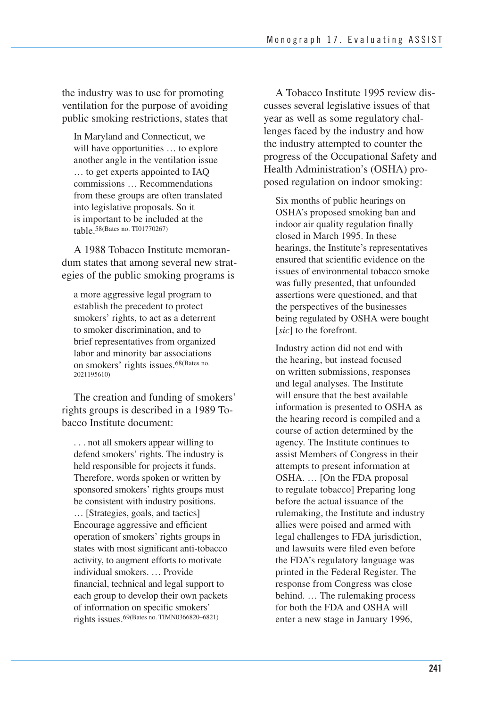the industry was to use for promoting ventilation for the purpose of avoiding public smoking restrictions, states that

In Maryland and Connecticut, we will have opportunities … to explore another angle in the ventilation issue … to get experts appointed to IAQ commissions … Recommendations from these groups are often translated into legislative proposals. So it is important to be included at the table.<sup>58</sup>(Bates no. TI01770267)

A 1988 Tobacco Institute memorandum states that among several new strategies of the public smoking programs is

a more aggressive legal program to establish the precedent to protect smokers' rights, to act as a deterrent to smoker discrimination, and to brief representatives from organized labor and minority bar associations on smokers' rights issues.68(Bates no. 2021195610)

The creation and funding of smokers' rights groups is described in a 1989 Tobacco Institute document:

 . . . not all smokers appear willing to defend smokers' rights. The industry is held responsible for projects it funds. Therefore, words spoken or written by sponsored smokers' rights groups must be consistent with industry positions. … [Strategies, goals, and tactics] Encourage aggressive and efficient operation of smokers' rights groups in states with most significant anti-tobacco activity, to augment efforts to motivate individual smokers. … Provide financial, technical and legal support to each group to develop their own packets of information on specific smokers' rights issues.69(Bates no. TIMN0366820–6821)

A Tobacco Institute 1995 review discusses several legislative issues of that year as well as some regulatory challenges faced by the industry and how the industry attempted to counter the progress of the Occupational Safety and Health Administration's (OSHA) proposed regulation on indoor smoking:

Six months of public hearings on OSHA's proposed smoking ban and indoor air quality regulation finally closed in March 1995. In these hearings, the Institute's representatives ensured that scientific evidence on the issues of environmental tobacco smoke was fully presented, that unfounded assertions were questioned, and that the perspectives of the businesses being regulated by OSHA were bought [*sic*] to the forefront.

 Industry action did not end with the hearing, but instead focused on written submissions, responses and legal analyses. The Institute will ensure that the best available information is presented to OSHA as the hearing record is compiled and a course of action determined by the agency. The Institute continues to assist Members of Congress in their attempts to present information at OSHA. … [On the FDA proposal to regulate tobacco] Preparing long before the actual issuance of the rulemaking, the Institute and industry allies were poised and armed with legal challenges to FDA jurisdiction, and lawsuits were filed even before the FDA's regulatory language was printed in the Federal Register. The response from Congress was close behind. … The rulemaking process for both the FDA and OSHA will enter a new stage in January 1996,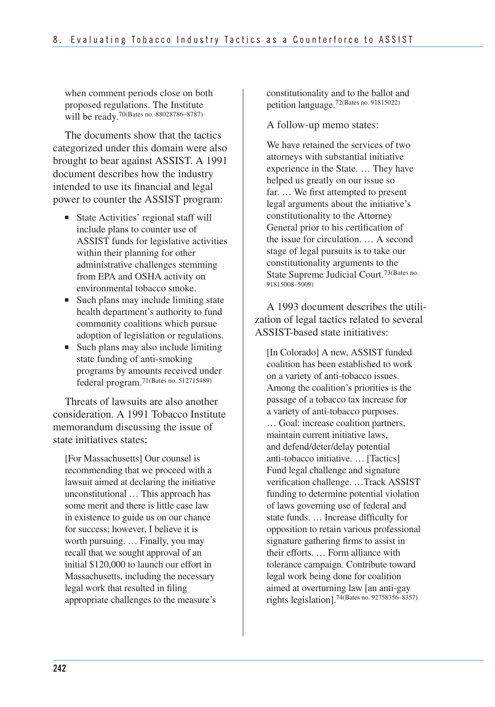when comment periods close on both proposed regulations. The Institute will be ready.<sup>70(Bates no. 88028786-8787)</sup>

The documents show that the tactics categorized under this domain were also brought to bear against ASSIST. A 1991 document describes how the industry intended to use its financial and legal power to counter the ASSIST program:

- State Activities' regional staff will include plans to counter use of ASSIST funds for legislative activities within their planning for other administrative challenges stemming from EPA and OSHA activity on environmental tobacco smoke.
- Such plans may include limiting state health department's authority to fund community coalitions which pursue adoption of legislation or regulations.
- Such plans may also include limiting state funding of anti-smoking programs by amounts received under federal program.71(Bates no. 512715489)

Threats of lawsuits are also another consideration. A 1991 Tobacco Institute memorandum discussing the issue of state initiatives states:

 [For Massachusetts] Our counsel is recommending that we proceed with a lawsuit aimed at declaring the initiative unconstitutional … This approach has some merit and there is little case law in existence to guide us on our chance for success; however, I believe it is worth pursuing. … Finally, you may recall that we sought approval of an initial \$120,000 to launch our effort in Massachusetts, including the necessary legal work that resulted in filing appropriate challenges to the measure's

 constitutionality and to the ballot and petition language.72(Bates no. 91815022)

A follow-up memo states:

We have retained the services of two attorneys with substantial initiative experience in the State. … They have helped us greatly on our issue so far. … We first attempted to present legal arguments about the initiative's constitutionality to the Attorney General prior to his certification of the issue for circulation. … A second stage of legal pursuits is to take our constitutionality arguments to the State Supreme Judicial Court.73(Bates no. 91815008–5009)

A 1993 document describes the utilization of legal tactics related to several ASSIST-based state initiatives:

 [In Colorado] A new, ASSIST funded coalition has been established to work on a variety of anti-tobacco issues. Among the coalition's priorities is the passage of a tobacco tax increase for a variety of anti-tobacco purposes. … Goal: increase coalition partners, maintain current initiative laws, anti-tobacco initiative. … [Tactics] Fund legal challenge and signature verification challenge. …Track ASSIST funding to determine potential violation of laws governing use of federal and state funds. … Increase difficulty for opposition to retain various professional signature gathering firms to assist in their efforts. … Form alliance with tolerance campaign. Contribute toward legal work being done for coalition aimed at overturning law [an anti-gay and defend/deter/delay potential rights legislation].74(Bates no. 92758356–8357)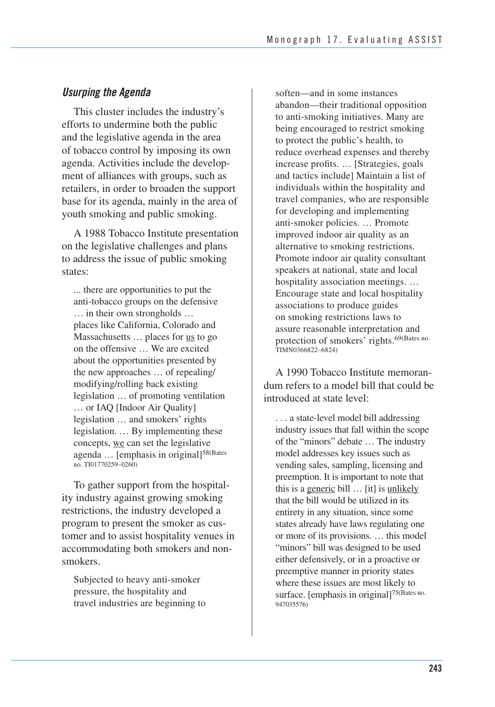### *Usurping the Agenda*

This cluster includes the industry's efforts to undermine both the public and the legislative agenda in the area of tobacco control by imposing its own agenda. Activities include the development of alliances with groups, such as retailers, in order to broaden the support base for its agenda, mainly in the area of youth smoking and public smoking.

A 1988 Tobacco Institute presentation on the legislative challenges and plans to address the issue of public smoking states:

... there are opportunities to put the anti-tobacco groups on the defensive … in their own strongholds … places like California, Colorado and Massachusetts ... places for <u>us</u> to go on the offensive … We are excited about the opportunities presented by the new approaches … of repealing/ modifying/rolling back existing legislation … of promoting ventilation … or IAQ [Indoor Air Quality] legislation … and smokers' rights legislation. … By implementing these concepts, we can set the legislative agenda ... [emphasis in original]<sup>58(Bates</sup> no. TI01770259–0260)

To gather support from the hospitality industry against growing smoking restrictions, the industry developed a program to present the smoker as customer and to assist hospitality venues in accommodating both smokers and nonsmokers.

 Subjected to heavy anti-smoker pressure, the hospitality and travel industries are beginning to

 soften—and in some instances abandon—their traditional opposition to anti-smoking initiatives. Many are being encouraged to restrict smoking to protect the public's health, to reduce overhead expenses and thereby increase profits. … [Strategies, goals and tactics include] Maintain a list of individuals within the hospitality and travel companies, who are responsible for developing and implementing anti-smoker policies. … Promote improved indoor air quality as an alternative to smoking restrictions. Promote indoor air quality consultant speakers at national, state and local hospitality association meetings. … Encourage state and local hospitality associations to produce guides on smoking restrictions laws to assure reasonable interpretation and protection of smokers' rights.<sup>69(Bates no.</sup> TIMN0366822–6824)

A 1990 Tobacco Institute memorandum refers to a model bill that could be introduced at state level:

 . . . a state-level model bill addressing industry issues that fall within the scope of the "minors" debate … The industry model addresses key issues such as vending sales, sampling, licensing and preemption. It is important to note that this is a generic bill ... [it] is unlikely that the bill would be utilized in its entirety in any situation, since some states already have laws regulating one or more of its provisions. … this model "minors" bill was designed to be used either defensively, or in a proactive or preemptive manner in priority states where these issues are most likely to surface. [emphasis in original]<sup>75(Bates no.</sup> 947035576)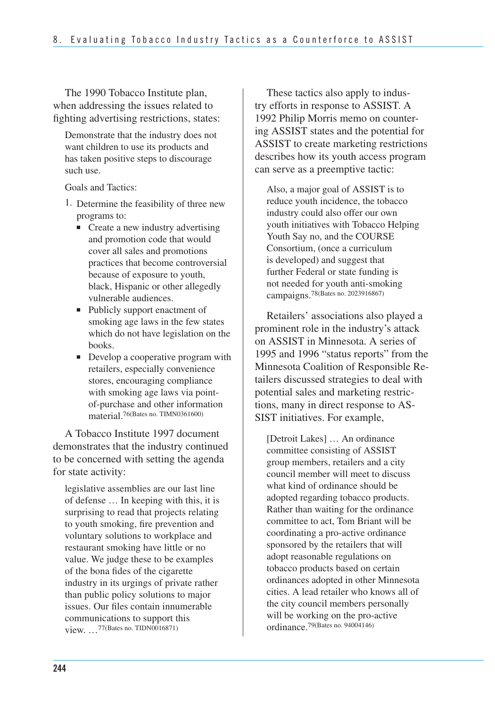The 1990 Tobacco Institute plan, when addressing the issues related to fighting advertising restrictions, states:

Demonstrate that the industry does not want children to use its products and has taken positive steps to discourage such use.

Goals and Tactics:

- 1. Determine the feasibility of three new programs to:
	- Create a new industry advertising and promotion code that would cover all sales and promotions practices that become controversial because of exposure to youth, black, Hispanic or other allegedly vulnerable audiences.
	- Publicly support enactment of smoking age laws in the few states which do not have legislation on the books.
	- Develop a cooperative program with retailers, especially convenience stores, encouraging compliance with smoking age laws via pointof-purchase and other information material.<sup>76</sup>(Bates no. TIMN0361600)

A Tobacco Institute 1997 document demonstrates that the industry continued to be concerned with setting the agenda for state activity:

 legislative assemblies are our last line of defense … In keeping with this, it is surprising to read that projects relating to youth smoking, fire prevention and voluntary solutions to workplace and restaurant smoking have little or no value. We judge these to be examples of the bona fides of the cigarette industry in its urgings of private rather than public policy solutions to major issues. Our files contain innumerable communications to support this view. …77(Bates no. TIDN0016871)

These tactics also apply to industry efforts in response to ASSIST. A 1992 Philip Morris memo on countering ASSIST states and the potential for ASSIST to create marketing restrictions describes how its youth access program can serve as a preemptive tactic:

Also, a major goal of ASSIST is to reduce youth incidence, the tobacco industry could also offer our own youth initiatives with Tobacco Helping Youth Say no, and the COURSE Consortium, (once a curriculum is developed) and suggest that further Federal or state funding is not needed for youth anti-smoking campaigns.78(Bates no. 2023916867)

Retailers' associations also played a prominent role in the industry's attack on ASSIST in Minnesota. A series of 1995 and 1996 "status reports" from the Minnesota Coalition of Responsible Retailers discussed strategies to deal with potential sales and marketing restrictions, many in direct response to AS-SIST initiatives. For example,

[Detroit Lakes] … An ordinance committee consisting of ASSIST group members, retailers and a city council member will meet to discuss what kind of ordinance should be adopted regarding tobacco products. Rather than waiting for the ordinance committee to act, Tom Briant will be coordinating a pro-active ordinance sponsored by the retailers that will adopt reasonable regulations on tobacco products based on certain ordinances adopted in other Minnesota cities. A lead retailer who knows all of the city council members personally will be working on the pro-active ordinance.79(Bates no. 94004146)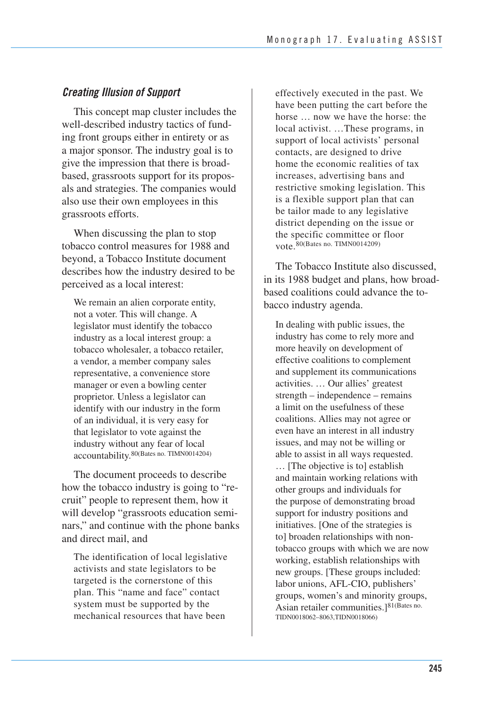## *Creating Illusion of Support*

This concept map cluster includes the well-described industry tactics of funding front groups either in entirety or as a major sponsor. The industry goal is to give the impression that there is broadbased, grassroots support for its proposals and strategies. The companies would also use their own employees in this grassroots efforts.

When discussing the plan to stop tobacco control measures for 1988 and beyond, a Tobacco Institute document describes how the industry desired to be perceived as a local interest:

We remain an alien corporate entity, not a voter. This will change. A legislator must identify the tobacco industry as a local interest group: a tobacco wholesaler, a tobacco retailer, a vendor, a member company sales representative, a convenience store manager or even a bowling center proprietor. Unless a legislator can identify with our industry in the form of an individual, it is very easy for that legislator to vote against the industry without any fear of local accountability.80(Bates no. TIMN0014204)

The document proceeds to describe how the tobacco industry is going to "recruit" people to represent them, how it will develop "grassroots education seminars," and continue with the phone banks and direct mail, and

 The identification of local legislative activists and state legislators to be targeted is the cornerstone of this plan. This "name and face" contact system must be supported by the mechanical resources that have been

 effectively executed in the past. We have been putting the cart before the horse … now we have the horse: the local activist. …These programs, in support of local activists' personal contacts, are designed to drive home the economic realities of tax increases, advertising bans and restrictive smoking legislation. This is a flexible support plan that can be tailor made to any legislative district depending on the issue or the specific committee or floor vote.80(Bates no. TIMN0014209)

The Tobacco Institute also discussed, in its 1988 budget and plans, how broadbased coalitions could advance the tobacco industry agenda.

In dealing with public issues, the industry has come to rely more and more heavily on development of effective coalitions to complement and supplement its communications activities. … Our allies' greatest strength – independence – remains a limit on the usefulness of these coalitions. Allies may not agree or even have an interest in all industry issues, and may not be willing or able to assist in all ways requested. … [The objective is to] establish and maintain working relations with other groups and individuals for the purpose of demonstrating broad support for industry positions and initiatives. [One of the strategies is to] broaden relationships with nontobacco groups with which we are now working, establish relationships with new groups. [These groups included: labor unions, AFL-CIO, publishers' groups, women's and minority groups, Asian retailer communities.]81(Bates no. TIDN0018062–8063,TIDN0018066)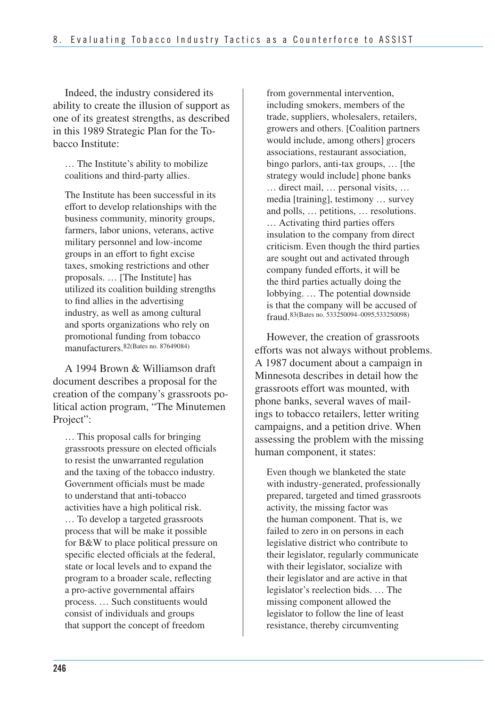Indeed, the industry considered its ability to create the illusion of support as one of its greatest strengths, as described in this 1989 Strategic Plan for the Tobacco Institute:

… The Institute's ability to mobilize coalitions and third-party allies.

The Institute has been successful in its effort to develop relationships with the business community, minority groups, farmers, labor unions, veterans, active military personnel and low-income groups in an effort to fight excise taxes, smoking restrictions and other proposals. … [The Institute] has utilized its coalition building strengths to find allies in the advertising industry, as well as among cultural and sports organizations who rely on promotional funding from tobacco manufacturers. 82(Bates no. 87649084)

A 1994 Brown & Williamson draft document describes a proposal for the creation of the company's grassroots political action program, "The Minutemen Project":

… This proposal calls for bringing grassroots pressure on elected officials to resist the unwarranted regulation and the taxing of the tobacco industry. Government officials must be made to understand that anti-tobacco activities have a high political risk. … To develop a targeted grassroots process that will be make it possible for B&W to place political pressure on specific elected officials at the federal, state or local levels and to expand the program to a broader scale, reflecting a pro-active governmental affairs process. … Such constituents would consist of individuals and groups that support the concept of freedom

from governmental intervention, including smokers, members of the trade, suppliers, wholesalers, retailers, growers and others. [Coalition partners would include, among others] grocers associations, restaurant association, bingo parlors, anti-tax groups, … [the strategy would include] phone banks … direct mail, … personal visits, … media [training], testimony … survey and polls, … petitions, … resolutions. … Activating third parties offers insulation to the company from direct criticism. Even though the third parties are sought out and activated through company funded efforts, it will be the third parties actually doing the lobbying. … The potential downside is that the company will be accused of fraud.83(Bates no. 533250094–0095,533250098)

However, the creation of grassroots efforts was not always without problems. A 1987 document about a campaign in Minnesota describes in detail how the grassroots effort was mounted, with phone banks, several waves of mailings to tobacco retailers, letter writing campaigns, and a petition drive. When assessing the problem with the missing human component, it states:

Even though we blanketed the state with industry-generated, professionally prepared, targeted and timed grassroots activity, the missing factor was the human component. That is, we failed to zero in on persons in each legislative district who contribute to their legislator, regularly communicate with their legislator, socialize with their legislator and are active in that legislator's reelection bids. … The missing component allowed the legislator to follow the line of least resistance, thereby circumventing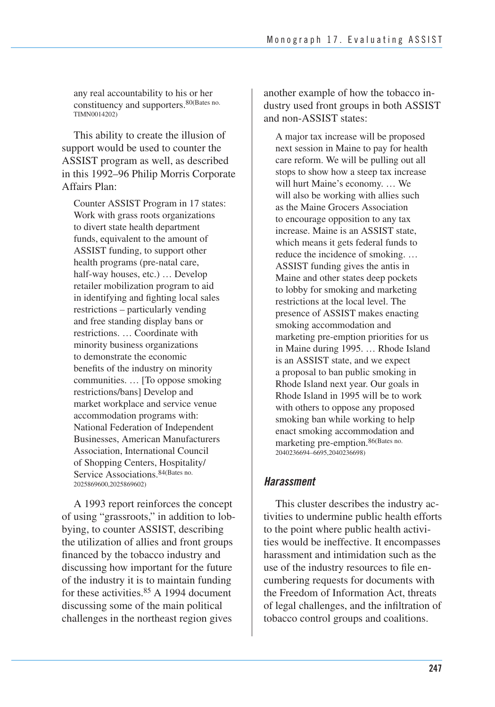any real accountability to his or her constituency and supporters.80(Bates no. TIMN0014202)

This ability to create the illusion of support would be used to counter the ASSIST program as well, as described in this 1992–96 Philip Morris Corporate Affairs Plan:

Counter ASSIST Program in 17 states: Work with grass roots organizations to divert state health department funds, equivalent to the amount of ASSIST funding, to support other health programs (pre-natal care, half-way houses, etc.) … Develop retailer mobilization program to aid in identifying and fighting local sales restrictions – particularly vending and free standing display bans or restrictions. … Coordinate with minority business organizations to demonstrate the economic benefits of the industry on minority communities. … [To oppose smoking restrictions/bans] Develop and market workplace and service venue accommodation programs with: National Federation of Independent Businesses, American Manufacturers Association, International Council of Shopping Centers, Hospitality/ Service Associations.84(Bates no. 2025869600,2025869602)

A 1993 report reinforces the concept of using "grassroots," in addition to lobbying, to counter ASSIST, describing the utilization of allies and front groups financed by the tobacco industry and discussing how important for the future of the industry it is to maintain funding for these activities.<sup>85</sup> A 1994 document discussing some of the main political challenges in the northeast region gives

another example of how the tobacco industry used front groups in both ASSIST and non-ASSIST states:

A major tax increase will be proposed next session in Maine to pay for health care reform. We will be pulling out all stops to show how a steep tax increase will hurt Maine's economy. … We will also be working with allies such as the Maine Grocers Association to encourage opposition to any tax increase. Maine is an ASSIST state, which means it gets federal funds to reduce the incidence of smoking. … ASSIST funding gives the antis in Maine and other states deep pockets to lobby for smoking and marketing restrictions at the local level. The presence of ASSIST makes enacting smoking accommodation and marketing pre-emption priorities for us in Maine during 1995. … Rhode Island is an ASSIST state, and we expect a proposal to ban public smoking in Rhode Island next year. Our goals in Rhode Island in 1995 will be to work with others to oppose any proposed smoking ban while working to help enact smoking accommodation and marketing pre-emption.86(Bates no. 2040236694–6695,2040236698)

## *Harassment*

This cluster describes the industry activities to undermine public health efforts to the point where public health activities would be ineffective. It encompasses harassment and intimidation such as the use of the industry resources to file encumbering requests for documents with the Freedom of Information Act, threats of legal challenges, and the infiltration of tobacco control groups and coalitions.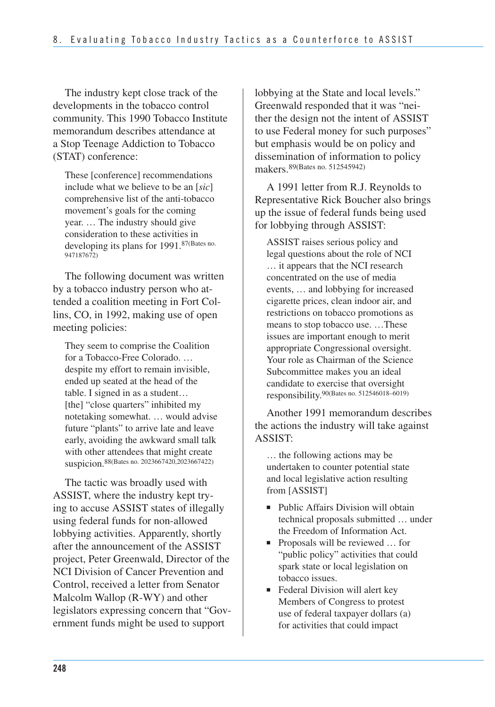The industry kept close track of the developments in the tobacco control community. This 1990 Tobacco Institute memorandum describes attendance at a Stop Teenage Addiction to Tobacco (STAT) conference:

These [conference] recommendations include what we believe to be an [*sic*] comprehensive list of the anti-tobacco movement's goals for the coming year. … The industry should give consideration to these activities in developing its plans for 1991.87(Bates no. 947187672)

The following document was written by a tobacco industry person who attended a coalition meeting in Fort Collins, CO, in 1992, making use of open meeting policies:

They seem to comprise the Coalition for a Tobacco-Free Colorado. … despite my effort to remain invisible, ended up seated at the head of the table. I signed in as a student… [the] "close quarters" inhibited my notetaking somewhat. … would advise future "plants" to arrive late and leave early, avoiding the awkward small talk with other attendees that might create suspicion.88(Bates no. 2023667420,2023667422)

The tactic was broadly used with ASSIST, where the industry kept trying to accuse ASSIST states of illegally using federal funds for non-allowed lobbying activities. Apparently, shortly after the announcement of the ASSIST project, Peter Greenwald, Director of the NCI Division of Cancer Prevention and Control, received a letter from Senator Malcolm Wallop (R-WY) and other legislators expressing concern that "Government funds might be used to support

lobbying at the State and local levels." Greenwald responded that it was "neither the design not the intent of ASSIST to use Federal money for such purposes" but emphasis would be on policy and dissemination of information to policy makers.89(Bates no. 512545942)

A 1991 letter from R.J. Reynolds to Representative Rick Boucher also brings up the issue of federal funds being used for lobbying through ASSIST:

ASSIST raises serious policy and legal questions about the role of NCI … it appears that the NCI research concentrated on the use of media events, … and lobbying for increased cigarette prices, clean indoor air, and restrictions on tobacco promotions as means to stop tobacco use. …These issues are important enough to merit appropriate Congressional oversight. Your role as Chairman of the Science Subcommittee makes you an ideal candidate to exercise that oversight responsibility.90(Bates no. 512546018–6019)

Another 1991 memorandum describes the actions the industry will take against ASSIST:

… the following actions may be undertaken to counter potential state and local legislative action resulting from [ASSIST]

- Public Affairs Division will obtain technical proposals submitted … under the Freedom of Information Act.
- Proposals will be reviewed ... for "public policy" activities that could spark state or local legislation on tobacco issues.
- Federal Division will alert key Members of Congress to protest use of federal taxpayer dollars (a) for activities that could impact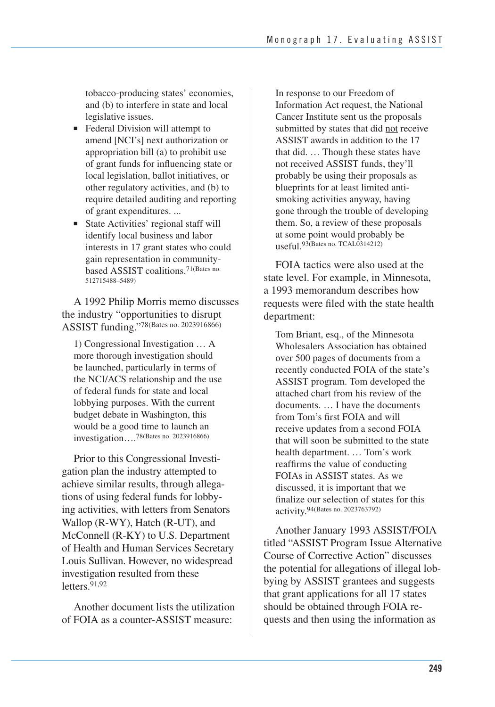tobacco-producing states' economies, and (b) to interfere in state and local legislative issues.

- Federal Division will attempt to amend [NCI's] next authorization or appropriation bill (a) to prohibit use of grant funds for influencing state or local legislation, ballot initiatives, or other regulatory activities, and (b) to require detailed auditing and reporting of grant expenditures. ...
- State Activities' regional staff will identify local business and labor interests in 17 grant states who could gain representation in communitybased ASSIST coalitions.71(Bates no. 512715488–5489)

A 1992 Philip Morris memo discusses the industry "opportunities to disrupt ASSIST funding."78(Bates no. 2023916866)

1) Congressional Investigation … A more thorough investigation should be launched, particularly in terms of the NCI/ACS relationship and the use of federal funds for state and local lobbying purposes. With the current budget debate in Washington, this would be a good time to launch an investigation….78(Bates no. 2023916866)

 Prior to this Congressional Investi- gation plan the industry attempted to achieve similar results, through allega- tions of using federal funds for lobby- ing activities, with letters from Senators Wallop (R-WY), Hatch (R-UT), and McConnell (R-KY) to U.S. Department of Health and Human Services Secretary Louis Sullivan. However, no widespread investigation resulted from these letters.91,92

 Another document lists the utilization of FOIA as a counter-ASSIST measure:

In response to our Freedom of Information Act request, the National Cancer Institute sent us the proposals submitted by states that did not receive ASSIST awards in addition to the 17 that did. … Though these states have not received ASSIST funds, they'll probably be using their proposals as blueprints for at least limited antismoking activities anyway, having gone through the trouble of developing them. So, a review of these proposals at some point would probably be useful.93(Bates no. TCAL0314212)

FOIA tactics were also used at the state level. For example, in Minnesota, a 1993 memorandum describes how requests were filed with the state health department:

 Tom Briant, esq., of the Minnesota Wholesalers Association has obtained over 500 pages of documents from a recently conducted FOIA of the state's ASSIST program. Tom developed the attached chart from his review of the documents. … I have the documents from Tom's first FOIA and will receive updates from a second FOIA that will soon be submitted to the state health department. … Tom's work reaffirms the value of conducting FOIAs in ASSIST states. As we discussed, it is important that we finalize our selection of states for this activity.94(Bates no. 2023763792)

 Another January 1993 ASSIST/FOIA titled "ASSIST Program Issue Alternative Course of Corrective Action" discusses the potential for allegations of illegal lob- bying by ASSIST grantees and suggests that grant applications for all 17 states should be obtained through FOIA re-quests and then using the information as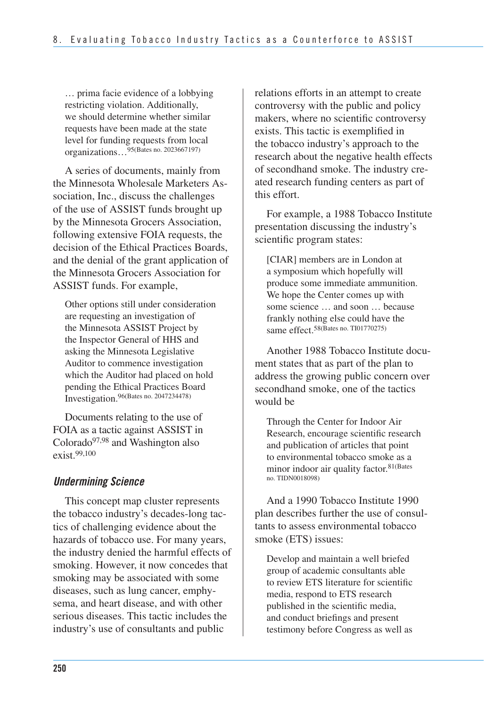… prima facie evidence of a lobbying restricting violation. Additionally, we should determine whether similar requests have been made at the state level for funding requests from local organizations…95(Bates no. 2023667197)

A series of documents, mainly from the Minnesota Wholesale Marketers Association, Inc., discuss the challenges of the use of ASSIST funds brought up by the Minnesota Grocers Association, following extensive FOIA requests, the decision of the Ethical Practices Boards, and the denial of the grant application of the Minnesota Grocers Association for ASSIST funds. For example,

Other options still under consideration are requesting an investigation of the Minnesota ASSIST Project by the Inspector General of HHS and asking the Minnesota Legislative Auditor to commence investigation which the Auditor had placed on hold pending the Ethical Practices Board Investigation.96(Bates no. 2047234478)

 Documents relating to the use of FOIA as a tactic against ASSIST in Colorado<sup>97,98</sup> and Washington also exist.99,100

## *Undermining Science*

This concept map cluster represents the tobacco industry's decades-long tactics of challenging evidence about the hazards of tobacco use. For many years, the industry denied the harmful effects of smoking. However, it now concedes that smoking may be associated with some diseases, such as lung cancer, emphysema, and heart disease, and with other serious diseases. This tactic includes the industry's use of consultants and public

relations efforts in an attempt to create controversy with the public and policy makers, where no scientific controversy exists. This tactic is exemplified in the tobacco industry's approach to the research about the negative health effects of secondhand smoke. The industry created research funding centers as part of this effort.

For example, a 1988 Tobacco Institute presentation discussing the industry's scientific program states:

[CIAR] members are in London at a symposium which hopefully will produce some immediate ammunition. We hope the Center comes up with some science … and soon … because frankly nothing else could have the same effect.<sup>58(Bates no. TI01770275)</sup>

Another 1988 Tobacco Institute document states that as part of the plan to address the growing public concern over secondhand smoke, one of the tactics would be

Through the Center for Indoor Air Research, encourage scientific research and publication of articles that point to environmental tobacco smoke as a minor indoor air quality factor.81(Bates no. TIDN0018098)

And a 1990 Tobacco Institute 1990 plan describes further the use of consultants to assess environmental tobacco smoke (ETS) issues:

Develop and maintain a well briefed group of academic consultants able to review ETS literature for scientific media, respond to ETS research published in the scientific media, and conduct briefings and present testimony before Congress as well as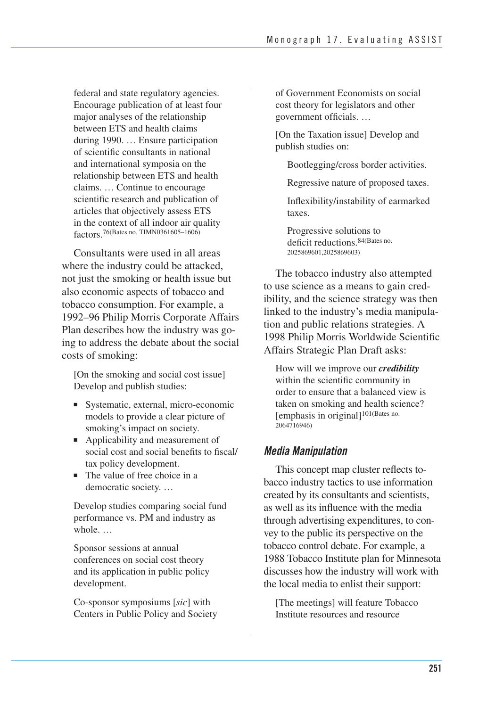federal and state regulatory agencies. Encourage publication of at least four major analyses of the relationship between ETS and health claims during 1990. … Ensure participation of scientific consultants in national and international symposia on the relationship between ETS and health claims. … Continue to encourage scientific research and publication of articles that objectively assess ETS in the context of all indoor air quality factors.76(Bates no. TIMN0361605–1606)

Consultants were used in all areas where the industry could be attacked, not just the smoking or health issue but also economic aspects of tobacco and tobacco consumption. For example, a 1992–96 Philip Morris Corporate Affairs Plan describes how the industry was going to address the debate about the social costs of smoking:

[On the smoking and social cost issue] Develop and publish studies:

- Systematic, external, micro-economic models to provide a clear picture of smoking's impact on society.
- Applicability and measurement of social cost and social benefits to fiscal/ tax policy development.
- The value of free choice in a democratic society. …

Develop studies comparing social fund performance vs. PM and industry as whole.  $\dots$ 

Sponsor sessions at annual conferences on social cost theory and its application in public policy development.

Co-sponsor symposiums [*sic*] with Centers in Public Policy and Society of Government Economists on social cost theory for legislators and other government officials. …

[On the Taxation issue] Develop and publish studies on:

Bootlegging/cross border activities.

Regressive nature of proposed taxes.

Inflexibility/instability of earmarked taxes.

Progressive solutions to deficit reductions.84(Bates no. 2025869601,2025869603)

The tobacco industry also attempted to use science as a means to gain credibility, and the science strategy was then linked to the industry's media manipulation and public relations strategies. A 1998 Philip Morris Worldwide Scientific Affairs Strategic Plan Draft asks:

How will we improve our *credibility*  within the scientific community in order to ensure that a balanced view is taken on smoking and health science? [emphasis in original]101(Bates no. 2064716946)

### *Media Manipulation*

 This concept map cluster reflects to- bacco industry tactics to use information created by its consultants and scientists, as well as its influence with the media through advertising expenditures, to con- vey to the public its perspective on the tobacco control debate. For example, a 1988 Tobacco Institute plan for Minnesota discusses how the industry will work with the local media to enlist their support:

[The meetings] will feature Tobacco Institute resources and resource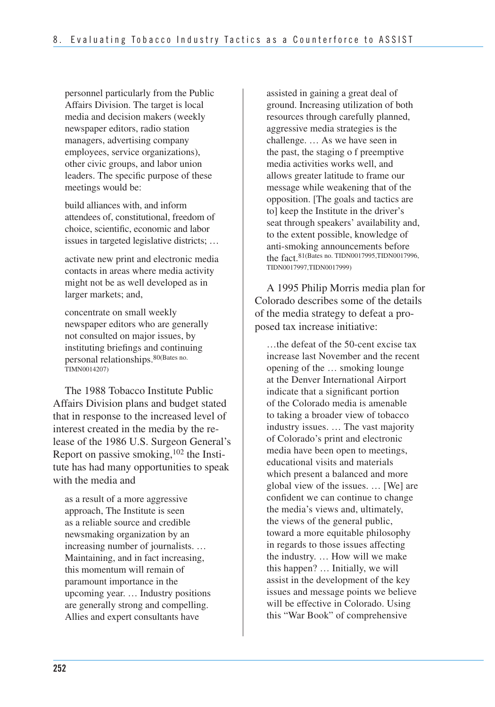personnel particularly from the Public Affairs Division. The target is local media and decision makers (weekly newspaper editors, radio station managers, advertising company employees, service organizations), other civic groups, and labor union leaders. The specific purpose of these meetings would be:

 build alliances with, and inform attendees of, constitutional, freedom of choice, scientific, economic and labor issues in targeted legislative districts; …

activate new print and electronic media contacts in areas where media activity might not be as well developed as in larger markets; and,

concentrate on small weekly newspaper editors who are generally not consulted on major issues, by instituting briefings and continuing personal relationships.80(Bates no. TIMN0014207)

The 1988 Tobacco Institute Public Affairs Division plans and budget stated that in response to the increased level of interest created in the media by the release of the 1986 U.S. Surgeon General's Report on passive smoking,  $102$  the Institute has had many opportunities to speak with the media and

as a result of a more aggressive approach, The Institute is seen as a reliable source and credible newsmaking organization by an increasing number of journalists. … Maintaining, and in fact increasing, this momentum will remain of paramount importance in the upcoming year. … Industry positions are generally strong and compelling. Allies and expert consultants have

assisted in gaining a great deal of ground. Increasing utilization of both resources through carefully planned, aggressive media strategies is the challenge. … As we have seen in the past, the staging o f preemptive media activities works well, and allows greater latitude to frame our message while weakening that of the opposition. [The goals and tactics are to] keep the Institute in the driver's seat through speakers' availability and, to the extent possible, knowledge of anti-smoking announcements before the fact.81(Bates no. TIDN0017995,TIDN0017996, TIDN0017997,TIDN0017999)

A 1995 Philip Morris media plan for Colorado describes some of the details of the media strategy to defeat a proposed tax increase initiative:

 …the defeat of the 50-cent excise tax increase last November and the recent opening of the … smoking lounge at the Denver International Airport indicate that a significant portion of the Colorado media is amenable to taking a broader view of tobacco industry issues. … The vast majority of Colorado's print and electronic media have been open to meetings, educational visits and materials which present a balanced and more global view of the issues. … [We] are confident we can continue to change the media's views and, ultimately, the views of the general public, toward a more equitable philosophy in regards to those issues affecting the industry. … How will we make this happen? … Initially, we will assist in the development of the key issues and message points we believe will be effective in Colorado. Using this "War Book" of comprehensive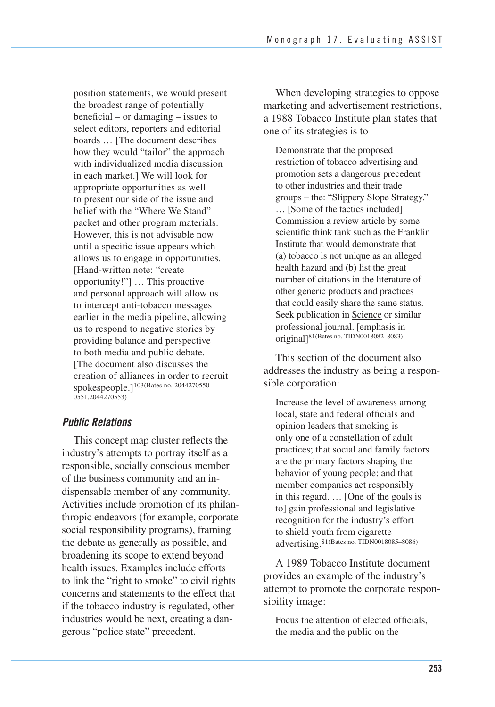position statements, we would present the broadest range of potentially beneficial – or damaging – issues to select editors, reporters and editorial boards … [The document describes how they would "tailor" the approach with individualized media discussion in each market.] We will look for appropriate opportunities as well to present our side of the issue and belief with the "Where We Stand" packet and other program materials. However, this is not advisable now until a specific issue appears which allows us to engage in opportunities. [Hand-written note: "create opportunity!"] … This proactive and personal approach will allow us to intercept anti-tobacco messages earlier in the media pipeline, allowing us to respond to negative stories by providing balance and perspective to both media and public debate. [The document also discusses the creation of alliances in order to recruit spokespeople.]103(Bates no. 2044270550– 0551,2044270553)

### *Public Relations*

 This concept map cluster reflects the industry's attempts to portray itself as a responsible, socially conscious member of the business community and an in- dispensable member of any community. Activities include promotion of its philan- thropic endeavors (for example, corporate social responsibility programs), framing the debate as generally as possible, and broadening its scope to extend beyond health issues. Examples include efforts to link the "right to smoke" to civil rights concerns and statements to the effect that if the tobacco industry is regulated, other industries would be next, creating a dan-gerous "police state" precedent.

When developing strategies to oppose marketing and advertisement restrictions, a 1988 Tobacco Institute plan states that one of its strategies is to

 Demonstrate that the proposed restriction of tobacco advertising and promotion sets a dangerous precedent to other industries and their trade groups – the: "Slippery Slope Strategy." … [Some of the tactics included] Commission a review article by some scientific think tank such as the Franklin Institute that would demonstrate that (a) tobacco is not unique as an alleged health hazard and (b) list the great number of citations in the literature of other generic products and practices that could easily share the same status. Seek publication in Science or similar professional journal. [emphasis in original]81(Bates no. TIDN0018082–8083)

This section of the document also addresses the industry as being a responsible corporation:

Increase the level of awareness among local, state and federal officials and opinion leaders that smoking is only one of a constellation of adult practices; that social and family factors are the primary factors shaping the behavior of young people; and that member companies act responsibly in this regard. … [One of the goals is to] gain professional and legislative recognition for the industry's effort to shield youth from cigarette advertising.81(Bates no. TIDN0018085–8086)

A 1989 Tobacco Institute document provides an example of the industry's attempt to promote the corporate responsibility image:

Focus the attention of elected officials, the media and the public on the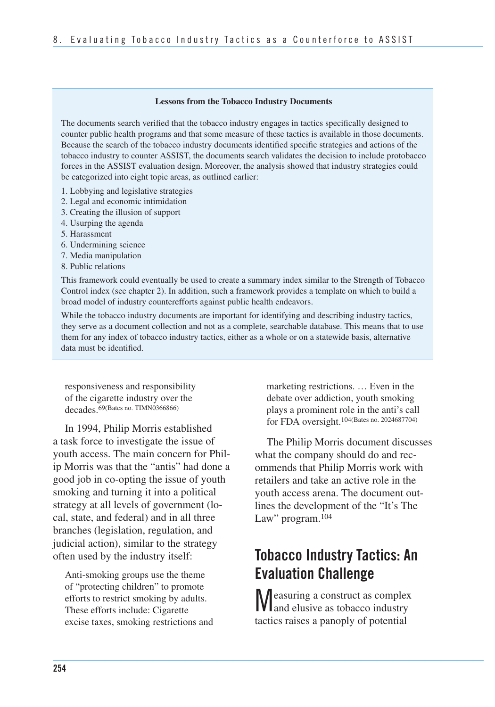#### **Lessons from the Tobacco Industry Documents**

The documents search verified that the tobacco industry engages in tactics specifically designed to counter public health programs and that some measure of these tactics is available in those documents. Because the search of the tobacco industry documents identified specific strategies and actions of the tobacco industry to counter ASSIST, the documents search validates the decision to include protobacco forces in the ASSIST evaluation design. Moreover, the analysis showed that industry strategies could be categorized into eight topic areas, as outlined earlier:

- 1. Lobbying and legislative strategies
- 2. Legal and economic intimidation
- 3. Creating the illusion of support
- 4. Usurping the agenda
- 5. Harassment
- 6. Undermining science
- 7. Media manipulation
- 8. Public relations

This framework could eventually be used to create a summary index similar to the Strength of Tobacco Control index (see chapter 2). In addition, such a framework provides a template on which to build a broad model of industry counterefforts against public health endeavors.

While the tobacco industry documents are important for identifying and describing industry tactics, they serve as a document collection and not as a complete, searchable database. This means that to use them for any index of tobacco industry tactics, either as a whole or on a statewide basis, alternative data must be identified.

responsiveness and responsibility of the cigarette industry over the decades.69(Bates no. TIMN0366866)

In 1994, Philip Morris established a task force to investigate the issue of youth access. The main concern for Philip Morris was that the "antis" had done a good job in co-opting the issue of youth smoking and turning it into a political strategy at all levels of government (local, state, and federal) and in all three branches (legislation, regulation, and judicial action), similar to the strategy often used by the industry itself:

Anti-smoking groups use the theme of "protecting children" to promote efforts to restrict smoking by adults. These efforts include: Cigarette excise taxes, smoking restrictions and marketing restrictions. … Even in the debate over addiction, youth smoking plays a prominent role in the anti's call for FDA oversight.104(Bates no. 2024687704)

The Philip Morris document discusses what the company should do and recommends that Philip Morris work with retailers and take an active role in the youth access arena. The document outlines the development of the "It's The Law" program.<sup>104</sup>

## **Tobacco Industry Tactics: An Evaluation Challenge**

Measuring a construct as complex and elusive as tobacco industry tactics raises a panoply of potential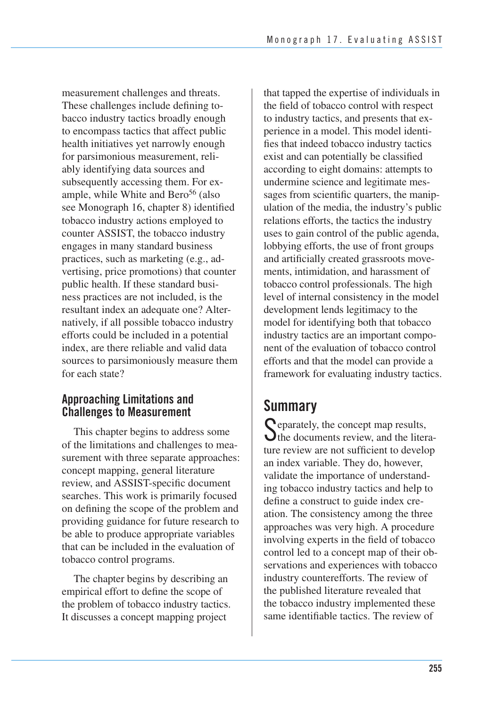see Monograph 16, chapter 8) identified measurement challenges and threats. These challenges include defining tobacco industry tactics broadly enough to encompass tactics that affect public health initiatives yet narrowly enough for parsimonious measurement, reliably identifying data sources and subsequently accessing them. For example, while White and Bero<sup>56</sup> (also tobacco industry actions employed to counter ASSIST, the tobacco industry engages in many standard business practices, such as marketing (e.g., advertising, price promotions) that counter public health. If these standard business practices are not included, is the resultant index an adequate one? Alternatively, if all possible tobacco industry efforts could be included in a potential index, are there reliable and valid data sources to parsimoniously measure them for each state?

## **Approaching Limitations and Challenges to Measurement**

This chapter begins to address some of the limitations and challenges to measurement with three separate approaches: concept mapping, general literature review, and ASSIST-specific document searches. This work is primarily focused on defining the scope of the problem and providing guidance for future research to be able to produce appropriate variables that can be included in the evaluation of tobacco control programs.

 The chapter begins by describing an empirical effort to define the scope of the problem of tobacco industry tactics. It discusses a concept mapping project

 that tapped the expertise of individuals in the field of tobacco control with respect to industry tactics, and presents that ex- perience in a model. This model identi- fies that indeed tobacco industry tactics exist and can potentially be classified according to eight domains: attempts to undermine science and legitimate messages from scientific quarters, the manip ulation of the media, the industry's public relations efforts, the tactics the industry uses to gain control of the public agenda, lobbying efforts, the use of front groups and artificially created grassroots move- ments, intimidation, and harassment of tobacco control professionals. The high level of internal consistency in the model development lends legitimacy to the model for identifying both that tobacco industry tactics are an important compo- nent of the evaluation of tobacco control efforts and that the model can provide a framework for evaluating industry tactics.

## **Summary**

**C** eparately, the concept map results,  $\bigcup$  the documents review, and the literature review are not sufficient to develop an index variable. They do, however, validate the importance of understanding tobacco industry tactics and help to define a construct to guide index creation. The consistency among the three approaches was very high. A procedure involving experts in the field of tobacco control led to a concept map of their observations and experiences with tobacco industry counterefforts. The review of the published literature revealed that the tobacco industry implemented these same identifiable tactics. The review of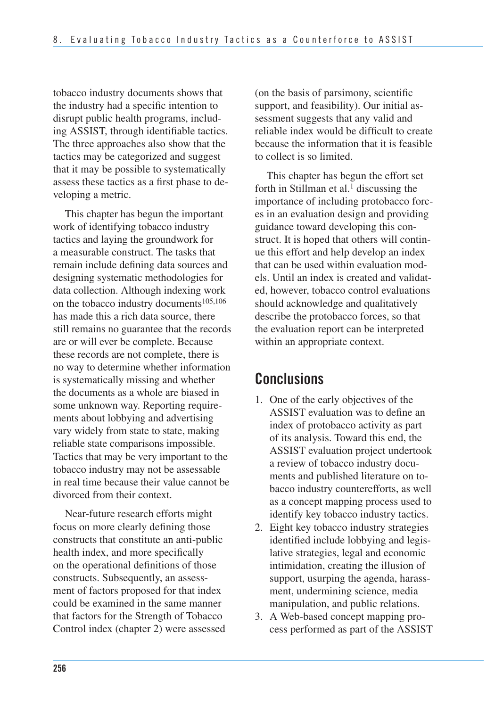tobacco industry documents shows that the industry had a specific intention to disrupt public health programs, including ASSIST, through identifiable tactics. The three approaches also show that the tactics may be categorized and suggest that it may be possible to systematically assess these tactics as a first phase to developing a metric.

 This chapter has begun the important work of identifying tobacco industry tactics and laying the groundwork for a measurable construct. The tasks that remain include defining data sources and designing systematic methodologies for data collection. Although indexing work on the tobacco industry documents<sup>105,106</sup> has made this a rich data source, there still remains no guarantee that the records are or will ever be complete. Because these records are not complete, there is no way to determine whether information is systematically missing and whether the documents as a whole are biased in some unknown way. Reporting require- ments about lobbying and advertising vary widely from state to state, making reliable state comparisons impossible. Tactics that may be very important to the tobacco industry may not be assessable in real time because their value cannot be divorced from their context.

Near-future research efforts might focus on more clearly defining those constructs that constitute an anti-public health index, and more specifically on the operational definitions of those constructs. Subsequently, an assessment of factors proposed for that index could be examined in the same manner that factors for the Strength of Tobacco Control index (chapter 2) were assessed

(on the basis of parsimony, scientific support, and feasibility). Our initial assessment suggests that any valid and reliable index would be difficult to create because the information that it is feasible to collect is so limited.

This chapter has begun the effort set forth in Stillman et al.<sup>1</sup> discussing the importance of including protobacco forces in an evaluation design and providing guidance toward developing this construct. It is hoped that others will continue this effort and help develop an index that can be used within evaluation models. Until an index is created and validated, however, tobacco control evaluations should acknowledge and qualitatively describe the protobacco forces, so that the evaluation report can be interpreted within an appropriate context.

## **Conclusions**

- 1. One of the early objectives of the ASSIST evaluation was to define an index of protobacco activity as part of its analysis. Toward this end, the ASSIST evaluation project undertook a review of tobacco industry documents and published literature on tobacco industry counterefforts, as well as a concept mapping process used to identify key tobacco industry tactics.
- 2. Eight key tobacco industry strategies identified include lobbying and legislative strategies, legal and economic intimidation, creating the illusion of support, usurping the agenda, harassment, undermining science, media manipulation, and public relations.
- 3. A Web-based concept mapping process performed as part of the ASSIST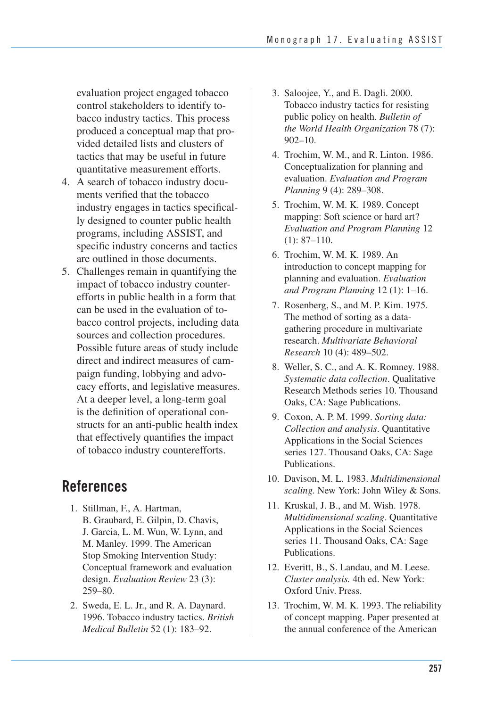evaluation project engaged tobacco control stakeholders to identify tobacco industry tactics. This process produced a conceptual map that provided detailed lists and clusters of tactics that may be useful in future quantitative measurement efforts.

- 4. A search of tobacco industry documents verified that the tobacco industry engages in tactics specifically designed to counter public health programs, including ASSIST, and specific industry concerns and tactics are outlined in those documents.
- 5. Challenges remain in quantifying the impact of tobacco industry counterefforts in public health in a form that can be used in the evaluation of tobacco control projects, including data sources and collection procedures. Possible future areas of study include direct and indirect measures of campaign funding, lobbying and advocacy efforts, and legislative measures. At a deeper level, a long-term goal is the definition of operational constructs for an anti-public health index that effectively quantifies the impact of tobacco industry counterefforts.

## **References**

- 1. Stillman, F., A. Hartman, B. Graubard, E. Gilpin, D. Chavis, J. Garcia, L. M. Wun, W. Lynn, and M. Manley. 1999. The American Stop Smoking Intervention Study: Conceptual framework and evaluation design. *Evaluation Review* 23 (3): 259–80.
- 2. Sweda, E. L. Jr., and R. A. Daynard. 1996. Tobacco industry tactics. *British Medical Bulletin* 52 (1): 183–92.
- 3. Saloojee, Y., and E. Dagli. 2000. Tobacco industry tactics for resisting public policy on health. *Bulletin of the World Health Organization* 78 (7): 902–10.
- 4. Trochim, W. M., and R. Linton. 1986. Conceptualization for planning and evaluation. *Evaluation and Program Planning* 9 (4): 289–308.
- 5. Trochim, W. M. K. 1989. Concept mapping: Soft science or hard art? *Evaluation and Program Planning* 12 (1): 87–110.
- 6. Trochim, W. M. K. 1989. An introduction to concept mapping for planning and evaluation. *Evaluation and Program Planning* 12 (1): 1–16.
- 7. Rosenberg, S., and M. P. Kim. 1975. The method of sorting as a datagathering procedure in multivariate research. *Multivariate Behavioral Research* 10 (4): 489–502.
- 8. Weller, S. C., and A. K. Romney. 1988. *Systematic data collection*. Qualitative Research Methods series 10. Thousand Oaks, CA: Sage Publications.
- 9. Coxon, A. P. M. 1999. *Sorting data: Collection and analysis*. Quantitative Applications in the Social Sciences series 127. Thousand Oaks, CA: Sage Publications.
- 10. Davison, M. L. 1983. *Multidimensional scaling.* New York: John Wiley & Sons.
- 11. Kruskal, J. B., and M. Wish. 1978. *Multidimensional scaling*. Quantitative Applications in the Social Sciences series 11. Thousand Oaks, CA: Sage Publications.
- 12. Everitt, B., S. Landau, and M. Leese. *Cluster analysis.* 4th ed. New York: Oxford Univ. Press.
- 13. Trochim, W. M. K. 1993. The reliability of concept mapping. Paper presented at the annual conference of the American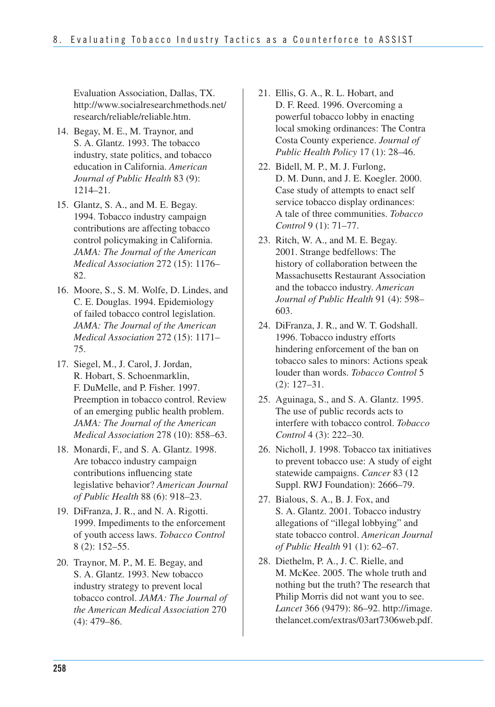Evaluation Association, Dallas, TX. http://www.socialresearchmethods.net/ research/reliable/reliable.htm.

- 14. Begay, M. E., M. Traynor, and S. A. Glantz. 1993. The tobacco industry, state politics, and tobacco education in California. *American Journal of Public Health* 83 (9): 1214–21.
- 15. Glantz, S. A., and M. E. Begay. 1994. Tobacco industry campaign contributions are affecting tobacco control policymaking in California. *JAMA: The Journal of the American Medical Association* 272 (15): 1176– 82.
- 16. Moore, S., S. M. Wolfe, D. Lindes, and C. E. Douglas. 1994. Epidemiology of failed tobacco control legislation. *JAMA: The Journal of the American Medical Association* 272 (15): 1171– 75.
- 17. Siegel, M., J. Carol, J. Jordan, R. Hobart, S. Schoenmarklin, F. DuMelle, and P. Fisher. 1997. Preemption in tobacco control. Review of an emerging public health problem. *JAMA: The Journal of the American Medical Association* 278 (10): 858–63.
- 18. Monardi, F., and S. A. Glantz. 1998. Are tobacco industry campaign contributions influencing state legislative behavior? *American Journal of Public Health* 88 (6): 918–23.
- 19. DiFranza, J. R., and N. A. Rigotti. 1999. Impediments to the enforcement of youth access laws. *Tobacco Control*  8 (2): 152–55.
- 20. Traynor, M. P., M. E. Begay, and S. A. Glantz. 1993. New tobacco industry strategy to prevent local tobacco control. *JAMA: The Journal of the American Medical Association* 270 (4): 479–86.
- 21. Ellis, G. A., R. L. Hobart, and D. F. Reed. 1996. Overcoming a powerful tobacco lobby in enacting local smoking ordinances: The Contra Costa County experience. *Journal of Public Health Policy* 17 (1): 28–46.
- 22. Bidell, M. P., M. J. Furlong, D. M. Dunn, and J. E. Koegler. 2000. Case study of attempts to enact self service tobacco display ordinances: A tale of three communities. *Tobacco Control* 9 (1): 71–77.
- 23. Ritch, W. A., and M. E. Begay. 2001. Strange bedfellows: The history of collaboration between the Massachusetts Restaurant Association and the tobacco industry. *American Journal of Public Health* 91 (4): 598– 603.
- 24. DiFranza, J. R., and W. T. Godshall. 1996. Tobacco industry efforts hindering enforcement of the ban on tobacco sales to minors: Actions speak louder than words. *Tobacco Control* 5 (2): 127–31.
- 25. Aguinaga, S., and S. A. Glantz. 1995. The use of public records acts to interfere with tobacco control. *Tobacco Control* 4 (3): 222–30.
- 26. Nicholl, J. 1998. Tobacco tax initiatives to prevent tobacco use: A study of eight statewide campaigns. *Cancer* 83 (12 Suppl. RWJ Foundation): 2666–79.
- 27. Bialous, S. A., B. J. Fox, and S. A. Glantz. 2001. Tobacco industry allegations of "illegal lobbying" and state tobacco control. *American Journal of Public Health* 91 (1): 62–67.
- 28. Diethelm, P. A., J. C. Rielle, and M. McKee. 2005. The whole truth and nothing but the truth? The research that Philip Morris did not want you to see. *Lancet* 366 (9479): 86–92. http://image. thelancet.com/extras/03art7306web.pdf.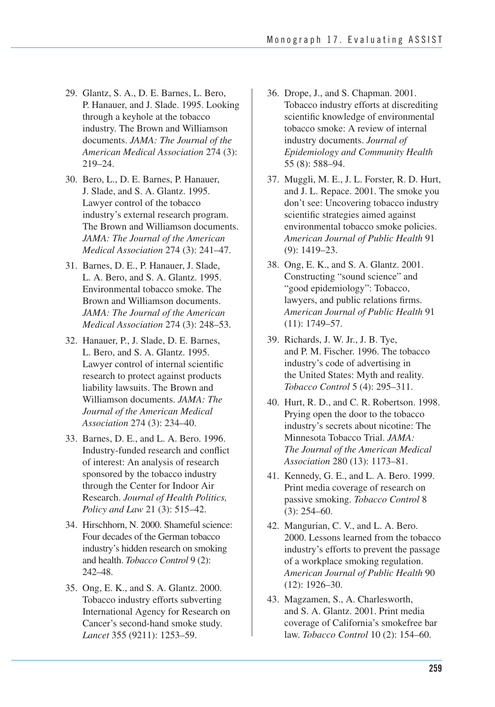- 29. Glantz, S. A., D. E. Barnes, L. Bero, P. Hanauer, and J. Slade. 1995. Looking through a keyhole at the tobacco industry. The Brown and Williamson documents. *JAMA: The Journal of the American Medical Association* 274 (3): 219–24.
- 30. Bero, L., D. E. Barnes, P. Hanauer, J. Slade, and S. A. Glantz. 1995. Lawyer control of the tobacco industry's external research program. The Brown and Williamson documents. *JAMA: The Journal of the American Medical Association* 274 (3): 241–47.
- 31. Barnes, D. E., P. Hanauer, J. Slade, L. A. Bero, and S. A. Glantz. 1995. Environmental tobacco smoke. The Brown and Williamson documents. *JAMA: The Journal of the American Medical Association* 274 (3): 248–53.
- 32. Hanauer, P., J. Slade, D. E. Barnes, L. Bero, and S. A. Glantz. 1995. Lawyer control of internal scientific research to protect against products liability lawsuits. The Brown and Williamson documents. *JAMA: The Journal of the American Medical Association* 274 (3): 234–40.
- 33. Barnes, D. E., and L. A. Bero. 1996. Industry-funded research and conflict of interest: An analysis of research sponsored by the tobacco industry through the Center for Indoor Air Research. *Journal of Health Politics, Policy and Law* 21 (3): 515–42.
- Four decades of the German tobacco industry's hidden research on smoking and health. *Tobacco Control* 9 (2): 34. Hirschhorn, N. 2000. Shameful science: 242–48.
- 35. Ong, E. K., and S. A. Glantz. 2000. Tobacco industry efforts subverting International Agency for Research on Cancer's second-hand smoke study. *Lancet* 355 (9211): 1253–59.
- 36. Drope, J., and S. Chapman. 2001. Tobacco industry efforts at discrediting scientific knowledge of environmental tobacco smoke: A review of internal industry documents. *Journal of Epidemiology and Community Health*  55 (8): 588–94.
- 37. Muggli, M. E., J. L. Forster, R. D. Hurt, and J. L. Repace. 2001. The smoke you don't see: Uncovering tobacco industry scientific strategies aimed against environmental tobacco smoke policies. *American Journal of Public Health* 91 (9): 1419–23.
- 38. Ong, E. K., and S. A. Glantz. 2001. Constructing "sound science" and "good epidemiology": Tobacco, lawyers, and public relations firms. *American Journal of Public Health* 91 (11): 1749–57.
- 39. Richards, J. W. Jr., J. B. Tye, and P. M. Fischer. 1996. The tobacco industry's code of advertising in the United States: Myth and reality. *Tobacco Control* 5 (4): 295–311.
- 40. Hurt, R. D., and C. R. Robertson. 1998. Prying open the door to the tobacco industry's secrets about nicotine: The Minnesota Tobacco Trial. *JAMA: The Journal of the American Medical Association* 280 (13): 1173–81.
- 41. Kennedy, G. E., and L. A. Bero. 1999. Print media coverage of research on passive smoking. *Tobacco Control* 8 (3): 254–60.
- 42. Mangurian, C. V., and L. A. Bero. 2000. Lessons learned from the tobacco industry's efforts to prevent the passage of a workplace smoking regulation. *American Journal of Public Health* 90 (12): 1926–30.
- 43. Magzamen, S., A. Charlesworth, and S. A. Glantz. 2001. Print media coverage of California's smokefree bar law. *Tobacco Control* 10 (2): 154–60.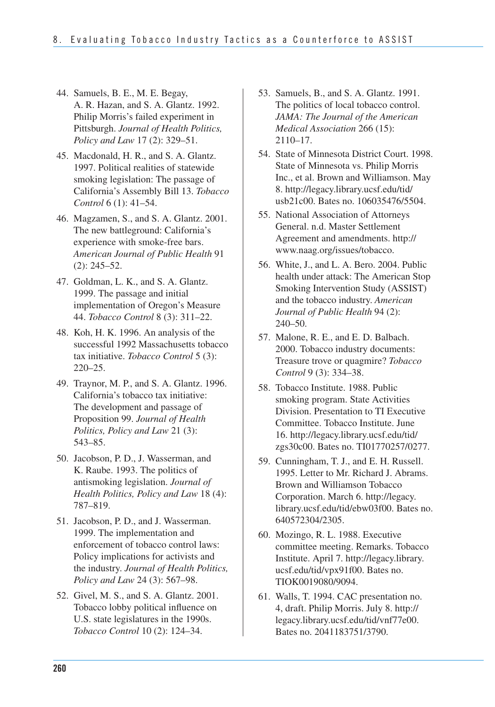- 44. Samuels, B. E., M. E. Begay, A. R. Hazan, and S. A. Glantz. 1992. Philip Morris's failed experiment in Pittsburgh. *Journal of Health Politics, Policy and Law* 17 (2): 329–51.
- 45. Macdonald, H. R., and S. A. Glantz. 1997. Political realities of statewide smoking legislation: The passage of California's Assembly Bill 13. *Tobacco Control* 6 (1): 41–54.
- 46. Magzamen, S., and S. A. Glantz. 2001. The new battleground: California's experience with smoke-free bars. *American Journal of Public Health* 91 (2): 245–52.
- 47. Goldman, L. K., and S. A. Glantz. 1999. The passage and initial implementation of Oregon's Measure 44. *Tobacco Control* 8 (3): 311–22.
- 48. Koh, H. K. 1996. An analysis of the successful 1992 Massachusetts tobacco tax initiative. *Tobacco Control* 5 (3): 220–25.
- 49. Traynor, M. P., and S. A. Glantz. 1996. California's tobacco tax initiative: The development and passage of Proposition 99. *Journal of Health Politics, Policy and Law* 21 (3): 543–85.
- 50. Jacobson, P. D., J. Wasserman, and K. Raube. 1993. The politics of antismoking legislation. *Journal of Health Politics, Policy and Law* 18 (4): 787–819.
- 51. Jacobson, P. D., and J. Wasserman. 1999. The implementation and enforcement of tobacco control laws: Policy implications for activists and the industry. *Journal of Health Politics, Policy and Law* 24 (3): 567–98.
- 52. Givel, M. S., and S. A. Glantz. 2001. Tobacco lobby political influence on U.S. state legislatures in the 1990s. *Tobacco Control* 10 (2): 124–34.
- 53. Samuels, B., and S. A. Glantz. 1991. The politics of local tobacco control. *JAMA: The Journal of the American Medical Association* 266 (15): 2110–17.
- 54. State of Minnesota District Court. 1998. State of Minnesota vs. Philip Morris Inc., et al. Brown and Williamson. May 8. http://legacy.library.ucsf.edu/tid/ usb21c00. Bates no. 106035476/5504.
- 55. National Association of Attorneys General. n.d. Master Settlement Agreement and amendments. http:// www.naag.org/issues/tobacco.
- health under attack: The American Stop Smoking Intervention Study (ASSIST) and the tobacco industry. *American Journal of Public Health* 94 (2): 56. White, J., and L. A. Bero. 2004. Public 240–50.
- 57. Malone, R. E., and E. D. Balbach. 2000. Tobacco industry documents: Treasure trove or quagmire? *Tobacco Control* 9 (3): 334–38.
- 58. Tobacco Institute. 1988. Public smoking program. State Activities Division. Presentation to TI Executive Committee. Tobacco Institute. June 16. http://legacy.library.ucsf.edu/tid/ zgs30c00. Bates no. TI01770257/0277.
- 59. Cunningham, T. J., and E. H. Russell. 1995. Letter to Mr. Richard J. Abrams. Brown and Williamson Tobacco Corporation. March 6. http://legacy. library.ucsf.edu/tid/ebw03f00. Bates no. 640572304/2305.
- 60. Mozingo, R. L. 1988. Executive committee meeting. Remarks. Tobacco Institute. April 7. http://legacy.library. ucsf.edu/tid/vpx91f00. Bates no. TIOK0019080/9094.
- 61. Walls, T. 1994. CAC presentation no. 4, draft. Philip Morris. July 8. http:// legacy.library.ucsf.edu/tid/vnf77e00. Bates no. 2041183751/3790.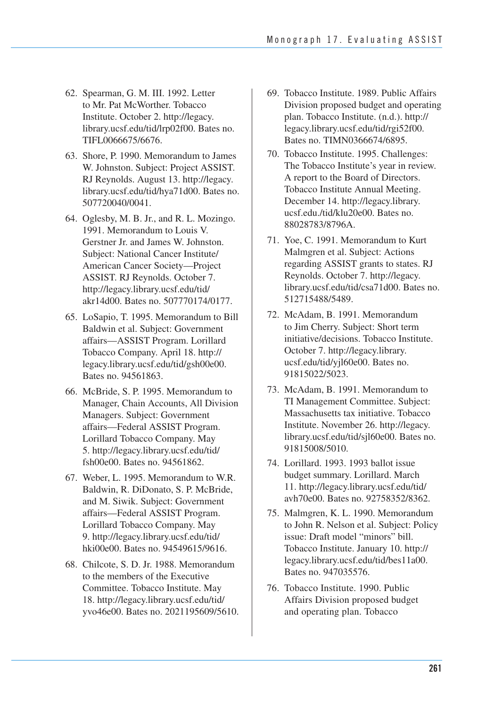- 62. Spearman, G. M. III. 1992. Letter to Mr. Pat McWorther. Tobacco Institute. October 2. http://legacy. library.ucsf.edu/tid/lrp02f00. Bates no. TIFL0066675/6676.
- 63. Shore, P. 1990. Memorandum to James W. Johnston. Subject: Project ASSIST. RJ Reynolds. August 13. http://legacy. library.ucsf.edu/tid/hya71d00. Bates no. 507720040/0041.
- 64. Oglesby, M. B. Jr., and R. L. Mozingo. 1991. Memorandum to Louis V. Gerstner Jr. and James W. Johnston. Subject: National Cancer Institute/ American Cancer Society—Project ASSIST. RJ Reynolds. October 7. http://legacy.library.ucsf.edu/tid/ akr14d00. Bates no. 507770174/0177.
- 65. LoSapio, T. 1995. Memorandum to Bill Baldwin et al. Subject: Government affairs—ASSIST Program. Lorillard Tobacco Company. April 18. http:// legacy.library.ucsf.edu/tid/gsh00e00. Bates no. 94561863.
- 66. McBride, S. P. 1995. Memorandum to Manager, Chain Accounts, All Division Managers. Subject: Government affairs—Federal ASSIST Program. Lorillard Tobacco Company. May 5. http://legacy.library.ucsf.edu/tid/ fsh00e00. Bates no. 94561862.
- 67. Weber, L. 1995. Memorandum to W.R. Baldwin, R. DiDonato, S. P. McBride, and M. Siwik. Subject: Government affairs—Federal ASSIST Program. Lorillard Tobacco Company. May 9. http://legacy.library.ucsf.edu/tid/ hki00e00. Bates no. 94549615/9616.
- 68. Chilcote, S. D. Jr. 1988. Memorandum to the members of the Executive Committee. Tobacco Institute. May 18. http://legacy.library.ucsf.edu/tid/ yvo46e00. Bates no. 2021195609/5610.
- 69. Tobacco Institute. 1989. Public Affairs Division proposed budget and operating plan. Tobacco Institute. (n.d.). http:// legacy.library.ucsf.edu/tid/rgi52f00. Bates no. TIMN0366674/6895.
- 70. Tobacco Institute. 1995. Challenges: The Tobacco Institute's year in review. A report to the Board of Directors. Tobacco Institute Annual Meeting. December 14. http://legacy.library. ucsf.edu./tid/klu20e00. Bates no. 88028783/8796A.
- 71. Yoe, C. 1991. Memorandum to Kurt Malmgren et al. Subject: Actions regarding ASSIST grants to states. RJ Reynolds. October 7. http://legacy. library.ucsf.edu/tid/csa71d00. Bates no. 512715488/5489.
- 72. McAdam, B. 1991. Memorandum to Jim Cherry. Subject: Short term initiative/decisions. Tobacco Institute. October 7. http://legacy.library. ucsf.edu/tid/yjl60e00. Bates no. 91815022/5023.
- 73. McAdam, B. 1991. Memorandum to TI Management Committee. Subject: Massachusetts tax initiative. Tobacco Institute. November 26. http://legacy. library.ucsf.edu/tid/sjl60e00. Bates no. 91815008/5010.
- 74. Lorillard. 1993. 1993 ballot issue budget summary. Lorillard. March 11. http://legacy.library.ucsf.edu/tid/ avh70e00. Bates no. 92758352/8362.
- 75. Malmgren, K. L. 1990. Memorandum to John R. Nelson et al. Subject: Policy issue: Draft model "minors" bill. Tobacco Institute. January 10. http:// legacy.library.ucsf.edu/tid/bes11a00. Bates no. 947035576.
- 76. Tobacco Institute. 1990. Public Affairs Division proposed budget and operating plan. Tobacco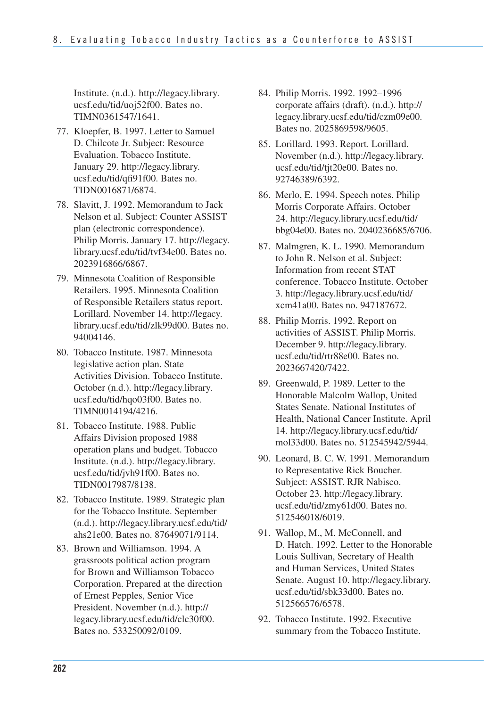Institute. (n.d.). http://legacy.library. ucsf.edu/tid/uoj52f00. Bates no. TIMN0361547/1641.

- 77. Kloepfer, B. 1997. Letter to Samuel D. Chilcote Jr. Subject: Resource Evaluation. Tobacco Institute. January 29. http://legacy.library. ucsf.edu/tid/qfi91f00. Bates no. TIDN0016871/6874.
- 78. Slavitt, J. 1992. Memorandum to Jack Nelson et al. Subject: Counter ASSIST plan (electronic correspondence). Philip Morris. January 17. http://legacy. library.ucsf.edu/tid/tvf34e00. Bates no. 2023916866/6867.
- 79. Minnesota Coalition of Responsible Retailers. 1995. Minnesota Coalition of Responsible Retailers status report. Lorillard. November 14. http://legacy. library.ucsf.edu/tid/zlk99d00. Bates no. 94004146.
- 80. Tobacco Institute. 1987. Minnesota legislative action plan. State Activities Division. Tobacco Institute. October (n.d.). http://legacy.library. ucsf.edu/tid/hqo03f00. Bates no. TIMN0014194/4216.
- 81. Tobacco Institute. 1988. Public Affairs Division proposed 1988 operation plans and budget. Tobacco Institute. (n.d.). http://legacy.library. ucsf.edu/tid/jvh91f00. Bates no. TIDN0017987/8138.
- 82. Tobacco Institute. 1989. Strategic plan for the Tobacco Institute. September (n.d.). http://legacy.library.ucsf.edu/tid/ ahs21e00. Bates no. 87649071/9114.
- 83. Brown and Williamson. 1994. A grassroots political action program for Brown and Williamson Tobacco Corporation. Prepared at the direction of Ernest Pepples, Senior Vice President. November (n.d.). http:// legacy.library.ucsf.edu/tid/clc30f00. Bates no. 533250092/0109.
- 84. Philip Morris. 1992. 1992–1996 corporate affairs (draft). (n.d.). http:// legacy.library.ucsf.edu/tid/czm09e00. Bates no. 2025869598/9605.
- 85. Lorillard. 1993. Report. Lorillard. November (n.d.). http://legacy.library. ucsf.edu/tid/tjt20e00. Bates no. 92746389/6392.
- 86. Merlo, E. 1994. Speech notes. Philip Morris Corporate Affairs. October 24. http://legacy.library.ucsf.edu/tid/ bbg04e00. Bates no. 2040236685/6706.
- 87. Malmgren, K. L. 1990. Memorandum to John R. Nelson et al. Subject: Information from recent STAT conference. Tobacco Institute. October 3. http://legacy.library.ucsf.edu/tid/ xcm41a00. Bates no. 947187672.
- 88. Philip Morris. 1992. Report on activities of ASSIST. Philip Morris. December 9. http://legacy.library. ucsf.edu/tid/rtr88e00. Bates no. 2023667420/7422.
- 89. Greenwald, P. 1989. Letter to the Honorable Malcolm Wallop, United States Senate. National Institutes of Health, National Cancer Institute. April 14. http://legacy.library.ucsf.edu/tid/ mol33d00. Bates no. 512545942/5944.
- 90. Leonard, B. C. W. 1991. Memorandum to Representative Rick Boucher. Subject: ASSIST. RJR Nabisco. October 23. http://legacy.library. ucsf.edu/tid/zmy61d00. Bates no. 512546018/6019.
- 91. Wallop, M., M. McConnell, and D. Hatch. 1992. Letter to the Honorable Louis Sullivan, Secretary of Health and Human Services, United States Senate. August 10. http://legacy.library. ucsf.edu/tid/sbk33d00. Bates no. 512566576/6578.
- 92. Tobacco Institute. 1992. Executive summary from the Tobacco Institute.